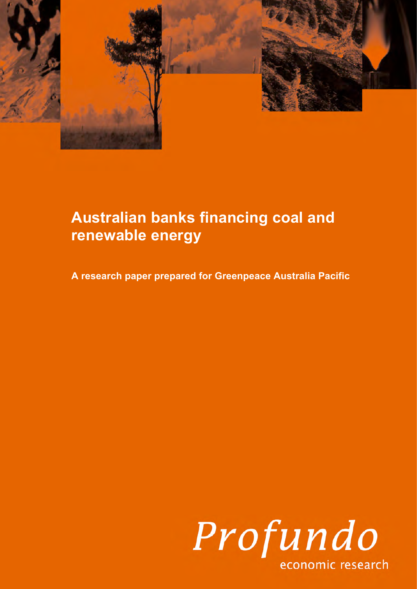

# **Australian banks financing coal and renewable energy**

**A research paper prepared for Greenpeace Australia Pacific**

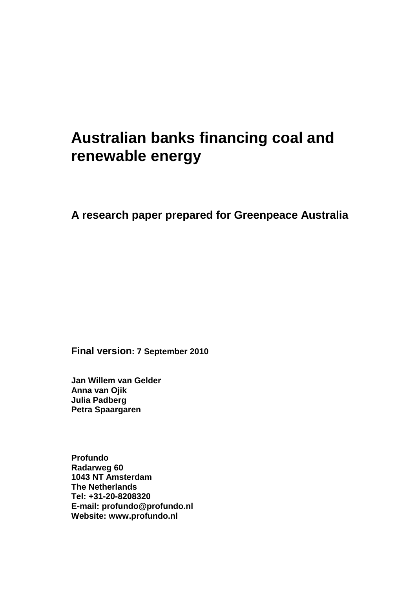# **Australian banks financing coal and renewable energy**

# **A research paper prepared for Greenpeace Australia**

**Final version: 7 September 2010**

**Jan Willem van Gelder Anna van Ojik Julia Padberg Petra Spaargaren** 

**Profundo Radarweg 60 1043 NT Amsterdam The Netherlands Tel: +31-20-8208320 E-mail: profundo@profundo.nl Website: www.profundo.nl**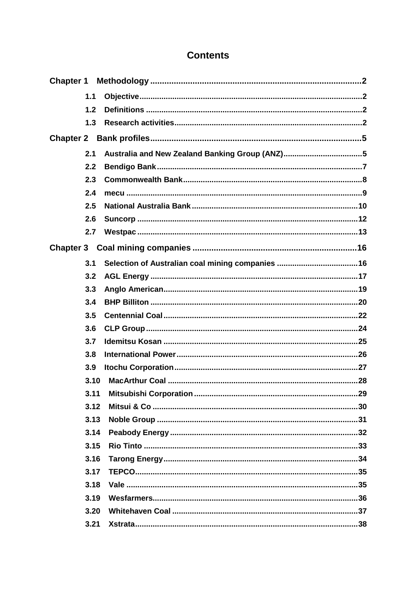# **Contents**

| <b>Chapter 1</b> |      |                                                |
|------------------|------|------------------------------------------------|
|                  | 1.1  |                                                |
|                  | 1.2  |                                                |
|                  | 1.3  |                                                |
|                  |      |                                                |
|                  | 2.1  | Australia and New Zealand Banking Group (ANZ)5 |
|                  | 2.2  |                                                |
|                  | 2.3  |                                                |
|                  | 2.4  |                                                |
|                  | 2.5  |                                                |
|                  | 2.6  |                                                |
|                  | 2.7  |                                                |
|                  |      |                                                |
|                  | 3.1  |                                                |
|                  | 3.2  |                                                |
|                  | 3.3  |                                                |
|                  | 3.4  |                                                |
|                  | 3.5  |                                                |
|                  | 3.6  |                                                |
|                  | 3.7  |                                                |
|                  | 3.8  |                                                |
|                  | 3.9  |                                                |
|                  | 3.10 |                                                |
|                  | 3.11 |                                                |
|                  | 3.12 |                                                |
|                  | 3.13 |                                                |
|                  | 3.14 |                                                |
|                  | 3.15 |                                                |
|                  | 3.16 |                                                |
|                  | 3.17 |                                                |
|                  | 3.18 |                                                |
|                  | 3.19 |                                                |
|                  | 3.20 |                                                |
|                  | 3.21 |                                                |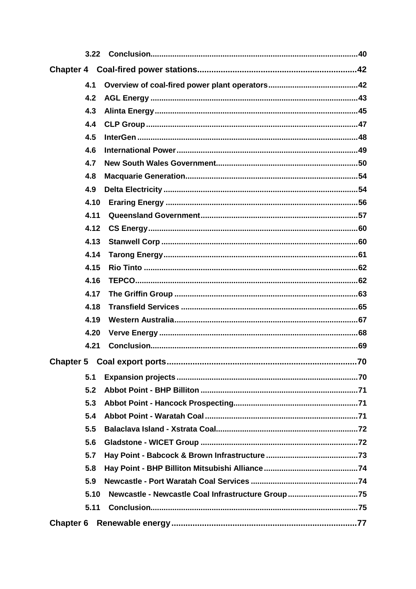| 3.22 |                                                   |
|------|---------------------------------------------------|
|      |                                                   |
| 4.1  |                                                   |
| 4.2  |                                                   |
| 4.3  |                                                   |
| 4.4  |                                                   |
| 4.5  |                                                   |
| 4.6  |                                                   |
| 4.7  |                                                   |
| 4.8  |                                                   |
| 4.9  |                                                   |
| 4.10 |                                                   |
| 4.11 |                                                   |
| 4.12 |                                                   |
| 4.13 |                                                   |
| 4.14 |                                                   |
| 4.15 |                                                   |
| 4.16 |                                                   |
| 4.17 |                                                   |
| 4.18 |                                                   |
| 4.19 |                                                   |
| 4.20 |                                                   |
| 4.21 |                                                   |
|      | Chapter 5 Coal export ports<br>70                 |
| 5.1  |                                                   |
| 5.2  |                                                   |
| 5.3  |                                                   |
| 5.4  |                                                   |
| 5.5  |                                                   |
| 5.6  |                                                   |
| 5.7  |                                                   |
| 5.8  |                                                   |
| 5.9  |                                                   |
| 5.10 | Newcastle - Newcastle Coal Infrastructure Group75 |
| 5.11 |                                                   |
|      |                                                   |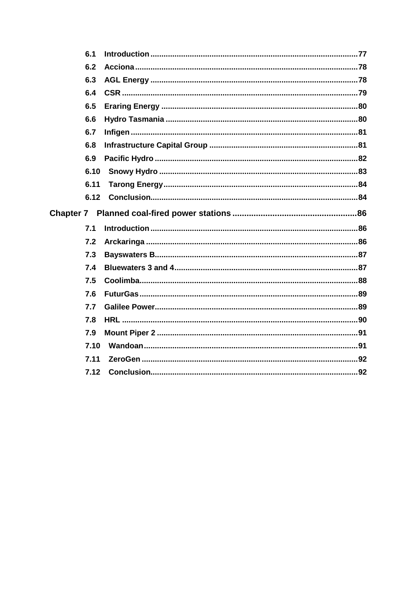| 6.1  |  |
|------|--|
| 6.2  |  |
| 6.3  |  |
| 6.4  |  |
| 6.5  |  |
| 6.6  |  |
| 6.7  |  |
| 6.8  |  |
| 6.9  |  |
| 6.10 |  |
| 6.11 |  |
| 6.12 |  |
|      |  |
| 7.1  |  |
| 7.2  |  |
| 7.3  |  |
| 7.4  |  |
| 7.5  |  |
| 7.6  |  |
| 7.7  |  |
| 7.8  |  |
| 7.9  |  |
| 7.10 |  |
|      |  |
| 7.11 |  |
|      |  |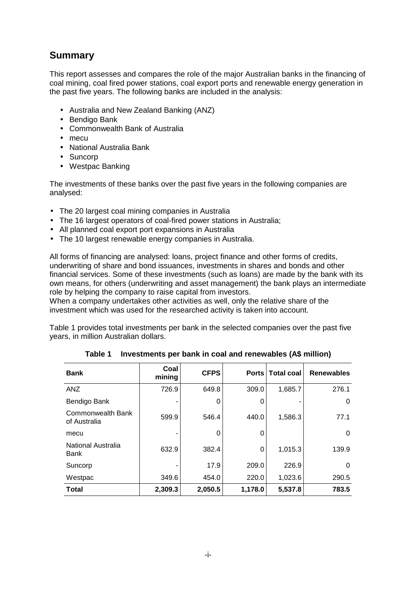# **Summary**

This report assesses and compares the role of the major Australian banks in the financing of coal mining, coal fired power stations, coal export ports and renewable energy generation in the past five years. The following banks are included in the analysis:

- Australia and New Zealand Banking (ANZ)
- Bendigo Bank
- Commonwealth Bank of Australia
- mecu
- National Australia Bank
- Suncorp
- Westpac Banking

The investments of these banks over the past five years in the following companies are analysed:

- The 20 largest coal mining companies in Australia
- The 16 largest operators of coal-fired power stations in Australia;
- All planned coal export port expansions in Australia
- The 10 largest renewable energy companies in Australia.

All forms of financing are analysed: loans, project finance and other forms of credits, underwriting of share and bond issuances, investments in shares and bonds and other financial services. Some of these investments (such as loans) are made by the bank with its own means, for others (underwriting and asset management) the bank plays an intermediate role by helping the company to raise capital from investors.

When a company undertakes other activities as well, only the relative share of the investment which was used for the researched activity is taken into account.

Table 1 provides total investments per bank in the selected companies over the past five years, in million Australian dollars.

| <b>Bank</b>                       | Coal<br>mining | <b>CFPS</b> |         | Ports   Total coal | <b>Renewables</b> |
|-----------------------------------|----------------|-------------|---------|--------------------|-------------------|
| <b>ANZ</b>                        | 726.9          | 649.8       | 309.0   | 1,685.7            | 276.1             |
| Bendigo Bank                      |                | 0           | O       |                    | 0                 |
| Commonwealth Bank<br>of Australia | 599.9          | 546.4       | 440.0   | 1,586.3            | 77.1              |
| mecu                              |                | 0           | 0       |                    | 0                 |
| National Australia<br>Bank        | 632.9          | 382.4       | 0       | 1,015.3            | 139.9             |
| Suncorp                           |                | 17.9        | 209.0   | 226.9              | 0                 |
| Westpac                           | 349.6          | 454.0       | 220.0   | 1,023.6            | 290.5             |
| <b>Total</b>                      | 2,309.3        | 2,050.5     | 1,178.0 | 5,537.8            | 783.5             |

**Table 1 Investments per bank in coal and renewables (A\$ million)**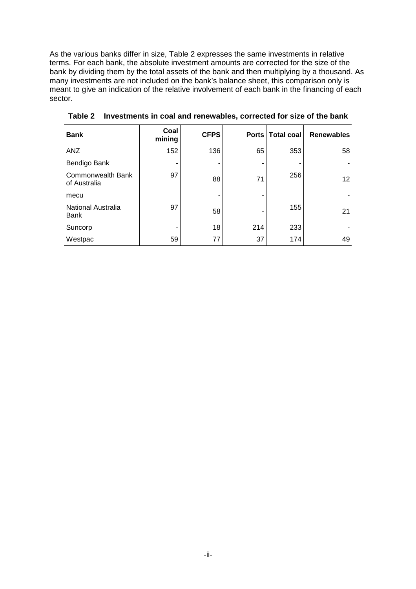As the various banks differ in size, Table 2 expresses the same investments in relative terms. For each bank, the absolute investment amounts are corrected for the size of the bank by dividing them by the total assets of the bank and then multiplying by a thousand. As many investments are not included on the bank's balance sheet, this comparison only is meant to give an indication of the relative involvement of each bank in the financing of each sector.

| <b>Bank</b>                       | Coal<br>mining | <b>CFPS</b> |     | Ports   Total coal | <b>Renewables</b> |
|-----------------------------------|----------------|-------------|-----|--------------------|-------------------|
| <b>ANZ</b>                        | 152            | 136         | 65  | 353                | 58                |
| Bendigo Bank                      |                | ۰           |     |                    |                   |
| Commonwealth Bank<br>of Australia | 97             | 88          | 71  | 256                | 12 <sup>2</sup>   |
| mecu                              |                | ۰           |     |                    |                   |
| National Australia<br><b>Bank</b> | 97             | 58          |     | 155                | 21                |
| Suncorp                           |                | 18          | 214 | 233                |                   |
| Westpac                           | 59             | 77          | 37  | 174                | 49                |

**Table 2 Investments in coal and renewables, corrected for size of the bank**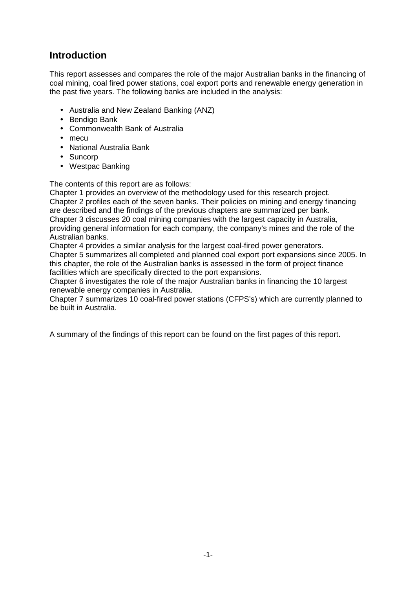# **Introduction**

This report assesses and compares the role of the major Australian banks in the financing of coal mining, coal fired power stations, coal export ports and renewable energy generation in the past five years. The following banks are included in the analysis:

- Australia and New Zealand Banking (ANZ)
- Bendigo Bank
- Commonwealth Bank of Australia
- mecu
- National Australia Bank
- Suncorp
- Westpac Banking

The contents of this report are as follows:

Chapter 1 provides an overview of the methodology used for this research project. Chapter 2 profiles each of the seven banks. Their policies on mining and energy financing are described and the findings of the previous chapters are summarized per bank. Chapter 3 discusses 20 coal mining companies with the largest capacity in Australia, providing general information for each company, the company's mines and the role of the Australian banks.

Chapter 4 provides a similar analysis for the largest coal-fired power generators.

Chapter 5 summarizes all completed and planned coal export port expansions since 2005. In this chapter, the role of the Australian banks is assessed in the form of project finance facilities which are specifically directed to the port expansions.

Chapter 6 investigates the role of the major Australian banks in financing the 10 largest renewable energy companies in Australia.

Chapter 7 summarizes 10 coal-fired power stations (CFPS's) which are currently planned to be built in Australia.

A summary of the findings of this report can be found on the first pages of this report.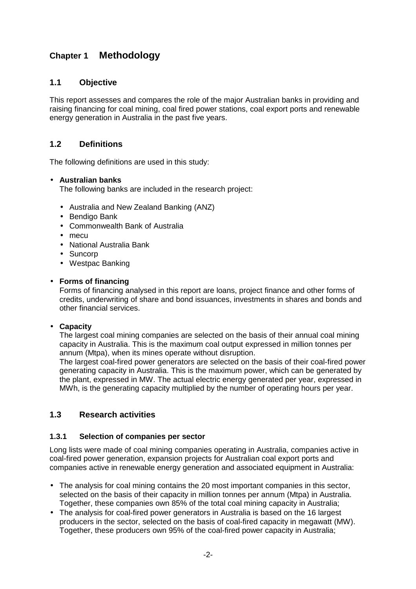# **Chapter 1 Methodology**

# **1.1 Objective**

This report assesses and compares the role of the major Australian banks in providing and raising financing for coal mining, coal fired power stations, coal export ports and renewable energy generation in Australia in the past five years.

# **1.2 Definitions**

The following definitions are used in this study:

#### • **Australian banks**

The following banks are included in the research project:

- Australia and New Zealand Banking (ANZ)
- Bendigo Bank
- Commonwealth Bank of Australia
- mecu
- National Australia Bank
- Suncorp
- Westpac Banking

#### • **Forms of financing**

Forms of financing analysed in this report are loans, project finance and other forms of credits, underwriting of share and bond issuances, investments in shares and bonds and other financial services.

#### • **Capacity**

The largest coal mining companies are selected on the basis of their annual coal mining capacity in Australia. This is the maximum coal output expressed in million tonnes per annum (Mtpa), when its mines operate without disruption.

The largest coal-fired power generators are selected on the basis of their coal-fired power generating capacity in Australia. This is the maximum power, which can be generated by the plant, expressed in MW. The actual electric energy generated per year, expressed in MWh, is the generating capacity multiplied by the number of operating hours per year.

#### **1.3 Research activities**

#### **1.3.1 Selection of companies per sector**

Long lists were made of coal mining companies operating in Australia, companies active in coal-fired power generation, expansion projects for Australian coal export ports and companies active in renewable energy generation and associated equipment in Australia:

- The analysis for coal mining contains the 20 most important companies in this sector, selected on the basis of their capacity in million tonnes per annum (Mtpa) in Australia. Together, these companies own 85% of the total coal mining capacity in Australia;
- The analysis for coal-fired power generators in Australia is based on the 16 largest producers in the sector, selected on the basis of coal-fired capacity in megawatt (MW). Together, these producers own 95% of the coal-fired power capacity in Australia;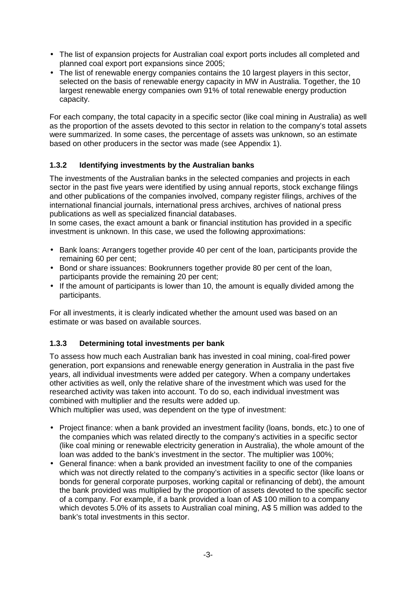- The list of expansion projects for Australian coal export ports includes all completed and planned coal export port expansions since 2005;
- The list of renewable energy companies contains the 10 largest players in this sector, selected on the basis of renewable energy capacity in MW in Australia. Together, the 10 largest renewable energy companies own 91% of total renewable energy production capacity.

For each company, the total capacity in a specific sector (like coal mining in Australia) as well as the proportion of the assets devoted to this sector in relation to the company's total assets were summarized. In some cases, the percentage of assets was unknown, so an estimate based on other producers in the sector was made (see Appendix 1).

# **1.3.2 Identifying investments by the Australian banks**

The investments of the Australian banks in the selected companies and projects in each sector in the past five years were identified by using annual reports, stock exchange filings and other publications of the companies involved, company register filings, archives of the international financial journals, international press archives, archives of national press publications as well as specialized financial databases.

In some cases, the exact amount a bank or financial institution has provided in a specific investment is unknown. In this case, we used the following approximations:

- Bank loans: Arrangers together provide 40 per cent of the loan, participants provide the remaining 60 per cent;
- Bond or share issuances: Bookrunners together provide 80 per cent of the loan, participants provide the remaining 20 per cent;
- If the amount of participants is lower than 10, the amount is equally divided among the participants.

For all investments, it is clearly indicated whether the amount used was based on an estimate or was based on available sources.

#### **1.3.3 Determining total investments per bank**

To assess how much each Australian bank has invested in coal mining, coal-fired power generation, port expansions and renewable energy generation in Australia in the past five years, all individual investments were added per category. When a company undertakes other activities as well, only the relative share of the investment which was used for the researched activity was taken into account. To do so, each individual investment was combined with multiplier and the results were added up.

Which multiplier was used, was dependent on the type of investment:

- Project finance: when a bank provided an investment facility (loans, bonds, etc.) to one of the companies which was related directly to the company's activities in a specific sector (like coal mining or renewable electricity generation in Australia), the whole amount of the loan was added to the bank's investment in the sector. The multiplier was 100%;
- General finance: when a bank provided an investment facility to one of the companies which was not directly related to the company's activities in a specific sector (like loans or bonds for general corporate purposes, working capital or refinancing of debt), the amount the bank provided was multiplied by the proportion of assets devoted to the specific sector of a company. For example, if a bank provided a loan of A\$ 100 million to a company which devotes 5.0% of its assets to Australian coal mining, A\$ 5 million was added to the bank's total investments in this sector.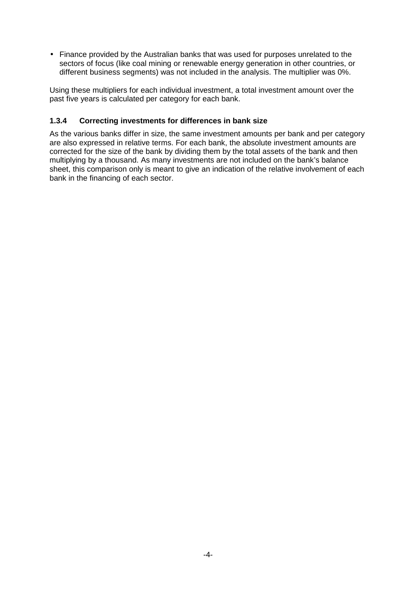• Finance provided by the Australian banks that was used for purposes unrelated to the sectors of focus (like coal mining or renewable energy generation in other countries, or different business segments) was not included in the analysis. The multiplier was 0%.

Using these multipliers for each individual investment, a total investment amount over the past five years is calculated per category for each bank.

#### **1.3.4 Correcting investments for differences in bank size**

As the various banks differ in size, the same investment amounts per bank and per category are also expressed in relative terms. For each bank, the absolute investment amounts are corrected for the size of the bank by dividing them by the total assets of the bank and then multiplying by a thousand. As many investments are not included on the bank's balance sheet, this comparison only is meant to give an indication of the relative involvement of each bank in the financing of each sector.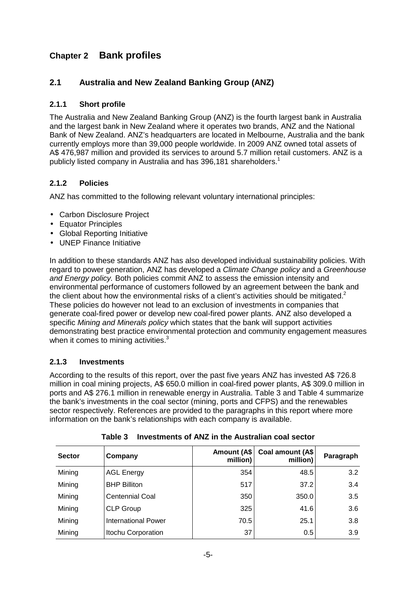# **Chapter 2 Bank profiles**

# **2.1 Australia and New Zealand Banking Group (ANZ)**

#### **2.1.1 Short profile**

The Australia and New Zealand Banking Group (ANZ) is the fourth largest bank in Australia and the largest bank in New Zealand where it operates two brands, ANZ and the National Bank of New Zealand. ANZ's headquarters are located in Melbourne, Australia and the bank currently employs more than 39,000 people worldwide. In 2009 ANZ owned total assets of A\$ 476,987 million and provided its services to around 5.7 million retail customers. ANZ is a publicly listed company in Australia and has 396,181 shareholders.<sup>1</sup>

# **2.1.2 Policies**

ANZ has committed to the following relevant voluntary international principles:

- Carbon Disclosure Project
- Equator Principles
- Global Reporting Initiative
- UNEP Finance Initiative

In addition to these standards ANZ has also developed individual sustainability policies. With regard to power generation, ANZ has developed a Climate Change policy and a Greenhouse and Energy policy. Both policies commit ANZ to assess the emission intensity and environmental performance of customers followed by an agreement between the bank and the client about how the environmental risks of a client's activities should be mitigated.<sup>2</sup> These policies do however not lead to an exclusion of investments in companies that generate coal-fired power or develop new coal-fired power plants. ANZ also developed a specific Mining and Minerals policy which states that the bank will support activities demonstrating best practice environmental protection and community engagement measures when it comes to mining activities.<sup>3</sup>

#### **2.1.3 Investments**

According to the results of this report, over the past five years ANZ has invested A\$ 726.8 million in coal mining projects, A\$ 650.0 million in coal-fired power plants, A\$ 309.0 million in ports and A\$ 276.1 million in renewable energy in Australia. Table 3 and Table 4 summarize the bank's investments in the coal sector (mining, ports and CFPS) and the renewables sector respectively. References are provided to the paragraphs in this report where more information on the bank's relationships with each company is available.

| <b>Sector</b> | Company                | <b>Amount (A\$</b><br>million) | Coal amount (A\$<br>million) | Paragraph |
|---------------|------------------------|--------------------------------|------------------------------|-----------|
| Mining        | <b>AGL Energy</b>      | 354                            | 48.5                         | 3.2       |
| Mining        | <b>BHP Billiton</b>    | 517                            | 37.2                         | 3.4       |
| Mining        | <b>Centennial Coal</b> | 350                            | 350.0                        | 3.5       |
| Mining        | <b>CLP Group</b>       | 325                            | 41.6                         | 3.6       |
| Mining        | International Power    | 70.5                           | 25.1                         | 3.8       |
| Mining        | Itochu Corporation     | 37                             | 0.5                          | 3.9       |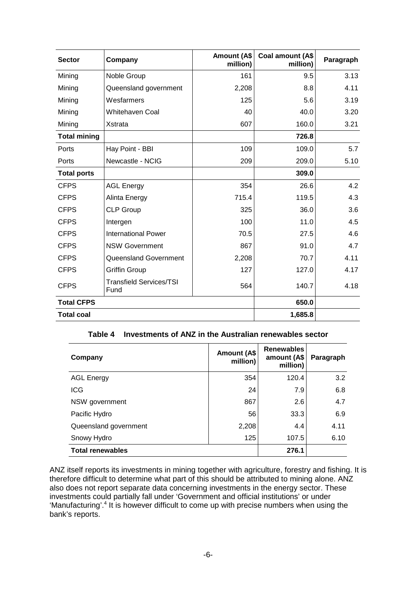| <b>Sector</b>       | Company                                | Amount (A\$<br>million) | Coal amount (A\$<br>million) | Paragraph |
|---------------------|----------------------------------------|-------------------------|------------------------------|-----------|
| Mining              | Noble Group                            | 161                     | 9.5                          | 3.13      |
| Mining              | Queensland government                  | 2,208                   | 8.8                          | 4.11      |
| Mining              | Wesfarmers                             | 125                     | 5.6                          | 3.19      |
| Mining              | <b>Whitehaven Coal</b>                 | 40                      | 40.0                         | 3.20      |
| Mining              | Xstrata                                | 607                     | 160.0                        | 3.21      |
| <b>Total mining</b> |                                        |                         | 726.8                        |           |
| Ports               | Hay Point - BBI                        | 109                     | 109.0                        | 5.7       |
| Ports               | Newcastle - NCIG                       | 209                     | 209.0                        | 5.10      |
| <b>Total ports</b>  |                                        |                         | 309.0                        |           |
| <b>CFPS</b>         | <b>AGL Energy</b>                      | 354                     | 26.6                         | 4.2       |
| <b>CFPS</b>         | Alinta Energy                          | 715.4                   | 119.5                        | 4.3       |
| <b>CFPS</b>         | <b>CLP Group</b>                       | 325                     | 36.0                         | 3.6       |
| <b>CFPS</b>         | Intergen                               | 100                     | 11.0                         | 4.5       |
| <b>CFPS</b>         | <b>International Power</b>             | 70.5                    | 27.5                         | 4.6       |
| <b>CFPS</b>         | <b>NSW Government</b>                  | 867                     | 91.0                         | 4.7       |
| <b>CFPS</b>         | <b>Queensland Government</b>           | 2,208                   | 70.7                         | 4.11      |
| <b>CFPS</b>         | <b>Griffin Group</b>                   | 127                     | 127.0                        | 4.17      |
| <b>CFPS</b>         | <b>Transfield Services/TSI</b><br>Fund | 564                     | 140.7                        | 4.18      |
| <b>Total CFPS</b>   |                                        |                         | 650.0                        |           |
| <b>Total coal</b>   |                                        |                         | 1,685.8                      |           |

**Table 4 Investments of ANZ in the Australian renewables sector** 

| Company                 | Amount (A\$<br>million) | <b>Renewables</b><br>amount (A\$<br>million) | Paragraph |
|-------------------------|-------------------------|----------------------------------------------|-----------|
| <b>AGL Energy</b>       | 354                     | 120.4                                        | 3.2       |
| <b>ICG</b>              | 24                      | 7.9                                          | 6.8       |
| NSW government          | 867                     | 2.6                                          | 4.7       |
| Pacific Hydro           | 56                      | 33.3                                         | 6.9       |
| Queensland government   | 2,208                   | 4.4                                          | 4.11      |
| Snowy Hydro             | 125                     | 107.5                                        | 6.10      |
| <b>Total renewables</b> | 276.1                   |                                              |           |

ANZ itself reports its investments in mining together with agriculture, forestry and fishing. It is therefore difficult to determine what part of this should be attributed to mining alone. ANZ also does not report separate data concerning investments in the energy sector. These investments could partially fall under 'Government and official institutions' or under 'Manufacturing'.<sup>4</sup> It is however difficult to come up with precise numbers when using the bank's reports.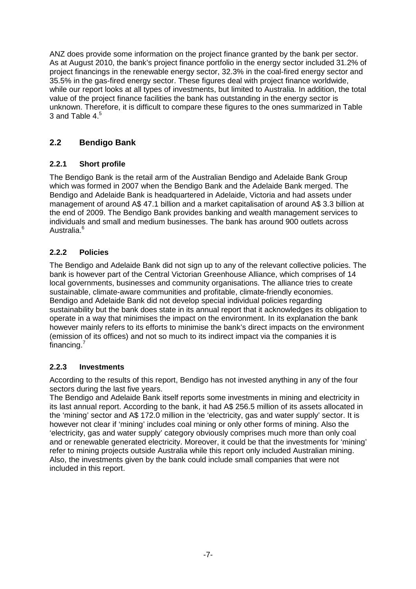ANZ does provide some information on the project finance granted by the bank per sector. As at August 2010, the bank's project finance portfolio in the energy sector included 31.2% of project financings in the renewable energy sector, 32.3% in the coal-fired energy sector and 35.5% in the gas-fired energy sector. These figures deal with project finance worldwide, while our report looks at all types of investments, but limited to Australia. In addition, the total value of the project finance facilities the bank has outstanding in the energy sector is unknown. Therefore, it is difficult to compare these figures to the ones summarized in Table 3 and Table  $4<sup>5</sup>$ 

# **2.2 Bendigo Bank**

# **2.2.1 Short profile**

The Bendigo Bank is the retail arm of the Australian Bendigo and Adelaide Bank Group which was formed in 2007 when the Bendigo Bank and the Adelaide Bank merged. The Bendigo and Adelaide Bank is headquartered in Adelaide, Victoria and had assets under management of around A\$ 47.1 billion and a market capitalisation of around A\$ 3.3 billion at the end of 2009. The Bendigo Bank provides banking and wealth management services to individuals and small and medium businesses. The bank has around 900 outlets across Australia<sup>6</sup>

# **2.2.2 Policies**

The Bendigo and Adelaide Bank did not sign up to any of the relevant collective policies. The bank is however part of the Central Victorian Greenhouse Alliance, which comprises of 14 local governments, businesses and community organisations. The alliance tries to create sustainable, climate-aware communities and profitable, climate-friendly economies. Bendigo and Adelaide Bank did not develop special individual policies regarding sustainability but the bank does state in its annual report that it acknowledges its obligation to operate in a way that minimises the impact on the environment. In its explanation the bank however mainly refers to its efforts to minimise the bank's direct impacts on the environment (emission of its offices) and not so much to its indirect impact via the companies it is financing.<sup>7</sup>

# **2.2.3 Investments**

According to the results of this report, Bendigo has not invested anything in any of the four sectors during the last five years.

The Bendigo and Adelaide Bank itself reports some investments in mining and electricity in its last annual report. According to the bank, it had A\$ 256.5 million of its assets allocated in the 'mining' sector and A\$ 172.0 million in the 'electricity, gas and water supply' sector. It is however not clear if 'mining' includes coal mining or only other forms of mining. Also the 'electricity, gas and water supply' category obviously comprises much more than only coal and or renewable generated electricity. Moreover, it could be that the investments for 'mining' refer to mining projects outside Australia while this report only included Australian mining. Also, the investments given by the bank could include small companies that were not included in this report.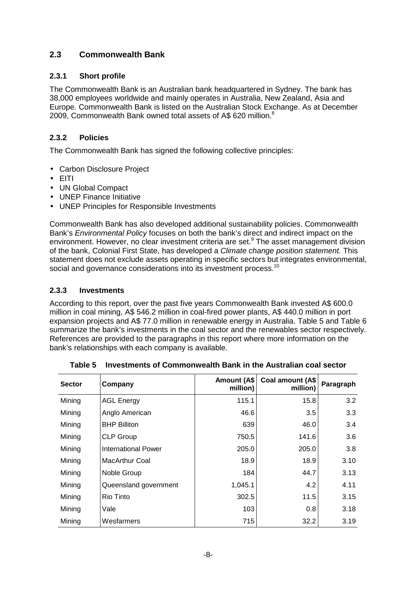# **2.3 Commonwealth Bank**

#### **2.3.1 Short profile**

The Commonwealth Bank is an Australian bank headquartered in Sydney. The bank has 38,000 employees worldwide and mainly operates in Australia, New Zealand, Asia and Europe. Commonwealth Bank is listed on the Australian Stock Exchange. As at December 2009, Commonwealth Bank owned total assets of A\$ 620 million. $8$ 

#### **2.3.2 Policies**

The Commonwealth Bank has signed the following collective principles:

- Carbon Disclosure Project
- EITI
- UN Global Compact
- UNEP Finance Initiative
- UNEP Principles for Responsible Investments

Commonwealth Bank has also developed additional sustainability policies. Commonwealth Bank's Environmental Policy focuses on both the bank's direct and indirect impact on the environment. However, no clear investment criteria are set.<sup>9</sup> The asset management division of the bank, Colonial First State, has developed a Climate change position statement. This statement does not exclude assets operating in specific sectors but integrates environmental, social and governance considerations into its investment process.<sup>10</sup>

#### **2.3.3 Investments**

According to this report, over the past five years Commonwealth Bank invested A\$ 600.0 million in coal mining, A\$ 546.2 million in coal-fired power plants, A\$ 440.0 million in port expansion projects and A\$ 77.0 million in renewable energy in Australia. Table 5 and Table 6 summarize the bank's investments in the coal sector and the renewables sector respectively. References are provided to the paragraphs in this report where more information on the bank's relationships with each company is available.

| <b>Sector</b> | Company               | Amount (A\$<br>million) | Coal amount (A\$<br>million) | Paragraph |
|---------------|-----------------------|-------------------------|------------------------------|-----------|
| Mining        | <b>AGL Energy</b>     | 115.1                   | 15.8                         | 3.2       |
| Mining        | Anglo American        | 46.6                    | 3.5                          | 3.3       |
| Mining        | <b>BHP Billiton</b>   | 639                     | 46.0                         | 3.4       |
| Mining        | <b>CLP Group</b>      | 750.5                   | 141.6                        | 3.6       |
| Mining        | International Power   | 205.0                   | 205.0                        | 3.8       |
| Mining        | MacArthur Coal        | 18.9                    | 18.9                         | 3.10      |
| Mining        | Noble Group           | 184                     | 44.7                         | 3.13      |
| Mining        | Queensland government | 1,045.1                 | 4.2                          | 4.11      |
| Mining        | Rio Tinto             | 302.5                   | 11.5                         | 3.15      |
| Mining        | Vale                  | 103                     | 0.8                          | 3.18      |
| Mining        | Wesfarmers            | 715                     | 32.2                         | 3.19      |

| Table 5 Investments of Commonwealth Bank in the Australian coal sector |
|------------------------------------------------------------------------|
|------------------------------------------------------------------------|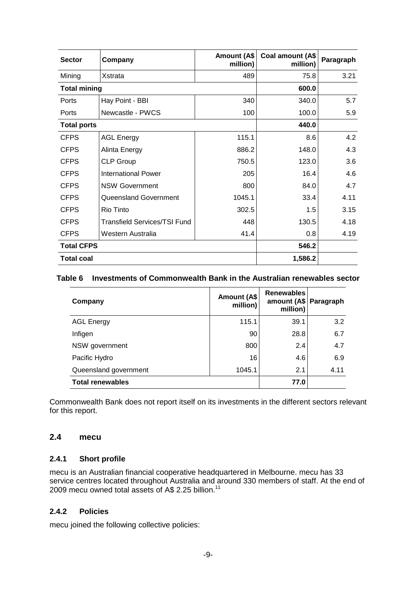| <b>Sector</b>       | Company                             | Amount (A\$<br>million) | Coal amount (A\$<br>million) | Paragraph |
|---------------------|-------------------------------------|-------------------------|------------------------------|-----------|
| Mining              | Xstrata                             | 489                     | 75.8                         | 3.21      |
| <b>Total mining</b> |                                     |                         | 600.0                        |           |
| Ports               | Hay Point - BBI                     | 340                     | 340.0                        | 5.7       |
| Ports               | Newcastle - PWCS                    | 100                     | 100.0                        | 5.9       |
| <b>Total ports</b>  |                                     |                         | 440.0                        |           |
| <b>CFPS</b>         | <b>AGL Energy</b>                   | 115.1                   | 8.6                          | 4.2       |
| <b>CFPS</b>         | Alinta Energy                       | 886.2                   | 148.0                        | 4.3       |
| <b>CFPS</b>         | <b>CLP Group</b>                    | 750.5                   | 123.0                        | 3.6       |
| <b>CFPS</b>         | <b>International Power</b>          | 205                     | 16.4                         | 4.6       |
| <b>CFPS</b>         | <b>NSW Government</b>               | 800                     | 84.0                         | 4.7       |
| <b>CFPS</b>         | <b>Queensland Government</b>        | 1045.1                  | 33.4                         | 4.11      |
| <b>CFPS</b>         | Rio Tinto                           | 302.5                   | 1.5                          | 3.15      |
| <b>CFPS</b>         | <b>Transfield Services/TSI Fund</b> | 448                     | 130.5                        | 4.18      |
| <b>CFPS</b>         | Western Australia                   | 41.4                    | 0.8                          | 4.19      |
| <b>Total CFPS</b>   |                                     |                         | 546.2                        |           |
| <b>Total coal</b>   |                                     |                         | 1,586.2                      |           |

#### **Table 6 Investments of Commonwealth Bank in the Australian renewables sector**

| Company                 | Amount (A\$<br>million) | <b>Renewables</b><br>amount (A\$<br>million) | Paragraph |
|-------------------------|-------------------------|----------------------------------------------|-----------|
| <b>AGL Energy</b>       | 115.1                   | 39.1                                         | 3.2       |
| Infigen                 | 90                      | 28.8                                         | 6.7       |
| NSW government          | 800                     | 2.4                                          | 4.7       |
| Pacific Hydro           | 16                      | 4.6                                          | 6.9       |
| Queensland government   | 1045.1                  | 2.1                                          | 4.11      |
| <b>Total renewables</b> | 77.0                    |                                              |           |

Commonwealth Bank does not report itself on its investments in the different sectors relevant for this report.

#### **2.4 mecu**

#### **2.4.1 Short profile**

mecu is an Australian financial cooperative headquartered in Melbourne. mecu has 33 service centres located throughout Australia and around 330 members of staff. At the end of 2009 mecu owned total assets of A\$ 2.25 billion. $11$ 

#### **2.4.2 Policies**

mecu joined the following collective policies: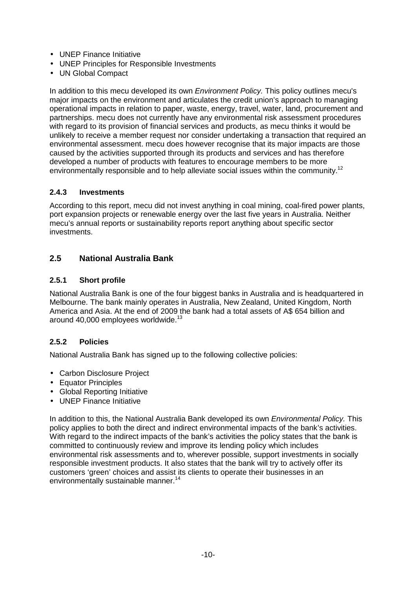- UNEP Finance Initiative
- UNEP Principles for Responsible Investments
- UN Global Compact

In addition to this mecu developed its own *Environment Policy*. This policy outlines mecu's major impacts on the environment and articulates the credit union's approach to managing operational impacts in relation to paper, waste, energy, travel, water, land, procurement and partnerships. mecu does not currently have any environmental risk assessment procedures with regard to its provision of financial services and products, as mecu thinks it would be unlikely to receive a member request nor consider undertaking a transaction that required an environmental assessment. mecu does however recognise that its major impacts are those caused by the activities supported through its products and services and has therefore developed a number of products with features to encourage members to be more environmentally responsible and to help alleviate social issues within the community.<sup>12</sup>

#### **2.4.3 Investments**

According to this report, mecu did not invest anything in coal mining, coal-fired power plants, port expansion projects or renewable energy over the last five years in Australia. Neither mecu's annual reports or sustainability reports report anything about specific sector investments.

#### **2.5 National Australia Bank**

#### **2.5.1 Short profile**

National Australia Bank is one of the four biggest banks in Australia and is headquartered in Melbourne. The bank mainly operates in Australia, New Zealand, United Kingdom, North America and Asia. At the end of 2009 the bank had a total assets of A\$ 654 billion and around  $40.000$  employees worldwide.<sup>13</sup>

#### **2.5.2 Policies**

National Australia Bank has signed up to the following collective policies:

- Carbon Disclosure Project
- Equator Principles
- Global Reporting Initiative
- UNEP Finance Initiative

In addition to this, the National Australia Bank developed its own *Environmental Policy*. This policy applies to both the direct and indirect environmental impacts of the bank's activities. With regard to the indirect impacts of the bank's activities the policy states that the bank is committed to continuously review and improve its lending policy which includes environmental risk assessments and to, wherever possible, support investments in socially responsible investment products. It also states that the bank will try to actively offer its customers 'green' choices and assist its clients to operate their businesses in an environmentally sustainable manner.<sup>14</sup>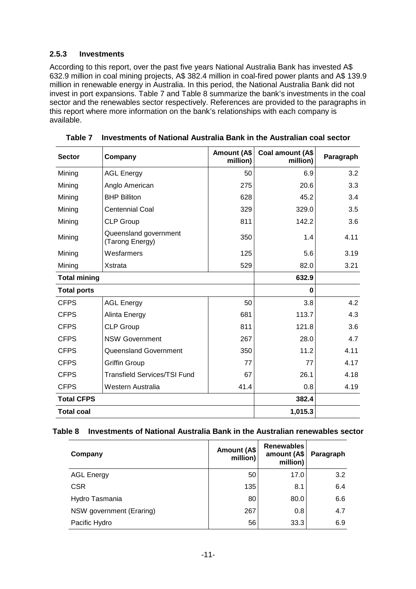#### **2.5.3 Investments**

According to this report, over the past five years National Australia Bank has invested A\$ 632.9 million in coal mining projects, A\$ 382.4 million in coal-fired power plants and A\$ 139.9 million in renewable energy in Australia. In this period, the National Australia Bank did not invest in port expansions. Table 7 and Table 8 summarize the bank's investments in the coal sector and the renewables sector respectively. References are provided to the paragraphs in this report where more information on the bank's relationships with each company is available.

| <b>Sector</b>                            | Company                                  | <b>Amount (A\$</b><br>million) | Coal amount (A\$<br>million) | Paragraph |
|------------------------------------------|------------------------------------------|--------------------------------|------------------------------|-----------|
| Mining                                   | <b>AGL Energy</b>                        | 50                             | 6.9                          | 3.2       |
| Mining                                   | Anglo American                           | 275                            | 20.6                         | 3.3       |
| Mining                                   | <b>BHP Billiton</b>                      | 628                            | 45.2                         | 3.4       |
| Mining                                   | <b>Centennial Coal</b>                   | 329                            | 329.0                        | 3.5       |
| Mining                                   | <b>CLP Group</b>                         | 811                            | 142.2                        | 3.6       |
| Mining                                   | Queensland government<br>(Tarong Energy) | 350                            | 1.4                          | 4.11      |
| Mining                                   | Wesfarmers                               | 125                            | 5.6                          | 3.19      |
| Mining                                   | Xstrata                                  | 529                            | 82.0                         | 3.21      |
| <b>Total mining</b>                      |                                          |                                | 632.9                        |           |
| <b>Total ports</b>                       |                                          |                                | 0                            |           |
| <b>CFPS</b>                              | <b>AGL Energy</b>                        | 50                             | 3.8                          | 4.2       |
| <b>CFPS</b>                              | Alinta Energy                            | 681                            | 113.7                        | 4.3       |
| <b>CFPS</b>                              | <b>CLP Group</b>                         | 811                            | 121.8                        | 3.6       |
| <b>CFPS</b>                              | <b>NSW Government</b>                    | 267                            | 28.0                         | 4.7       |
| <b>CFPS</b>                              | Queensland Government                    | 350                            | 11.2                         | 4.11      |
| <b>CFPS</b>                              | <b>Griffin Group</b>                     | 77                             | 77                           | 4.17      |
| <b>CFPS</b>                              | <b>Transfield Services/TSI Fund</b>      | 67                             | 26.1                         | 4.18      |
| 41.4<br><b>CFPS</b><br>Western Australia |                                          |                                | 0.8                          | 4.19      |
| <b>Total CFPS</b>                        |                                          |                                | 382.4                        |           |
| <b>Total coal</b>                        |                                          |                                | 1,015.3                      |           |

|  |  | Table 7 Investments of National Australia Bank in the Australian coal sector |
|--|--|------------------------------------------------------------------------------|
|  |  |                                                                              |

#### **Table 8 Investments of National Australia Bank in the Australian renewables sector**

| Company                  | Amount (A\$<br>million) | <b>Renewables</b><br>amount (A\$<br>million) | Paragraph |
|--------------------------|-------------------------|----------------------------------------------|-----------|
| <b>AGL Energy</b>        | 50                      | 17.0                                         | 3.2       |
| <b>CSR</b>               | 135                     | 8.1                                          | 6.4       |
| Hydro Tasmania           | 80                      | 80.0                                         | 6.6       |
| NSW government (Eraring) | 267                     | 0.8                                          | 4.7       |
| Pacific Hydro            | 56                      | 33.3                                         | 6.9       |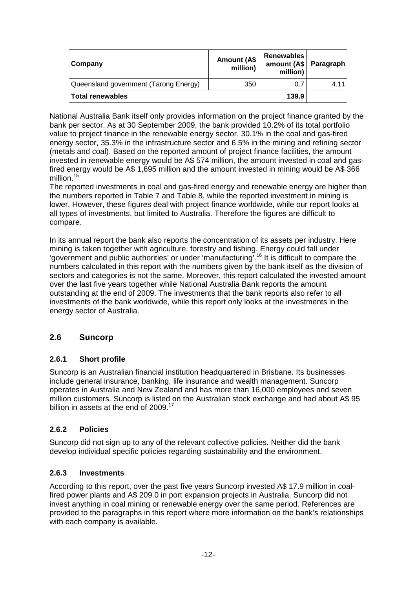| Company                               | Amount (A\$<br>million) | Renewables<br>amount (A\$ Paragraph<br>million) |       |
|---------------------------------------|-------------------------|-------------------------------------------------|-------|
| Queensland government (Tarong Energy) | 350                     | 0.7                                             | 4 1 1 |
| <b>Total renewables</b>               | 139.9                   |                                                 |       |

National Australia Bank itself only provides information on the project finance granted by the bank per sector. As at 30 September 2009, the bank provided 10.2% of its total portfolio value to project finance in the renewable energy sector, 30.1% in the coal and gas-fired energy sector, 35.3% in the infrastructure sector and 6.5% in the mining and refining sector (metals and coal). Based on the reported amount of project finance facilities, the amount invested in renewable energy would be A\$ 574 million, the amount invested in coal and gasfired energy would be A\$ 1,695 million and the amount invested in mining would be A\$ 366 million.<sup>15</sup>

The reported investments in coal and gas-fired energy and renewable energy are higher than the numbers reported in Table 7 and Table 8, while the reported investment in mining is lower. However, these figures deal with project finance worldwide, while our report looks at all types of investments, but limited to Australia. Therefore the figures are difficult to compare.

In its annual report the bank also reports the concentration of its assets per industry. Here mining is taken together with agriculture, forestry and fishing. Energy could fall under 'government and public authorities' or under 'manufacturing'.<sup>16</sup> It is difficult to compare the numbers calculated in this report with the numbers given by the bank itself as the division of sectors and categories is not the same. Moreover, this report calculated the invested amount over the last five years together while National Australia Bank reports the amount outstanding at the end of 2009. The investments that the bank reports also refer to all investments of the bank worldwide, while this report only looks at the investments in the energy sector of Australia.

# **2.6 Suncorp**

# **2.6.1 Short profile**

Suncorp is an Australian financial institution headquartered in Brisbane. Its businesses include general insurance, banking, life insurance and wealth management. Suncorp operates in Australia and New Zealand and has more than 16,000 employees and seven million customers. Suncorp is listed on the Australian stock exchange and had about A\$ 95 billion in assets at the end of 2009.<sup>17</sup>

#### **2.6.2 Policies**

Suncorp did not sign up to any of the relevant collective policies. Neither did the bank develop individual specific policies regarding sustainability and the environment.

#### **2.6.3 Investments**

According to this report, over the past five years Suncorp invested A\$ 17.9 million in coalfired power plants and A\$ 209.0 in port expansion projects in Australia. Suncorp did not invest anything in coal mining or renewable energy over the same period. References are provided to the paragraphs in this report where more information on the bank's relationships with each company is available.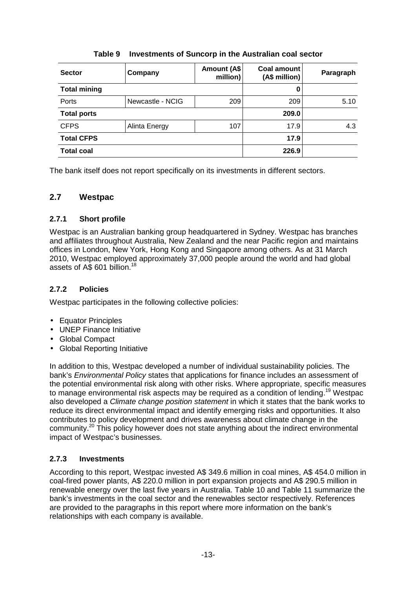| <b>Sector</b>       | Company          | Amount (A\$<br>million) | Coal amount<br>(A\$ million) | Paragraph |
|---------------------|------------------|-------------------------|------------------------------|-----------|
| <b>Total mining</b> |                  |                         | 0                            |           |
| Ports               | Newcastle - NCIG | 209                     | 209                          | 5.10      |
| <b>Total ports</b>  |                  |                         | 209.0                        |           |
| <b>CFPS</b>         | Alinta Energy    | 107                     | 17.9                         | 4.3       |
| <b>Total CFPS</b>   |                  |                         | 17.9                         |           |
| <b>Total coal</b>   |                  |                         | 226.9                        |           |

# **Table 9 Investments of Suncorp in the Australian coal sector**

The bank itself does not report specifically on its investments in different sectors.

# **2.7 Westpac**

# **2.7.1 Short profile**

Westpac is an Australian banking group headquartered in Sydney. Westpac has branches and affiliates throughout Australia, New Zealand and the near Pacific region and maintains offices in London, New York, Hong Kong and Singapore among others. As at 31 March 2010, Westpac employed approximately 37,000 people around the world and had global assets of A\$ 601 billion.<sup>18</sup>

# **2.7.2 Policies**

Westpac participates in the following collective policies:

- Equator Principles
- UNEP Finance Initiative
- Global Compact
- Global Reporting Initiative

In addition to this, Westpac developed a number of individual sustainability policies. The bank's Environmental Policy states that applications for finance includes an assessment of the potential environmental risk along with other risks. Where appropriate, specific measures to manage environmental risk aspects may be required as a condition of lending.<sup>19</sup> Westpac also developed a Climate change position statement in which it states that the bank works to reduce its direct environmental impact and identify emerging risks and opportunities. It also contributes to policy development and drives awareness about climate change in the community.<sup>20</sup> This policy however does not state anything about the indirect environmental impact of Westpac's businesses.

# **2.7.3 Investments**

According to this report, Westpac invested A\$ 349.6 million in coal mines, A\$ 454.0 million in coal-fired power plants, A\$ 220.0 million in port expansion projects and A\$ 290.5 million in renewable energy over the last five years in Australia. Table 10 and Table 11 summarize the bank's investments in the coal sector and the renewables sector respectively. References are provided to the paragraphs in this report where more information on the bank's relationships with each company is available.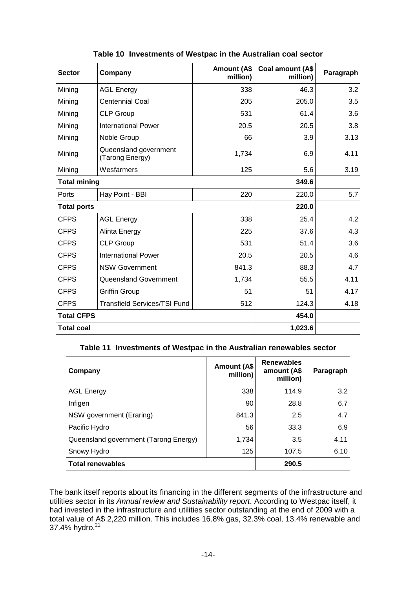| <b>Sector</b>       | Company                                  | <b>Amount (A\$</b><br>million) | Coal amount (A\$<br>million) | Paragraph |
|---------------------|------------------------------------------|--------------------------------|------------------------------|-----------|
| Mining              | <b>AGL Energy</b>                        | 338                            | 46.3                         | 3.2       |
| Mining              | <b>Centennial Coal</b>                   | 205                            | 205.0                        | 3.5       |
| Mining              | <b>CLP Group</b>                         | 531                            | 61.4                         | 3.6       |
| Mining              | <b>International Power</b>               | 20.5                           | 20.5                         | 3.8       |
| Mining              | Noble Group                              | 66                             | 3.9                          | 3.13      |
| Mining              | Queensland government<br>(Tarong Energy) | 1,734                          | 6.9                          | 4.11      |
| Mining              | Wesfarmers                               | 125                            | 5.6                          | 3.19      |
| <b>Total mining</b> |                                          |                                | 349.6                        |           |
| Ports               | Hay Point - BBI                          | 220                            | 220.0                        | 5.7       |
| <b>Total ports</b>  |                                          |                                | 220.0                        |           |
| <b>CFPS</b>         | <b>AGL Energy</b>                        | 338                            | 25.4                         | 4.2       |
| <b>CFPS</b>         | Alinta Energy                            | 225                            | 37.6                         | 4.3       |
| <b>CFPS</b>         | <b>CLP Group</b>                         | 531                            | 51.4                         | 3.6       |
| <b>CFPS</b>         | <b>International Power</b>               | 20.5                           | 20.5                         | 4.6       |
| <b>CFPS</b>         | <b>NSW Government</b>                    | 841.3                          | 88.3                         | 4.7       |
| <b>CFPS</b>         | Queensland Government                    | 1,734                          | 55.5                         | 4.11      |
| <b>CFPS</b>         | <b>Griffin Group</b>                     | 51                             | 51                           | 4.17      |
| <b>CFPS</b>         | <b>Transfield Services/TSI Fund</b>      | 512                            | 124.3                        | 4.18      |
| <b>Total CFPS</b>   |                                          |                                | 454.0                        |           |
| <b>Total coal</b>   |                                          |                                | 1,023.6                      |           |

# **Table 10 Investments of Westpac in the Australian coal sector**

#### **Table 11 Investments of Westpac in the Australian renewables sector**

| Company                               | <b>Amount (A\$</b><br>million) | <b>Renewables</b><br>amount (A\$<br>million) | Paragraph |
|---------------------------------------|--------------------------------|----------------------------------------------|-----------|
| <b>AGL Energy</b>                     | 338                            | 114.9                                        | 3.2       |
| Infigen                               | 90                             | 28.8                                         | 6.7       |
| NSW government (Eraring)              | 841.3                          | 2.5                                          | 4.7       |
| Pacific Hydro                         | 56                             | 33.3                                         | 6.9       |
| Queensland government (Tarong Energy) | 1,734                          | 3.5                                          | 4.11      |
| Snowy Hydro                           | 125                            | 107.5                                        | 6.10      |
| <b>Total renewables</b>               | 290.5                          |                                              |           |

The bank itself reports about its financing in the different segments of the infrastructure and utilities sector in its Annual review and Sustainability report. According to Westpac itself, it had invested in the infrastructure and utilities sector outstanding at the end of 2009 with a total value of A\$ 2,220 million. This includes 16.8% gas, 32.3% coal, 13.4% renewable and 37.4% hydro.<sup>21</sup>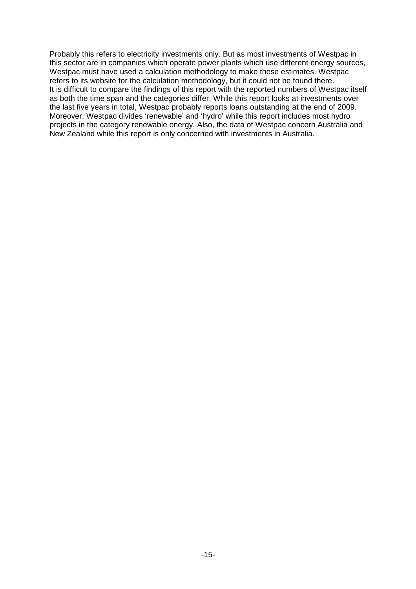Probably this refers to electricity investments only. But as most investments of Westpac in this sector are in companies which operate power plants which use different energy sources, Westpac must have used a calculation methodology to make these estimates. Westpac refers to its website for the calculation methodology, but it could not be found there. It is difficult to compare the findings of this report with the reported numbers of Westpac itself as both the time span and the categories differ. While this report looks at investments over the last five years in total, Westpac probably reports loans outstanding at the end of 2009. Moreover, Westpac divides 'renewable' and 'hydro' while this report includes most hydro projects in the category renewable energy. Also, the data of Westpac concern Australia and New Zealand while this report is only concerned with investments in Australia.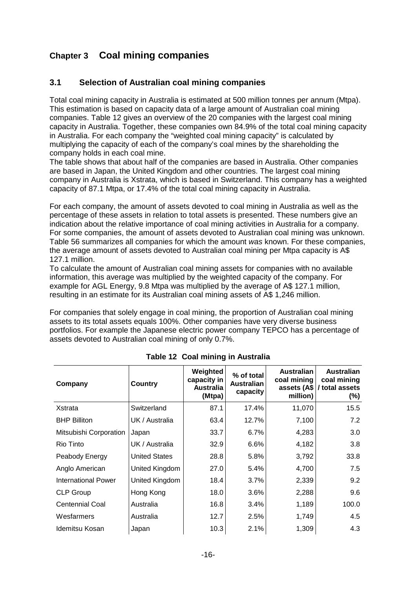# **Chapter 3 Coal mining companies**

# **3.1 Selection of Australian coal mining companies**

Total coal mining capacity in Australia is estimated at 500 million tonnes per annum (Mtpa). This estimation is based on capacity data of a large amount of Australian coal mining companies. Table 12 gives an overview of the 20 companies with the largest coal mining capacity in Australia. Together, these companies own 84.9% of the total coal mining capacity in Australia. For each company the "weighted coal mining capacity" is calculated by multiplying the capacity of each of the company's coal mines by the shareholding the company holds in each coal mine.

The table shows that about half of the companies are based in Australia. Other companies are based in Japan, the United Kingdom and other countries. The largest coal mining company in Australia is Xstrata, which is based in Switzerland. This company has a weighted capacity of 87.1 Mtpa, or 17.4% of the total coal mining capacity in Australia.

For each company, the amount of assets devoted to coal mining in Australia as well as the percentage of these assets in relation to total assets is presented. These numbers give an indication about the relative importance of coal mining activities in Australia for a company. For some companies, the amount of assets devoted to Australian coal mining was unknown. Table 56 summarizes all companies for which the amount was known. For these companies, the average amount of assets devoted to Australian coal mining per Mtpa capacity is A\$ 127.1 million.

To calculate the amount of Australian coal mining assets for companies with no available information, this average was multiplied by the weighted capacity of the company. For example for AGL Energy, 9.8 Mtpa was multiplied by the average of A\$ 127.1 million, resulting in an estimate for its Australian coal mining assets of A\$ 1,246 million.

For companies that solely engage in coal mining, the proportion of Australian coal mining assets to its total assets equals 100%. Other companies have very diverse business portfolios. For example the Japanese electric power company TEPCO has a percentage of assets devoted to Australian coal mining of only 0.7%.

| Company                    | Country              | Weighted<br>capacity in<br>Australia<br>(Mtpa) | % of total<br><b>Australian</b><br>capacity | <b>Australian</b><br>coal mining<br>million) | <b>Australian</b><br>coal mining<br>assets (A\$ / total assets<br>(%) |
|----------------------------|----------------------|------------------------------------------------|---------------------------------------------|----------------------------------------------|-----------------------------------------------------------------------|
| Xstrata                    | Switzerland          | 87.1                                           | 17.4%                                       | 11,070                                       | 15.5                                                                  |
| <b>BHP Billiton</b>        | UK / Australia       | 63.4                                           | 12.7%                                       | 7,100                                        | 7.2                                                                   |
| Mitsubishi Corporation     | Japan                | 33.7                                           | 6.7%                                        | 4,283                                        | 3.0                                                                   |
| Rio Tinto                  | UK / Australia       | 32.9                                           | 6.6%                                        | 4,182                                        | 3.8                                                                   |
| Peabody Energy             | <b>United States</b> | 28.8                                           | 5.8%                                        | 3,792                                        | 33.8                                                                  |
| Anglo American             | United Kingdom       | 27.0                                           | 5.4%                                        | 4,700                                        | 7.5                                                                   |
| <b>International Power</b> | United Kingdom       | 18.4                                           | 3.7%                                        | 2,339                                        | 9.2                                                                   |
| <b>CLP Group</b>           | Hong Kong            | 18.0                                           | 3.6%                                        | 2,288                                        | 9.6                                                                   |
| <b>Centennial Coal</b>     | Australia            | 16.8                                           | 3.4%                                        | 1,189                                        | 100.0                                                                 |
| Wesfarmers                 | Australia            | 12.7                                           | 2.5%                                        | 1,749                                        | 4.5                                                                   |
| Idemitsu Kosan             | Japan                | 10.3                                           | 2.1%                                        | 1,309                                        | 4.3                                                                   |

**Table 12 Coal mining in Australia**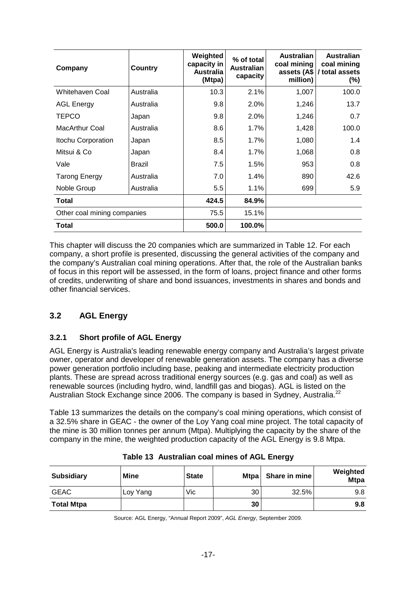| Company                     | <b>Country</b> | Weighted<br>capacity in<br>Australia<br>(Mtpa) | % of total<br><b>Australian</b><br>capacity | <b>Australian</b><br>coal mining<br>assets (A\$<br>million) | <b>Australian</b><br>coal mining<br>/ total assets<br>$(\%)$ |
|-----------------------------|----------------|------------------------------------------------|---------------------------------------------|-------------------------------------------------------------|--------------------------------------------------------------|
| Whitehaven Coal             | Australia      | 10.3                                           | 2.1%                                        | 1,007                                                       | 100.0                                                        |
| <b>AGL Energy</b>           | Australia      | 9.8                                            | 2.0%                                        | 1,246                                                       | 13.7                                                         |
| <b>TEPCO</b>                | Japan          | 9.8                                            | 2.0%                                        | 1,246                                                       | 0.7                                                          |
| <b>MacArthur Coal</b>       | Australia      | 8.6                                            | 1.7%                                        | 1,428                                                       | 100.0                                                        |
| Itochu Corporation          | Japan          | 8.5                                            | 1.7%                                        | 1,080                                                       | 1.4                                                          |
| Mitsui & Co                 | Japan          | 8.4                                            | 1.7%                                        | 1,068                                                       | 0.8                                                          |
| Vale                        | <b>Brazil</b>  | 7.5                                            | 1.5%                                        | 953                                                         | 0.8                                                          |
| <b>Tarong Energy</b>        | Australia      | 7.0                                            | 1.4%                                        | 890                                                         | 42.6                                                         |
| Noble Group                 | Australia      | 5.5                                            | $1.1\%$                                     | 699                                                         | 5.9                                                          |
| <b>Total</b>                |                | 424.5                                          | 84.9%                                       |                                                             |                                                              |
| Other coal mining companies |                | 75.5                                           | 15.1%                                       |                                                             |                                                              |
| <b>Total</b>                |                | 500.0                                          | 100.0%                                      |                                                             |                                                              |

This chapter will discuss the 20 companies which are summarized in Table 12. For each company, a short profile is presented, discussing the general activities of the company and the company's Australian coal mining operations. After that, the role of the Australian banks of focus in this report will be assessed, in the form of loans, project finance and other forms of credits, underwriting of share and bond issuances, investments in shares and bonds and other financial services.

# **3.2 AGL Energy**

# **3.2.1 Short profile of AGL Energy**

AGL Energy is Australia's leading renewable energy company and Australia's largest private owner, operator and developer of renewable generation assets. The company has a diverse power generation portfolio including base, peaking and intermediate electricity production plants. These are spread across traditional energy sources (e.g. gas and coal) as well as renewable sources (including hydro, wind, landfill gas and biogas). AGL is listed on the Australian Stock Exchange since 2006. The company is based in Sydney, Australia.<sup>22</sup>

Table 13 summarizes the details on the company's coal mining operations, which consist of a 32.5% share in GEAC - the owner of the Loy Yang coal mine project. The total capacity of the mine is 30 million tonnes per annum (Mtpa). Multiplying the capacity by the share of the company in the mine, the weighted production capacity of the AGL Energy is 9.8 Mtpa.

| <b>Subsidiary</b> | <b>Mine</b> | <b>State</b> | <b>Mtpa</b> | Share in mine | Weighted<br><b>Mtpa</b> |
|-------------------|-------------|--------------|-------------|---------------|-------------------------|
| <b>GEAC</b>       | Loy Yang    | Vic          | 30          | 32.5%         | 9.8                     |
| <b>Total Mtpa</b> |             |              | 30          |               | 9.8                     |

|  | Table 13 Australian coal mines of AGL Energy |  |  |  |
|--|----------------------------------------------|--|--|--|
|--|----------------------------------------------|--|--|--|

Source: AGL Energy, "Annual Report 2009", AGL Energy, September 2009.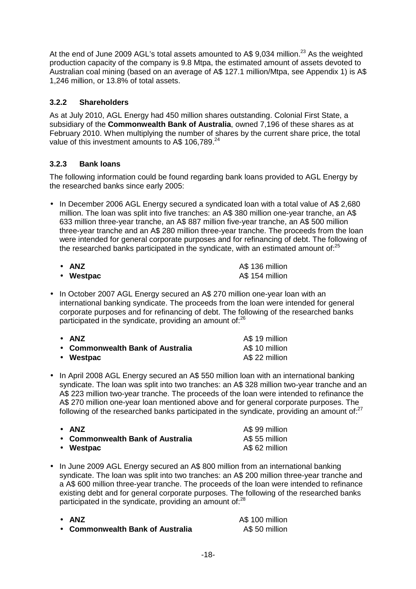At the end of June 2009 AGL's total assets amounted to A\$ 9,034 million.<sup>23</sup> As the weighted production capacity of the company is 9.8 Mtpa, the estimated amount of assets devoted to Australian coal mining (based on an average of A\$ 127.1 million/Mtpa, see Appendix 1) is A\$ 1,246 million, or 13.8% of total assets.

# **3.2.2 Shareholders**

As at July 2010, AGL Energy had 450 million shares outstanding. Colonial First State, a subsidiary of the **Commonwealth Bank of Australia**, owned 7,196 of these shares as at February 2010. When multiplying the number of shares by the current share price, the total value of this investment amounts to A\$ 106,789.<sup>24</sup>

# **3.2.3 Bank loans**

The following information could be found regarding bank loans provided to AGL Energy by the researched banks since early 2005:

• In December 2006 AGL Energy secured a syndicated loan with a total value of A\$ 2,680 million. The loan was split into five tranches: an A\$ 380 million one-year tranche, an A\$ 633 million three-year tranche, an A\$ 887 million five-year tranche, an A\$ 500 million three-year tranche and an A\$ 280 million three-year tranche. The proceeds from the loan were intended for general corporate purposes and for refinancing of debt. The following of the researched banks participated in the syndicate, with an estimated amount of:<sup>25</sup>

| $\bullet$ ANZ | A\$ 136 million |
|---------------|-----------------|
| • Westpac     | A\$ 154 million |

• In October 2007 AGL Energy secured an A\$ 270 million one-year loan with an international banking syndicate. The proceeds from the loan were intended for general corporate purposes and for refinancing of debt. The following of the researched banks participated in the syndicate, providing an amount of: $26$ 

| $\bullet$ ANZ                    | A\$ 19 million |
|----------------------------------|----------------|
| • Commonwealth Bank of Australia | A\$ 10 million |
| • Westpac                        | A\$ 22 million |

• In April 2008 AGL Energy secured an A\$ 550 million loan with an international banking syndicate. The loan was split into two tranches: an A\$ 328 million two-year tranche and an A\$ 223 million two-year tranche. The proceeds of the loan were intended to refinance the A\$ 270 million one-year loan mentioned above and for general corporate purposes. The following of the researched banks participated in the syndicate, providing an amount of: $27$ 

| • ANZ                            | A\$ 99 million |
|----------------------------------|----------------|
| • Commonwealth Bank of Australia | A\$ 55 million |
| • Westpac                        | A\$ 62 million |

- In June 2009 AGL Energy secured an A\$ 800 million from an international banking syndicate. The loan was split into two tranches: an A\$ 200 million three-year tranche and a A\$ 600 million three-year tranche. The proceeds of the loan were intended to refinance existing debt and for general corporate purposes. The following of the researched banks participated in the syndicate, providing an amount of:<sup>28</sup>
	-

• **ANZ** A\$ 100 million • **Commonwealth Bank of Australia** A\$ 50 million

-18-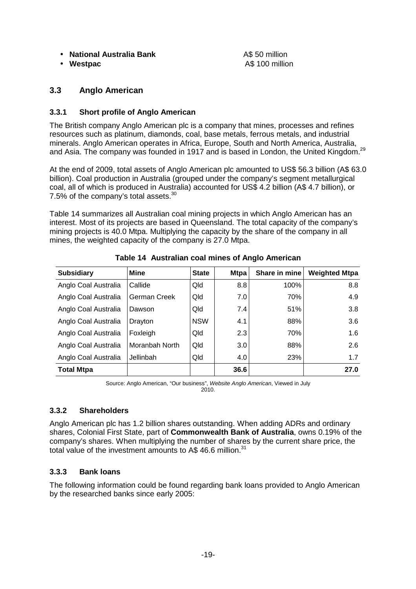#### • **National Australia Bank** A\$ 50 million

• Westpac **A\$ 100 million** 

# **3.3 Anglo American**

#### **3.3.1 Short profile of Anglo American**

The British company Anglo American plc is a company that mines, processes and refines resources such as platinum, diamonds, coal, base metals, ferrous metals, and industrial minerals. Anglo American operates in Africa, Europe, South and North America, Australia, and Asia. The company was founded in 1917 and is based in London, the United Kingdom.<sup>29</sup>

At the end of 2009, total assets of Anglo American plc amounted to US\$ 56.3 billion (A\$ 63.0 billion). Coal production in Australia (grouped under the company's segment metallurgical coal, all of which is produced in Australia) accounted for US\$ 4.2 billion (A\$ 4.7 billion), or 7.5% of the company's total assets.<sup>30</sup>

Table 14 summarizes all Australian coal mining projects in which Anglo American has an interest. Most of its projects are based in Queensland. The total capacity of the company's mining projects is 40.0 Mtpa. Multiplying the capacity by the share of the company in all mines, the weighted capacity of the company is 27.0 Mtpa.

| <b>Subsidiary</b>    | <b>Mine</b>    | <b>State</b> | <b>Mtpa</b> | Share in mine | <b>Weighted Mtpa</b> |
|----------------------|----------------|--------------|-------------|---------------|----------------------|
| Anglo Coal Australia | Callide        | Qld          | 8.8         | 100%          | 8.8                  |
| Anglo Coal Australia | German Creek   | Qld          | 7.0         | 70%           | 4.9                  |
| Anglo Coal Australia | Dawson         | Qld          | 7.4         | 51%           | 3.8                  |
| Anglo Coal Australia | Drayton        | <b>NSW</b>   | 4.1         | 88%           | 3.6                  |
| Anglo Coal Australia | Foxleigh       | Qld          | 2.3         | 70%           | 1.6                  |
| Anglo Coal Australia | Moranbah North | Qld          | 3.0         | 88%           | 2.6                  |
| Anglo Coal Australia | Jellinbah      | Qld          | 4.0         | 23%           | 1.7                  |
| <b>Total Mtpa</b>    |                |              | 36.6        |               | 27.0                 |

**Table 14 Australian coal mines of Anglo American** 

Source: Anglo American, "Our business", Website Anglo American, Viewed in July 2010.

#### **3.3.2 Shareholders**

Anglo American plc has 1.2 billion shares outstanding. When adding ADRs and ordinary shares, Colonial First State, part of **Commonwealth Bank of Australia**, owns 0.19% of the company's shares. When multiplying the number of shares by the current share price, the total value of the investment amounts to A\$ 46.6 million. $31$ 

#### **3.3.3 Bank loans**

The following information could be found regarding bank loans provided to Anglo American by the researched banks since early 2005: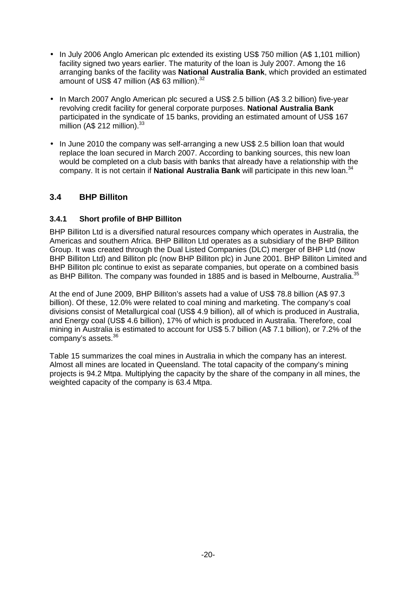- In July 2006 Anglo American plc extended its existing US\$ 750 million (A\$ 1,101 million) facility signed two years earlier. The maturity of the loan is July 2007. Among the 16 arranging banks of the facility was **National Australia Bank**, which provided an estimated amount of US\$ 47 million (A\$ 63 million).<sup>32</sup>
- In March 2007 Anglo American plc secured a US\$ 2.5 billion (A\$ 3.2 billion) five-year revolving credit facility for general corporate purposes. **National Australia Bank** participated in the syndicate of 15 banks, providing an estimated amount of US\$ 167 million (A $$$  212 million).<sup>33</sup>
- In June 2010 the company was self-arranging a new US\$ 2.5 billion loan that would replace the loan secured in March 2007. According to banking sources, this new loan would be completed on a club basis with banks that already have a relationship with the company. It is not certain if **National Australia Bank** will participate in this new loan.<sup>34</sup>

# **3.4 BHP Billiton**

#### **3.4.1 Short profile of BHP Billiton**

BHP Billiton Ltd is a diversified natural resources company which operates in Australia, the Americas and southern Africa. BHP Billiton Ltd operates as a subsidiary of the BHP Billiton Group. It was created through the Dual Listed Companies (DLC) merger of BHP Ltd (now BHP Billiton Ltd) and Billiton plc (now BHP Billiton plc) in June 2001. BHP Billiton Limited and BHP Billiton plc continue to exist as separate companies, but operate on a combined basis as BHP Billiton. The company was founded in 1885 and is based in Melbourne, Australia.<sup>35</sup>

At the end of June 2009, BHP Billiton's assets had a value of US\$ 78.8 billion (A\$ 97.3 billion). Of these, 12.0% were related to coal mining and marketing. The company's coal divisions consist of Metallurgical coal (US\$ 4.9 billion), all of which is produced in Australia, and Energy coal (US\$ 4.6 billion), 17% of which is produced in Australia. Therefore, coal mining in Australia is estimated to account for US\$ 5.7 billion (A\$ 7.1 billion), or 7.2% of the company's assets.<sup>36</sup>

Table 15 summarizes the coal mines in Australia in which the company has an interest. Almost all mines are located in Queensland. The total capacity of the company's mining projects is 94.2 Mtpa. Multiplying the capacity by the share of the company in all mines, the weighted capacity of the company is 63.4 Mtpa.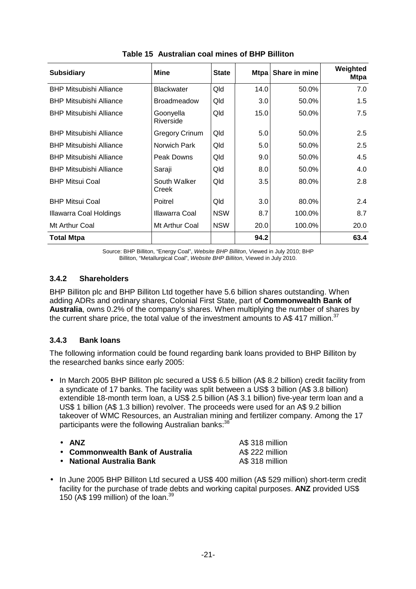| <b>Subsidiary</b>              | Mine                   | <b>State</b> | <b>Mtpa</b> | Share in mine | Weighted<br><b>Mtpa</b> |
|--------------------------------|------------------------|--------------|-------------|---------------|-------------------------|
| <b>BHP Mitsubishi Alliance</b> | <b>Blackwater</b>      | <b>Qld</b>   | 14.0        | 50.0%         | 7.0                     |
| <b>BHP Mitsubishi Alliance</b> | <b>Broadmeadow</b>     | Qld          | 3.0         | 50.0%         | 1.5                     |
| <b>BHP Mitsubishi Alliance</b> | Goonyella<br>Riverside | Qld          | 15.0        | 50.0%         | 7.5                     |
| <b>BHP Mitsubishi Alliance</b> | <b>Gregory Crinum</b>  | Qld          | 5.0         | 50.0%         | 2.5                     |
| <b>BHP Mitsubishi Alliance</b> | Norwich Park           | Qld          | 5.0         | 50.0%         | 2.5                     |
| <b>BHP Mitsubishi Alliance</b> | Peak Downs             | Qld          | 9.0         | 50.0%         | 4.5                     |
| <b>BHP Mitsubishi Alliance</b> | Saraji                 | Qld          | 8.0         | 50.0%         | 4.0                     |
| <b>BHP Mitsui Coal</b>         | South Walker<br>Creek  | Qld          | 3.5         | 80.0%         | 2.8                     |
| <b>BHP Mitsui Coal</b>         | Poitrel                | Qld          | 3.0         | 80.0%         | 2.4                     |
| Illawarra Coal Holdings        | Illawarra Coal         | <b>NSW</b>   | 8.7         | 100.0%        | 8.7                     |
| Mt Arthur Coal                 | Mt Arthur Coal         | <b>NSW</b>   | 20.0        | 100.0%        | 20.0                    |
| <b>Total Mtpa</b>              |                        |              | 94.2        |               | 63.4                    |

**Table 15 Australian coal mines of BHP Billiton** 

Source: BHP Billiton, "Energy Coal", Website BHP Billiton, Viewed in July 2010; BHP Billiton, "Metallurgical Coal", Website BHP Billiton, Viewed in July 2010.

# **3.4.2 Shareholders**

BHP Billiton plc and BHP Billiton Ltd together have 5.6 billion shares outstanding. When adding ADRs and ordinary shares, Colonial First State, part of **Commonwealth Bank of Australia**, owns 0.2% of the company's shares. When multiplying the number of shares by the current share price, the total value of the investment amounts to A\$ 417 million. $37$ 

#### **3.4.3 Bank loans**

The following information could be found regarding bank loans provided to BHP Billiton by the researched banks since early 2005:

• In March 2005 BHP Billiton plc secured a US\$ 6.5 billion (A\$ 8.2 billion) credit facility from a syndicate of 17 banks. The facility was split between a US\$ 3 billion (A\$ 3.8 billion) extendible 18-month term loan, a US\$ 2.5 billion (A\$ 3.1 billion) five-year term loan and a US\$ 1 billion (A\$ 1.3 billion) revolver. The proceeds were used for an A\$ 9.2 billion takeover of WMC Resources, an Australian mining and fertilizer company. Among the 17 participants were the following Australian banks:<sup>38</sup>

| $\bullet$ ANZ                    | A\$ 318 million |
|----------------------------------|-----------------|
| • Commonwealth Bank of Australia | A\$ 222 million |
| • National Australia Bank        | A\$ 318 million |

• In June 2005 BHP Billiton Ltd secured a US\$ 400 million (A\$ 529 million) short-term credit facility for the purchase of trade debts and working capital purposes. **ANZ** provided US\$ 150 (A\$ 199 million) of the loan.<sup>39</sup>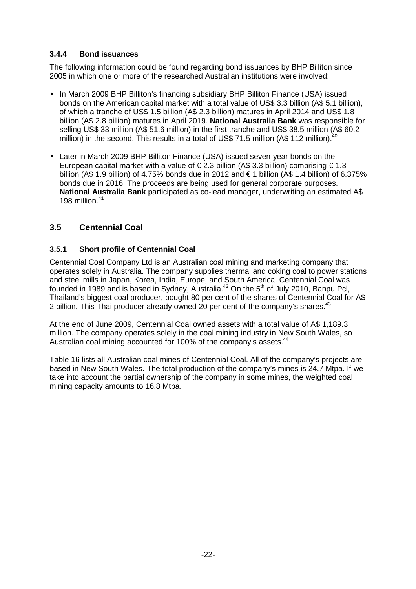#### **3.4.4 Bond issuances**

The following information could be found regarding bond issuances by BHP Billiton since 2005 in which one or more of the researched Australian institutions were involved:

- In March 2009 BHP Billiton's financing subsidiary BHP Billiton Finance (USA) issued bonds on the American capital market with a total value of US\$ 3.3 billion (A\$ 5.1 billion), of which a tranche of US\$ 1.5 billion (A\$ 2.3 billion) matures in April 2014 and US\$ 1.8 billion (A\$ 2.8 billion) matures in April 2019. **National Australia Bank** was responsible for selling US\$ 33 million (A\$ 51.6 million) in the first tranche and US\$ 38.5 million (A\$ 60.2 million) in the second. This results in a total of US\$ 71.5 million (A\$ 112 million). $^{4}$
- Later in March 2009 BHP Billiton Finance (USA) issued seven-year bonds on the European capital market with a value of  $\in$  2.3 billion (A\$ 3.3 billion) comprising  $\in$  1.3 billion (A\$ 1.9 billion) of 4.75% bonds due in 2012 and  $\in$  1 billion (A\$ 1.4 billion) of 6.375% bonds due in 2016. The proceeds are being used for general corporate purposes. **National Australia Bank** participated as co-lead manager, underwriting an estimated A\$ 198 million $41$

# **3.5 Centennial Coal**

# **3.5.1 Short profile of Centennial Coal**

Centennial Coal Company Ltd is an Australian coal mining and marketing company that operates solely in Australia. The company supplies thermal and coking coal to power stations and steel mills in Japan, Korea, India, Europe, and South America. Centennial Coal was founded in 1989 and is based in Sydney, Australia.<sup>42</sup> On the 5th of July 2010, Banpu Pcl, Thailand's biggest coal producer, bought 80 per cent of the shares of Centennial Coal for A\$ 2 billion. This Thai producer already owned 20 per cent of the company's shares.<sup>43</sup>

At the end of June 2009, Centennial Coal owned assets with a total value of A\$ 1,189.3 million. The company operates solely in the coal mining industry in New South Wales, so Australian coal mining accounted for 100% of the company's assets.<sup>44</sup>

Table 16 lists all Australian coal mines of Centennial Coal. All of the company's projects are based in New South Wales. The total production of the company's mines is 24.7 Mtpa. If we take into account the partial ownership of the company in some mines, the weighted coal mining capacity amounts to 16.8 Mtpa.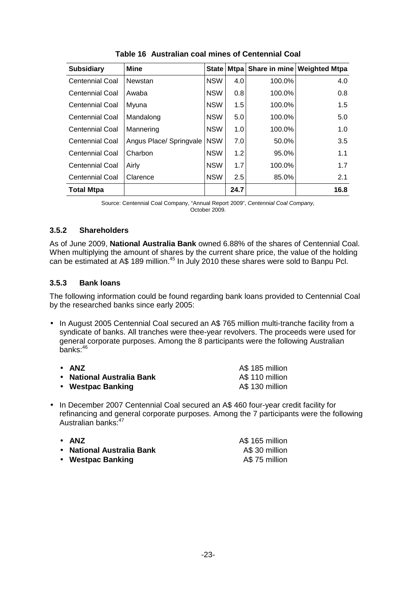| <b>Subsidiary</b>      | <b>Mine</b>             | <b>State</b> | <b>Mtpa</b> |        | Share in mine Weighted Mtpa |
|------------------------|-------------------------|--------------|-------------|--------|-----------------------------|
| Centennial Coal        | Newstan                 | <b>NSW</b>   | 4.0         | 100.0% | 4.0                         |
| Centennial Coal        | Awaba                   | <b>NSW</b>   | 0.8         | 100.0% | 0.8                         |
| <b>Centennial Coal</b> | Myuna                   | <b>NSW</b>   | 1.5         | 100.0% | 1.5                         |
| <b>Centennial Coal</b> | Mandalong               | <b>NSW</b>   | 5.0         | 100.0% | 5.0                         |
| <b>Centennial Coal</b> | Mannering               | <b>NSW</b>   | 1.0         | 100.0% | 1.0                         |
| <b>Centennial Coal</b> | Angus Place/ Springvale | <b>NSW</b>   | 7.0         | 50.0%  | 3.5                         |
| Centennial Coal        | Charbon                 | <b>NSW</b>   | 1.2         | 95.0%  | 1.1                         |
| <b>Centennial Coal</b> | Airly                   | <b>NSW</b>   | 1.7         | 100.0% | 1.7                         |
| <b>Centennial Coal</b> | Clarence                | <b>NSW</b>   | 2.5         | 85.0%  | 2.1                         |
| <b>Total Mtpa</b>      |                         |              | 24.7        |        | 16.8                        |

**Table 16 Australian coal mines of Centennial Coal** 

Source: Centennial Coal Company, "Annual Report 2009", Centennial Coal Company, October 2009.

# **3.5.2 Shareholders**

As of June 2009, **National Australia Bank** owned 6.88% of the shares of Centennial Coal. When multiplying the amount of shares by the current share price, the value of the holding can be estimated at A\$ 189 million.<sup>45</sup> In July 2010 these shares were sold to Banpu Pcl.

#### **3.5.3 Bank loans**

The following information could be found regarding bank loans provided to Centennial Coal by the researched banks since early 2005:

• In August 2005 Centennial Coal secured an A\$ 765 million multi-tranche facility from a syndicate of banks. All tranches were thee-year revolvers. The proceeds were used for general corporate purposes. Among the 8 participants were the following Australian banks:<sup>46</sup>

| $\bullet$ anz             | A\$ 185 million |
|---------------------------|-----------------|
| • National Australia Bank | A\$ 110 million |
| • Westpac Banking         | A\$ 130 million |

• In December 2007 Centennial Coal secured an A\$ 460 four-year credit facility for refinancing and general corporate purposes. Among the 7 participants were the following Australian banks:<sup>47</sup>

| • ANZ                     | A\$ 165 million |
|---------------------------|-----------------|
| • National Australia Bank | A\$ 30 million  |
| • Westpac Banking         | A\$75 million   |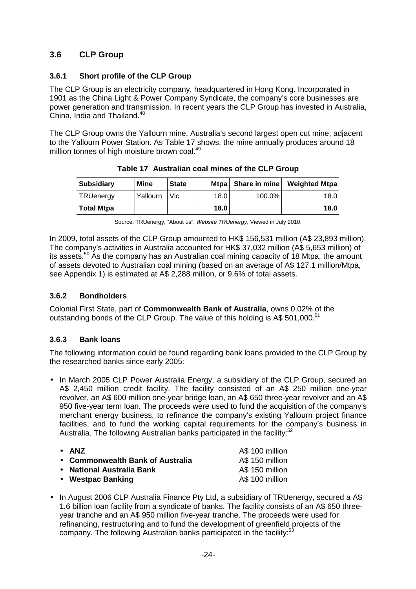# **3.6 CLP Group**

#### **3.6.1 Short profile of the CLP Group**

The CLP Group is an electricity company, headquartered in Hong Kong. Incorporated in 1901 as the China Light & Power Company Syndicate, the company's core businesses are power generation and transmission. In recent years the CLP Group has invested in Australia, China, India and Thailand.<sup>48</sup>

The CLP Group owns the Yallourn mine, Australia's second largest open cut mine, adjacent to the Yallourn Power Station. As Table 17 shows, the mine annually produces around 18 million tonnes of high moisture brown coal.<sup>49</sup>

| <b>Subsidiary</b> | Mine     | <b>State</b> | <b>Mtpa</b> | Share in mine | <b>Weighted Mtpa</b> |
|-------------------|----------|--------------|-------------|---------------|----------------------|
| TRUenergy         | Yallourn | Vic          | 18.0        | 100.0%        | 18.0                 |
| <b>Total Mtpa</b> |          |              | 18.0        |               | 18.0                 |

| Table 17 Australian coal mines of the CLP Group |  |
|-------------------------------------------------|--|
|                                                 |  |

In 2009, total assets of the CLP Group amounted to HK\$ 156,531 million (A\$ 23,893 million). The company's activities in Australia accounted for HK\$ 37,032 million (A\$ 5,653 million) of its assets. $50$  As the company has an Australian coal mining capacity of 18 Mtpa, the amount of assets devoted to Australian coal mining (based on an average of A\$ 127.1 million/Mtpa, see Appendix 1) is estimated at A\$ 2,288 million, or 9.6% of total assets.

#### **3.6.2 Bondholders**

Colonial First State, part of **Commonwealth Bank of Australia**, owns 0.02% of the outstanding bonds of the CLP Group. The value of this holding is A\$ 501,000.<sup>51</sup>

#### **3.6.3 Bank loans**

The following information could be found regarding bank loans provided to the CLP Group by the researched banks since early 2005:

• In March 2005 CLP Power Australia Energy, a subsidiary of the CLP Group, secured an A\$ 2,450 million credit facility. The facility consisted of an A\$ 250 million one-year revolver, an A\$ 600 million one-year bridge loan, an A\$ 650 three-year revolver and an A\$ 950 five-year term loan. The proceeds were used to fund the acquisition of the company's merchant energy business, to refinance the company's existing Yallourn project finance facilities, and to fund the working capital requirements for the company's business in Australia. The following Australian banks participated in the facility:<sup>52</sup>

| $\bullet$ anz                    | A\$ 100 million |
|----------------------------------|-----------------|
| • Commonwealth Bank of Australia | A\$ 150 million |
| • National Australia Bank        | A\$ 150 million |
| • Westpac Banking                | A\$ 100 million |

• In August 2006 CLP Australia Finance Pty Ltd, a subsidiary of TRUenergy, secured a A\$ 1.6 billion loan facility from a syndicate of banks. The facility consists of an A\$ 650 threeyear tranche and an A\$ 950 million five-year tranche. The proceeds were used for refinancing, restructuring and to fund the development of greenfield projects of the company. The following Australian banks participated in the facility:<sup>5</sup>

Source: TRUenergy, "About us", Website TRUenergy, Viewed in July 2010.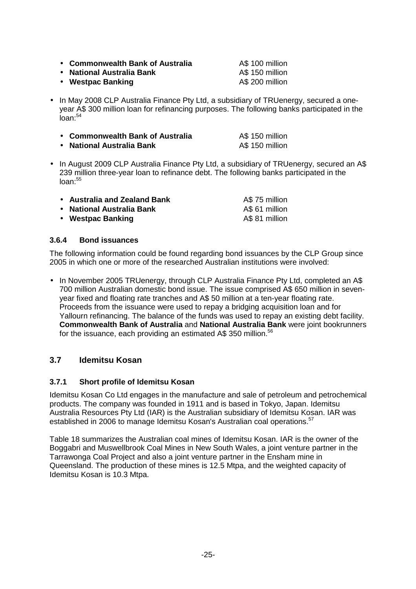• **Commonwealth Bank of Australia** A\$ 100 million

• **National Australia Bank A\$ 150 million**<br>• Westpac Banking **AS 200 million** 

- Westpac Banking
- In May 2008 CLP Australia Finance Pty Ltd, a subsidiary of TRUenergy, secured a oneyear A\$ 300 million loan for refinancing purposes. The following banks participated in the  $I$ oan: $54$

| • Commonwealth Bank of Australia | A\$ 150 million |
|----------------------------------|-----------------|
| • National Australia Bank        | A\$ 150 million |

• In August 2009 CLP Australia Finance Pty Ltd, a subsidiary of TRUenergy, secured an A\$ 239 million three-year loan to refinance debt. The following banks participated in the  $lnan.55$ 

| • Australia and Zealand Bank | A\$ 75 million |
|------------------------------|----------------|
| • National Australia Bank    | A\$ 61 million |
| • Westpac Banking            | A\$ 81 million |

# **3.6.4 Bond issuances**

The following information could be found regarding bond issuances by the CLP Group since 2005 in which one or more of the researched Australian institutions were involved:

• In November 2005 TRUenergy, through CLP Australia Finance Pty Ltd, completed an A\$ 700 million Australian domestic bond issue. The issue comprised A\$ 650 million in sevenyear fixed and floating rate tranches and A\$ 50 million at a ten-year floating rate. Proceeds from the issuance were used to repay a bridging acquisition loan and for Yallourn refinancing. The balance of the funds was used to repay an existing debt facility. **Commonwealth Bank of Australia** and **National Australia Bank** were joint bookrunners for the issuance, each providing an estimated A\$ 350 million.<sup>56</sup>

# **3.7 Idemitsu Kosan**

# **3.7.1 Short profile of Idemitsu Kosan**

Idemitsu Kosan Co Ltd engages in the manufacture and sale of petroleum and petrochemical products. The company was founded in 1911 and is based in Tokyo, Japan. Idemitsu Australia Resources Pty Ltd (IAR) is the Australian subsidiary of Idemitsu Kosan. IAR was established in 2006 to manage Idemitsu Kosan's Australian coal operations.<sup>57</sup>

Table 18 summarizes the Australian coal mines of Idemitsu Kosan. IAR is the owner of the Boggabri and Muswellbrook Coal Mines in New South Wales, a joint venture partner in the Tarrawonga Coal Project and also a joint venture partner in the Ensham mine in Queensland. The production of these mines is 12.5 Mtpa, and the weighted capacity of Idemitsu Kosan is 10.3 Mtpa.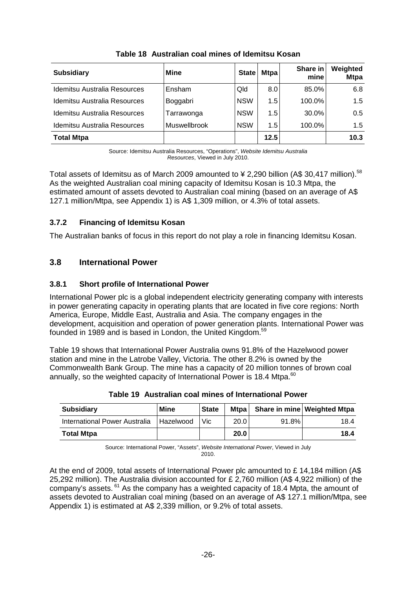| <b>Subsidiary</b>                   | <b>Mine</b>  | <b>State</b> | <b>Mtpa</b> | Share in<br>mine | Weighted<br><b>Mtpa</b> |
|-------------------------------------|--------------|--------------|-------------|------------------|-------------------------|
| <b>Idemitsu Australia Resources</b> | Ensham       | Qld          | 8.0         | 85.0%            | 6.8                     |
| Idemitsu Australia Resources        | Boggabri     | <b>NSW</b>   | 1.5         | 100.0%           | 1.5                     |
| <b>Idemitsu Australia Resources</b> | Tarrawonga   | <b>NSW</b>   | 1.5         | 30.0%            | 0.5                     |
| Idemitsu Australia Resources        | Muswellbrook | <b>NSW</b>   | 1.5         | 100.0%           | 1.5                     |
| <b>Total Mtpa</b>                   |              |              | 12.5        |                  | 10.3                    |

**Table 18 Australian coal mines of Idemitsu Kosan** 

Source: Idemitsu Australia Resources, "Operations", Website Idemitsu Australia Resources, Viewed in July 2010.

Total assets of Idemitsu as of March 2009 amounted to  $\frac{1}{2}$  2.290 billion (A\$ 30.417 million).<sup>58</sup> As the weighted Australian coal mining capacity of Idemitsu Kosan is 10.3 Mtpa, the estimated amount of assets devoted to Australian coal mining (based on an average of A\$ 127.1 million/Mtpa, see Appendix 1) is A\$ 1,309 million, or 4.3% of total assets.

# **3.7.2 Financing of Idemitsu Kosan**

The Australian banks of focus in this report do not play a role in financing Idemitsu Kosan.

# **3.8 International Power**

# **3.8.1 Short profile of International Power**

International Power plc is a global independent electricity generating company with interests in power generating capacity in operating plants that are located in five core regions: North America, Europe, Middle East, Australia and Asia. The company engages in the development, acquisition and operation of power generation plants. International Power was founded in 1989 and is based in London, the United Kingdom.<sup>59</sup>

Table 19 shows that International Power Australia owns 91.8% of the Hazelwood power station and mine in the Latrobe Valley, Victoria. The other 8.2% is owned by the Commonwealth Bank Group. The mine has a capacity of 20 million tonnes of brown coal annually, so the weighted capacity of International Power is 18.4 Mtpa.<sup>60</sup>

| <b>Subsidiary</b>             | Mine             | <b>State</b> | Mtpal |          | Share in mine Weighted Mtpa |
|-------------------------------|------------------|--------------|-------|----------|-----------------------------|
| International Power Australia | <b>Hazelwood</b> | Vic.         | 20.0  | $91.8\%$ | 18.4                        |
| <b>Total Mtpa</b>             |                  |              | 20.0  |          | 18.4                        |

**Table 19 Australian coal mines of International Power** 

Source: International Power, "Assets", Website International Power, Viewed in July 2010.

At the end of 2009, total assets of International Power plc amounted to £ 14,184 million (A\$ 25,292 million). The Australia division accounted for £ 2,760 million (A\$ 4,922 million) of the company's assets.  $61$  As the company has a weighted capacity of 18.4 Mpta, the amount of assets devoted to Australian coal mining (based on an average of A\$ 127.1 million/Mtpa, see Appendix 1) is estimated at A\$ 2,339 million, or 9.2% of total assets.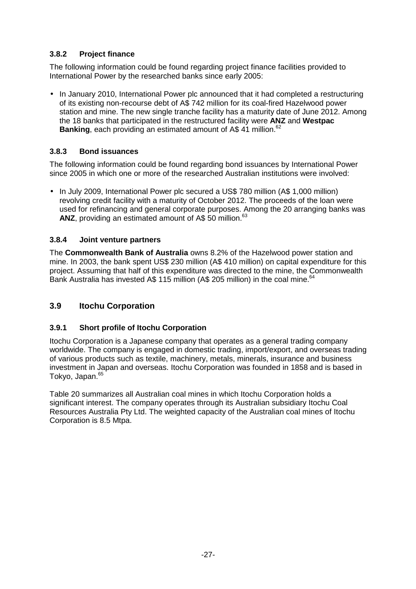# **3.8.2 Project finance**

The following information could be found regarding project finance facilities provided to International Power by the researched banks since early 2005:

• In January 2010, International Power plc announced that it had completed a restructuring of its existing non-recourse debt of A\$ 742 million for its coal-fired Hazelwood power station and mine. The new single tranche facility has a maturity date of June 2012. Among the 18 banks that participated in the restructured facility were **ANZ** and **Westpac Banking**, each providing an estimated amount of A\$ 41 million.<sup>62</sup>

# **3.8.3 Bond issuances**

The following information could be found regarding bond issuances by International Power since 2005 in which one or more of the researched Australian institutions were involved:

• In July 2009, International Power plc secured a US\$ 780 million (A\$ 1,000 million) revolving credit facility with a maturity of October 2012. The proceeds of the loan were used for refinancing and general corporate purposes. Among the 20 arranging banks was ANZ, providing an estimated amount of A\$ 50 million.<sup>63</sup>

#### **3.8.4 Joint venture partners**

The **Commonwealth Bank of Australia** owns 8.2% of the Hazelwood power station and mine. In 2003, the bank spent US\$ 230 million (A\$ 410 million) on capital expenditure for this project. Assuming that half of this expenditure was directed to the mine, the Commonwealth Bank Australia has invested A\$ 115 million (A\$ 205 million) in the coal mine.<sup>64</sup>

# **3.9 Itochu Corporation**

#### **3.9.1 Short profile of Itochu Corporation**

Itochu Corporation is a Japanese company that operates as a general trading company worldwide. The company is engaged in domestic trading, import/export, and overseas trading of various products such as textile, machinery, metals, minerals, insurance and business investment in Japan and overseas. Itochu Corporation was founded in 1858 and is based in Tokyo, Japan.<sup>65</sup>

Table 20 summarizes all Australian coal mines in which Itochu Corporation holds a significant interest. The company operates through its Australian subsidiary Itochu Coal Resources Australia Pty Ltd. The weighted capacity of the Australian coal mines of Itochu Corporation is 8.5 Mtpa.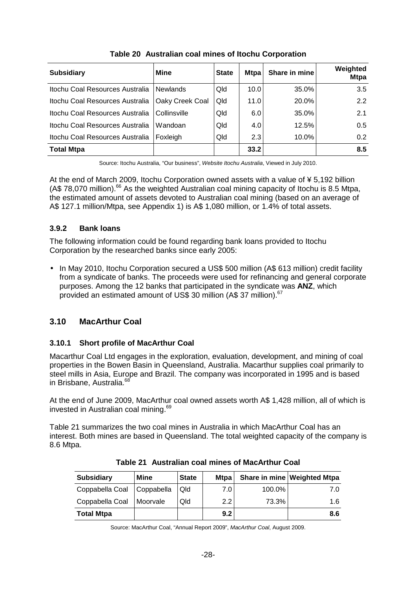| <b>Subsidiary</b>               | <b>Mine</b>     | <b>State</b> | <b>Mtpa</b> | Share in mine | Weighted<br><b>Mtpa</b> |
|---------------------------------|-----------------|--------------|-------------|---------------|-------------------------|
| Itochu Coal Resources Australia | <b>Newlands</b> | Qld          | 10.0        | 35.0%         | 3.5                     |
| Itochu Coal Resources Australia | Oaky Creek Coal | Qld          | 11.0        | 20.0%         | 2.2                     |
| Itochu Coal Resources Australia | Collinsville    | Qld          | 6.0         | 35.0%         | 2.1                     |
| Itochu Coal Resources Australia | Wandoan         | Qld          | 4.0         | 12.5%         | 0.5                     |
| Itochu Coal Resources Australia | Foxleigh        | Qld          | 2.3         | 10.0%         | 0.2                     |
| <b>Total Mtpa</b>               |                 |              | 33.2        |               | 8.5                     |

**Table 20 Australian coal mines of Itochu Corporation** 

Source: Itochu Australia, "Our business", Website Itochu Australia, Viewed in July 2010.

At the end of March 2009, Itochu Corporation owned assets with a value of ¥ 5,192 billion (A\$ 78,070 million).<sup>66</sup> As the weighted Australian coal mining capacity of Itochu is 8.5 Mtpa, the estimated amount of assets devoted to Australian coal mining (based on an average of A\$ 127.1 million/Mtpa, see Appendix 1) is A\$ 1,080 million, or 1.4% of total assets.

#### **3.9.2 Bank loans**

The following information could be found regarding bank loans provided to Itochu Corporation by the researched banks since early 2005:

• In May 2010, Itochu Corporation secured a US\$ 500 million (A\$ 613 million) credit facility from a syndicate of banks. The proceeds were used for refinancing and general corporate purposes. Among the 12 banks that participated in the syndicate was **ANZ**, which provided an estimated amount of US\$ 30 million (A\$ 37 million).<sup>67</sup>

# **3.10 MacArthur Coal**

#### **3.10.1 Short profile of MacArthur Coal**

Macarthur Coal Ltd engages in the exploration, evaluation, development, and mining of coal properties in the Bowen Basin in Queensland, Australia. Macarthur supplies coal primarily to steel mills in Asia, Europe and Brazil. The company was incorporated in 1995 and is based in Brisbane, Australia.<sup>68</sup>

At the end of June 2009, MacArthur coal owned assets worth A\$ 1,428 million, all of which is invested in Australian coal mining.<sup>69</sup>

Table 21 summarizes the two coal mines in Australia in which MacArthur Coal has an interest. Both mines are based in Queensland. The total weighted capacity of the company is 8.6 Mtpa.

| <b>Subsidiary</b>          | Mine     | <b>State</b> | <b>Mtpa</b> |        | Share in mine Weighted Mtpa |
|----------------------------|----------|--------------|-------------|--------|-----------------------------|
| Coppabella Coal Coppabella |          | Qld          | 7.0         | 100.0% | 7.0                         |
| Coppabella Coal            | Moorvale | Qld          | 2.2         | 73.3%  | 1.6                         |
| <b>Total Mtpa</b>          |          |              | 9.2         |        | 8.6                         |

**Table 21 Australian coal mines of MacArthur Coal** 

Source: MacArthur Coal, "Annual Report 2009", MacArthur Coal, August 2009.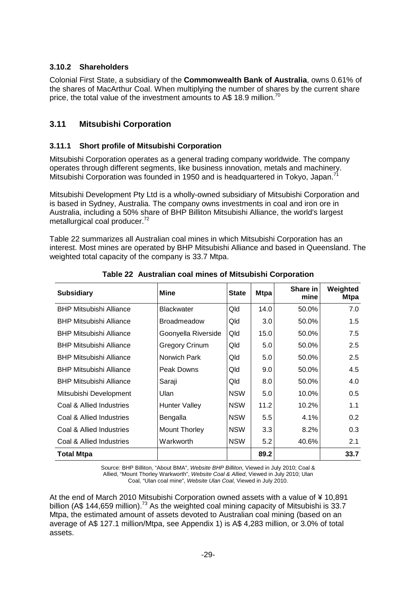#### **3.10.2 Shareholders**

Colonial First State, a subsidiary of the **Commonwealth Bank of Australia**, owns 0.61% of the shares of MacArthur Coal. When multiplying the number of shares by the current share price, the total value of the investment amounts to A\$ 18.9 million.<sup>70</sup>

# **3.11 Mitsubishi Corporation**

# **3.11.1 Short profile of Mitsubishi Corporation**

Mitsubishi Corporation operates as a general trading company worldwide. The company operates through different segments, like business innovation, metals and machinery. Mitsubishi Corporation was founded in 1950 and is headquartered in Tokyo, Japan.<sup>7</sup>

Mitsubishi Development Pty Ltd is a wholly-owned subsidiary of Mitsubishi Corporation and is based in Sydney, Australia. The company owns investments in coal and iron ore in Australia, including a 50% share of BHP Billiton Mitsubishi Alliance, the world's largest metallurgical coal producer.<sup>72</sup>

Table 22 summarizes all Australian coal mines in which Mitsubishi Corporation has an interest. Most mines are operated by BHP Mitsubishi Alliance and based in Queensland. The weighted total capacity of the company is 33.7 Mtpa.

| <b>Subsidiary</b>              | <b>Mine</b>           | <b>State</b> | <b>Mtpa</b> | Share in<br>mine | Weighted<br><b>Mtpa</b> |
|--------------------------------|-----------------------|--------------|-------------|------------------|-------------------------|
| <b>BHP Mitsubishi Alliance</b> | <b>Blackwater</b>     | Qld          | 14.0        | 50.0%            | 7.0                     |
| <b>BHP Mitsubishi Alliance</b> | <b>Broadmeadow</b>    | Qld          | 3.0         | 50.0%            | 1.5                     |
| <b>BHP Mitsubishi Alliance</b> | Goonyella Riverside   | Qld          | 15.0        | 50.0%            | 7.5                     |
| <b>BHP Mitsubishi Alliance</b> | <b>Gregory Crinum</b> | Qld          | 5.0         | 50.0%            | 2.5                     |
| <b>BHP Mitsubishi Alliance</b> | Norwich Park          | Qld          | 5.0         | 50.0%            | 2.5                     |
| <b>BHP Mitsubishi Alliance</b> | Peak Downs            | Qld          | 9.0         | 50.0%            | 4.5                     |
| <b>BHP Mitsubishi Alliance</b> | Saraji                | Qld          | 8.0         | 50.0%            | 4.0                     |
| Mitsubishi Development         | Ulan                  | <b>NSW</b>   | 5.0         | 10.0%            | 0.5                     |
| Coal & Allied Industries       | <b>Hunter Valley</b>  | <b>NSW</b>   | 11.2        | 10.2%            | 1.1                     |
| Coal & Allied Industries       | Bengalla              | <b>NSW</b>   | 5.5         | 4.1%             | 0.2                     |
| Coal & Allied Industries       | <b>Mount Thorley</b>  | <b>NSW</b>   | 3.3         | 8.2%             | 0.3                     |
| Coal & Allied Industries       | Warkworth             | <b>NSW</b>   | 5.2         | 40.6%            | 2.1                     |
| <b>Total Mtpa</b>              |                       |              | 89.2        |                  | 33.7                    |

**Table 22 Australian coal mines of Mitsubishi Corporation** 

Source: BHP Billiton, "About BMA", Website BHP Billiton, Viewed in July 2010; Coal & Allied, "Mount Thorley Warkworth", Website Coal & Allied, Viewed in July 2010; Ulan Coal, "Ulan coal mine", Website Ulan Coal, Viewed in July 2010.

At the end of March 2010 Mitsubishi Corporation owned assets with a value of ¥ 10,891 billion (A\$ 144,659 million).<sup>73</sup> As the weighted coal mining capacity of Mitsubishi is 33.7 Mtpa, the estimated amount of assets devoted to Australian coal mining (based on an average of A\$ 127.1 million/Mtpa, see Appendix 1) is A\$ 4,283 million, or 3.0% of total assets.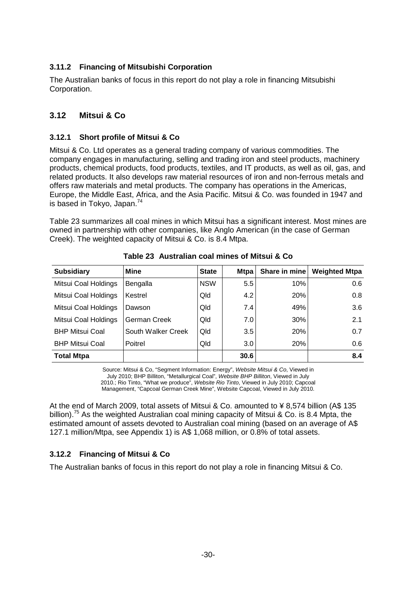### **3.11.2 Financing of Mitsubishi Corporation**

The Australian banks of focus in this report do not play a role in financing Mitsubishi Corporation.

## **3.12 Mitsui & Co**

#### **3.12.1 Short profile of Mitsui & Co**

Mitsui & Co. Ltd operates as a general trading company of various commodities. The company engages in manufacturing, selling and trading iron and steel products, machinery products, chemical products, food products, textiles, and IT products, as well as oil, gas, and related products. It also develops raw material resources of iron and non-ferrous metals and offers raw materials and metal products. The company has operations in the Americas, Europe, the Middle East, Africa, and the Asia Pacific. Mitsui & Co. was founded in 1947 and is based in Tokyo, Japan.<sup>74</sup>

Table 23 summarizes all coal mines in which Mitsui has a significant interest. Most mines are owned in partnership with other companies, like Anglo American (in the case of German Creek). The weighted capacity of Mitsui & Co. is 8.4 Mtpa.

| <b>Subsidiary</b>      | Mine               | <b>State</b> | <b>Mtpa</b>   | Share in mine | <b>Weighted Mtpa</b> |
|------------------------|--------------------|--------------|---------------|---------------|----------------------|
| Mitsui Coal Holdings   | Bengalla           | <b>NSW</b>   | $5.5^{\circ}$ | 10%           | 0.6                  |
| Mitsui Coal Holdings   | Kestrel            | Qld          | 4.2           | 20%           | 0.8                  |
| Mitsui Coal Holdings   | Dawson             | Qld          | 7.4           | 49%           | 3.6                  |
| Mitsui Coal Holdings   | German Creek       | Qld          | 7.0           | 30%           | 2.1                  |
| <b>BHP Mitsui Coal</b> | South Walker Creek | Qld          | 3.5           | 20%           | 0.7                  |
| <b>BHP Mitsui Coal</b> | Poitrel            | Qld          | 3.0           | 20%           | 0.6                  |
| <b>Total Mtpa</b>      |                    |              | 30.6          |               | 8.4                  |

**Table 23 Australian coal mines of Mitsui & Co** 

Source: Mitsui & Co, "Segment Information: Energy", Website Mitsui & Co, Viewed in July 2010; BHP Billiton, "Metallurgical Coal", Website BHP Billiton, Viewed in July 2010.; Rio Tinto, "What we produce", Website Rio Tinto, Viewed in July 2010; Capcoal Management, "Capcoal German Creek Mine", Website Capcoal, Viewed in July 2010.

At the end of March 2009, total assets of Mitsui & Co. amounted to ¥ 8,574 billion (A\$ 135 billion).<sup>75</sup> As the weighted Australian coal mining capacity of Mitsui & Co. is 8.4 Mpta, the estimated amount of assets devoted to Australian coal mining (based on an average of A\$ 127.1 million/Mtpa, see Appendix 1) is A\$ 1,068 million, or 0.8% of total assets.

## **3.12.2 Financing of Mitsui & Co**

The Australian banks of focus in this report do not play a role in financing Mitsui & Co.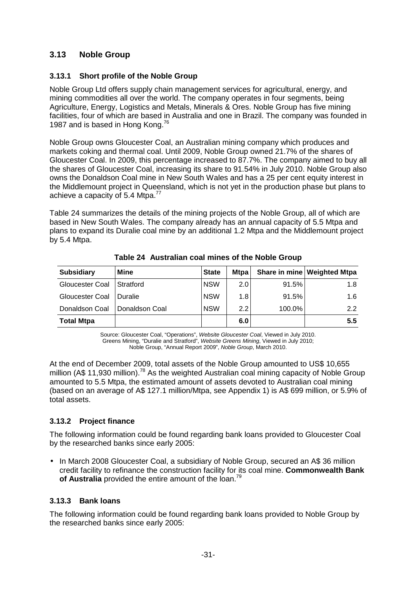## **3.13 Noble Group**

#### **3.13.1 Short profile of the Noble Group**

Noble Group Ltd offers supply chain management services for agricultural, energy, and mining commodities all over the world. The company operates in four segments, being Agriculture, Energy, Logistics and Metals, Minerals & Ores. Noble Group has five mining facilities, four of which are based in Australia and one in Brazil. The company was founded in 1987 and is based in Hong Kong.<sup>76</sup>

Noble Group owns Gloucester Coal, an Australian mining company which produces and markets coking and thermal coal. Until 2009, Noble Group owned 21.7% of the shares of Gloucester Coal. In 2009, this percentage increased to 87.7%. The company aimed to buy all the shares of Gloucester Coal, increasing its share to 91.54% in July 2010. Noble Group also owns the Donaldson Coal mine in New South Wales and has a 25 per cent equity interest in the Middlemount project in Queensland, which is not yet in the production phase but plans to achieve a capacity of 5.4 Mtpa.<sup>77</sup>

Table 24 summarizes the details of the mining projects of the Noble Group, all of which are based in New South Wales. The company already has an annual capacity of 5.5 Mtpa and plans to expand its Duralie coal mine by an additional 1.2 Mtpa and the Middlemount project by 5.4 Mtpa.

| <b>Subsidiary</b> | Mine             | <b>State</b> | <b>Mtpa</b> |        | Share in mine Weighted Mtpa |
|-------------------|------------------|--------------|-------------|--------|-----------------------------|
| Gloucester Coal   | <b>Stratford</b> | <b>NSW</b>   | 2.01        | 91.5%  | 1.8                         |
| Gloucester Coal   | l Duralie        | <b>NSW</b>   | 1.8         | 91.5%  | 1.6                         |
| Donaldson Coal    | Donaldson Coal   | <b>NSW</b>   | 2.2         | 100.0% | 2.2                         |
| <b>Total Mtpa</b> |                  |              | 6.0         |        | 5.5                         |

**Table 24 Australian coal mines of the Noble Group** 

Source: Gloucester Coal, "Operations", Website Gloucester Coal, Viewed in July 2010. Greens Mining, "Duralie and Stratford", Website Greens Mining, Viewed in July 2010; Noble Group, "Annual Report 2009", Noble Group, March 2010.

At the end of December 2009, total assets of the Noble Group amounted to US\$ 10,655 million (A\$ 11,930 million).<sup>78</sup> As the weighted Australian coal mining capacity of Noble Group amounted to 5.5 Mtpa, the estimated amount of assets devoted to Australian coal mining (based on an average of A\$ 127.1 million/Mtpa, see Appendix 1) is A\$ 699 million, or 5.9% of total assets.

## **3.13.2 Project finance**

The following information could be found regarding bank loans provided to Gloucester Coal by the researched banks since early 2005:

• In March 2008 Gloucester Coal, a subsidiary of Noble Group, secured an A\$36 million credit facility to refinance the construction facility for its coal mine. **Commonwealth Bank**  of Australia provided the entire amount of the loan.<sup>79</sup>

## **3.13.3 Bank loans**

The following information could be found regarding bank loans provided to Noble Group by the researched banks since early 2005: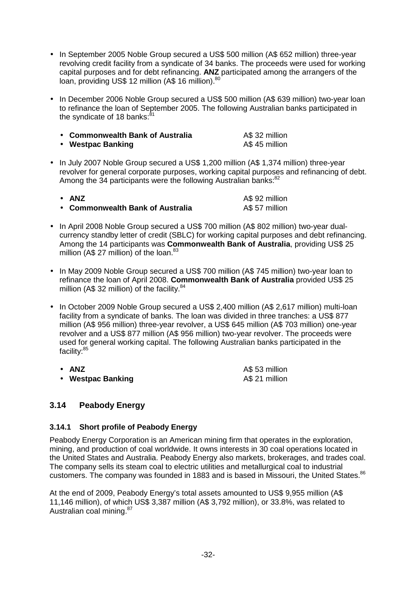- In September 2005 Noble Group secured a US\$ 500 million (A\$ 652 million) three-year revolving credit facility from a syndicate of 34 banks. The proceeds were used for working capital purposes and for debt refinancing. **ANZ** participated among the arrangers of the loan, providing US\$ 12 million (A\$ 16 million).<sup>80</sup>
- In December 2006 Noble Group secured a US\$ 500 million (A\$ 639 million) two-year loan to refinance the loan of September 2005. The following Australian banks participated in the syndicate of 18 banks: $81$

| • Commonwealth Bank of Australia | A\$ 32 million |
|----------------------------------|----------------|
| • Westpac Banking                | A\$ 45 million |

• In July 2007 Noble Group secured a US\$ 1,200 million (A\$ 1,374 million) three-year revolver for general corporate purposes, working capital purposes and refinancing of debt. Among the 34 participants were the following Australian banks:<sup>82</sup>

| $\bullet$ ANZ                    | A\$ 92 million |
|----------------------------------|----------------|
| • Commonwealth Bank of Australia | A\$ 57 million |

- In April 2008 Noble Group secured a US\$ 700 million (A\$ 802 million) two-year dualcurrency standby letter of credit (SBLC) for working capital purposes and debt refinancing. Among the 14 participants was **Commonwealth Bank of Australia**, providing US\$ 25 million (A\$ 27 million) of the loan. $83$
- In May 2009 Noble Group secured a US\$ 700 million (A\$ 745 million) two-year loan to refinance the loan of April 2008. **Commonwealth Bank of Australia** provided US\$ 25 million (A\$ 32 million) of the facility. $84$
- In October 2009 Noble Group secured a US\$ 2,400 million (A\$ 2,617 million) multi-loan facility from a syndicate of banks. The loan was divided in three tranches: a US\$ 877 million (A\$ 956 million) three-year revolver, a US\$ 645 million (A\$ 703 million) one-year revolver and a US\$ 877 million (A\$ 956 million) two-year revolver. The proceeds were used for general working capital. The following Australian banks participated in the facility:<sup>85</sup>

| • ANZ             | A\$ 53 million |
|-------------------|----------------|
| • Westpac Banking | A\$ 21 million |

## **3.14 Peabody Energy**

#### **3.14.1 Short profile of Peabody Energy**

Peabody Energy Corporation is an American mining firm that operates in the exploration, mining, and production of coal worldwide. It owns interests in 30 coal operations located in the United States and Australia. Peabody Energy also markets, brokerages, and trades coal. The company sells its steam coal to electric utilities and metallurgical coal to industrial customers. The company was founded in 1883 and is based in Missouri, the United States.<sup>86</sup>

At the end of 2009, Peabody Energy's total assets amounted to US\$ 9,955 million (A\$ 11,146 million), of which US\$ 3,387 million (A\$ 3,792 million), or 33.8%, was related to Australian coal mining. 87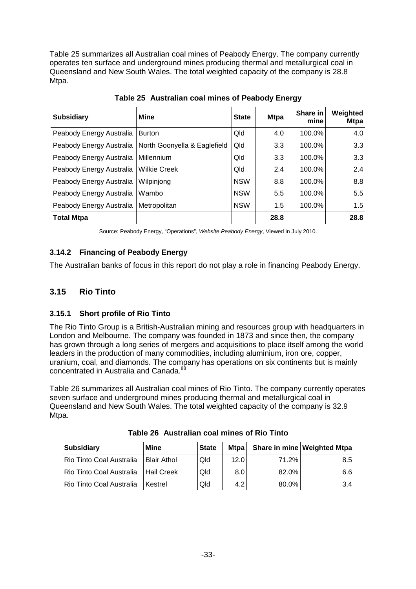Table 25 summarizes all Australian coal mines of Peabody Energy. The company currently operates ten surface and underground mines producing thermal and metallurgical coal in Queensland and New South Wales. The total weighted capacity of the company is 28.8 Mtpa.

| <b>Subsidiary</b>        | Mine                         | <b>State</b> | <b>Mtpa</b> | Share in<br>mine | Weighted<br><b>Mtpa</b> |
|--------------------------|------------------------------|--------------|-------------|------------------|-------------------------|
| Peabody Energy Australia | <b>Burton</b>                | Qld          | 4.0         | 100.0%           | 4.0                     |
| Peabody Energy Australia | North Goonyella & Eaglefield | Qld          | 3.3         | 100.0%           | 3.3                     |
| Peabody Energy Australia | Millennium                   | Qld          | 3.3         | 100.0%           | 3.3                     |
| Peabody Energy Australia | <b>Wilkie Creek</b>          | Qld          | 2.4         | 100.0%           | 2.4                     |
| Peabody Energy Australia | Wilpinjong                   | <b>NSW</b>   | 8.8         | 100.0%           | 8.8                     |
| Peabody Energy Australia | Wambo                        | <b>NSW</b>   | 5.5         | 100.0%           | 5.5                     |
| Peabody Energy Australia | Metropolitan                 | <b>NSW</b>   | 1.5         | 100.0%           | 1.5                     |
| <b>Total Mtpa</b>        |                              |              | 28.8        |                  | 28.8                    |

**Table 25 Australian coal mines of Peabody Energy** 

Source: Peabody Energy, "Operations", Website Peabody Energy, Viewed in July 2010.

## **3.14.2 Financing of Peabody Energy**

The Australian banks of focus in this report do not play a role in financing Peabody Energy.

## **3.15 Rio Tinto**

#### **3.15.1 Short profile of Rio Tinto**

The Rio Tinto Group is a British-Australian mining and resources group with headquarters in London and Melbourne. The company was founded in 1873 and since then, the company has grown through a long series of mergers and acquisitions to place itself among the world leaders in the production of many commodities, including aluminium, iron ore, copper, uranium, coal, and diamonds. The company has operations on six continents but is mainly concentrated in Australia and Canada.<sup>8</sup>

Table 26 summarizes all Australian coal mines of Rio Tinto. The company currently operates seven surface and underground mines producing thermal and metallurgical coal in Queensland and New South Wales. The total weighted capacity of the company is 32.9 Mtpa.

| <b>Subsidiary</b>        | Mine              | <b>State</b> | <b>Mtpa</b> |       | Share in mine Weighted Mtpa |
|--------------------------|-------------------|--------------|-------------|-------|-----------------------------|
| Rio Tinto Coal Australia | l Blair Athol     | Qld          | 12.0        | 71.2% | 8.5                         |
| Rio Tinto Coal Australia | <b>Hail Creek</b> | Qld          | 8.0         | 82.0% | 6.6                         |
| Rio Tinto Coal Australia | <b>Kestrel</b>    | Qld          | 4.2         | 80.0% | 3.4                         |

**Table 26 Australian coal mines of Rio Tinto**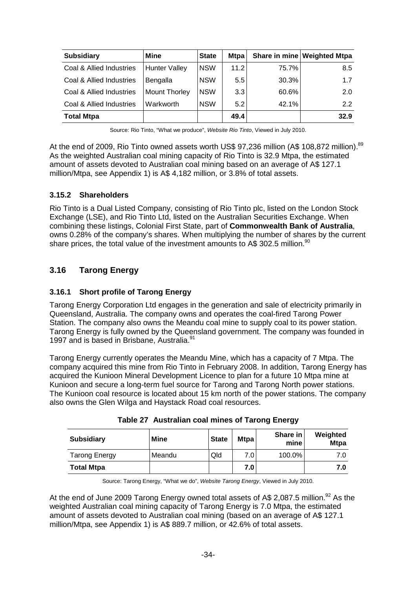| <b>Subsidiary</b>        | Mine                 | <b>State</b> | <b>Mtpa</b>   |       | Share in mine Weighted Mtpa |
|--------------------------|----------------------|--------------|---------------|-------|-----------------------------|
| Coal & Allied Industries | <b>Hunter Valley</b> | <b>NSW</b>   | 11.2          | 75.7% | 8.5                         |
| Coal & Allied Industries | Bengalla             | <b>NSW</b>   | $5.5^{\circ}$ | 30.3% | 1.7                         |
| Coal & Allied Industries | <b>Mount Thorley</b> | <b>NSW</b>   | 3.3           | 60.6% | 2.0                         |
| Coal & Allied Industries | Warkworth            | <b>NSW</b>   | 5.2           | 42.1% | 2.2                         |
| <b>Total Mtpa</b>        |                      |              | 49.4          |       | 32.9                        |

Source: Rio Tinto, "What we produce", Website Rio Tinto, Viewed in July 2010.

At the end of 2009, Rio Tinto owned assets worth US\$ 97,236 million (A\$ 108,872 million).<sup>89</sup> As the weighted Australian coal mining capacity of Rio Tinto is 32.9 Mtpa, the estimated amount of assets devoted to Australian coal mining based on an average of A\$ 127.1 million/Mtpa, see Appendix 1) is A\$ 4,182 million, or 3.8% of total assets.

#### **3.15.2 Shareholders**

Rio Tinto is a Dual Listed Company, consisting of Rio Tinto plc, listed on the London Stock Exchange (LSE), and Rio Tinto Ltd, listed on the Australian Securities Exchange. When combining these listings, Colonial First State, part of **Commonwealth Bank of Australia**, owns 0.28% of the company's shares. When multiplying the number of shares by the current share prices, the total value of the investment amounts to A\$ 302.5 million.<sup>90</sup>

## **3.16 Tarong Energy**

#### **3.16.1 Short profile of Tarong Energy**

Tarong Energy Corporation Ltd engages in the generation and sale of electricity primarily in Queensland, Australia. The company owns and operates the coal-fired Tarong Power Station. The company also owns the Meandu coal mine to supply coal to its power station. Tarong Energy is fully owned by the Queensland government. The company was founded in 1997 and is based in Brisbane, Australia.<sup>91</sup>

Tarong Energy currently operates the Meandu Mine, which has a capacity of 7 Mtpa. The company acquired this mine from Rio Tinto in February 2008. In addition, Tarong Energy has acquired the Kunioon Mineral Development Licence to plan for a future 10 Mtpa mine at Kunioon and secure a long-term fuel source for Tarong and Tarong North power stations. The Kunioon coal resource is located about 15 km north of the power stations. The company also owns the Glen Wilga and Haystack Road coal resources.

| <b>Subsidiary</b>    | Mine   | <b>State</b> | <b>Mtpa</b> | Share in<br>mine | Weighted<br><b>Mtpa</b> |
|----------------------|--------|--------------|-------------|------------------|-------------------------|
| <b>Tarong Energy</b> | Meandu | Qld          | 7.0         | 100.0%           | 7.0                     |
| <b>Total Mtpa</b>    |        |              | 7.0         |                  | 7.0                     |

**Table 27 Australian coal mines of Tarong Energy** 

Source: Tarong Energy, "What we do", Website Tarong Energy, Viewed in July 2010.

At the end of June 2009 Tarong Energy owned total assets of A\$ 2,087.5 million.<sup>92</sup> As the weighted Australian coal mining capacity of Tarong Energy is 7.0 Mtpa, the estimated amount of assets devoted to Australian coal mining (based on an average of A\$ 127.1 million/Mtpa, see Appendix 1) is A\$ 889.7 million, or 42.6% of total assets.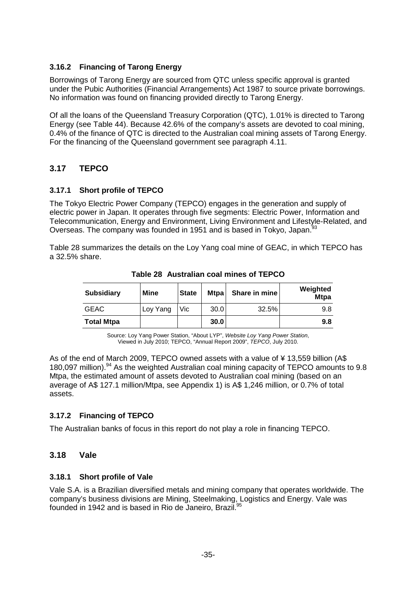#### **3.16.2 Financing of Tarong Energy**

Borrowings of Tarong Energy are sourced from QTC unless specific approval is granted under the Pubic Authorities (Financial Arrangements) Act 1987 to source private borrowings. No information was found on financing provided directly to Tarong Energy.

Of all the loans of the Queensland Treasury Corporation (QTC), 1.01% is directed to Tarong Energy (see Table 44). Because 42.6% of the company's assets are devoted to coal mining, 0.4% of the finance of QTC is directed to the Australian coal mining assets of Tarong Energy. For the financing of the Queensland government see paragraph 4.11.

## **3.17 TEPCO**

#### **3.17.1 Short profile of TEPCO**

The Tokyo Electric Power Company (TEPCO) engages in the generation and supply of electric power in Japan. It operates through five segments: Electric Power, Information and Telecommunication, Energy and Environment, Living Environment and Lifestyle-Related, and Overseas. The company was founded in 1951 and is based in Tokyo, Japan.<sup>93</sup>

Table 28 summarizes the details on the Loy Yang coal mine of GEAC, in which TEPCO has a 32.5% share.

| <b>Subsidiary</b> | <b>Mine</b> | <b>State</b> | <b>Mtpa</b> | Share in mine | Weighted<br><b>Mtpa</b> |
|-------------------|-------------|--------------|-------------|---------------|-------------------------|
| <b>GEAC</b>       | Loy Yang    | Vic .        | 30.0        | 32.5%         | 9.8                     |
| <b>Total Mtpa</b> |             |              | 30.0        |               | 9.8                     |

**Table 28 Australian coal mines of TEPCO** 

Source: Loy Yang Power Station, "About LYP", Website Loy Yang Power Station, Viewed in July 2010; TEPCO, "Annual Report 2009", TEPCO, July 2010.

As of the end of March 2009, TEPCO owned assets with a value of ¥ 13,559 billion (A\$ 180,097 million).<sup>94</sup> As the weighted Australian coal mining capacity of TEPCO amounts to 9.8 Mtpa, the estimated amount of assets devoted to Australian coal mining (based on an average of A\$ 127.1 million/Mtpa, see Appendix 1) is A\$ 1,246 million, or 0.7% of total assets.

## **3.17.2 Financing of TEPCO**

The Australian banks of focus in this report do not play a role in financing TEPCO.

## **3.18 Vale**

#### **3.18.1 Short profile of Vale**

Vale S.A. is a Brazilian diversified metals and mining company that operates worldwide. The company's business divisions are Mining, Steelmaking, Logistics and Energy. Vale was founded in 1942 and is based in Rio de Janeiro, Brazil.<sup>95</sup>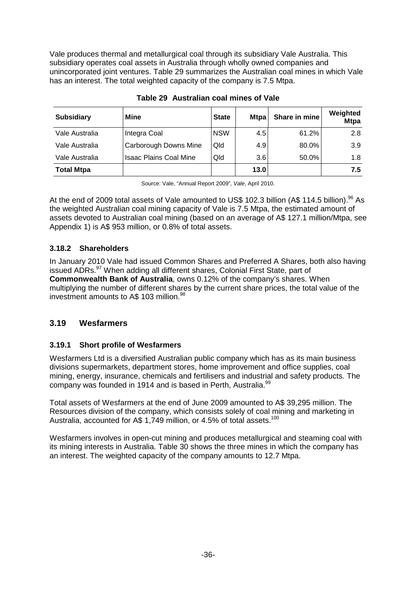Vale produces thermal and metallurgical coal through its subsidiary Vale Australia. This subsidiary operates coal assets in Australia through wholly owned companies and unincorporated joint ventures. Table 29 summarizes the Australian coal mines in which Vale has an interest. The total weighted capacity of the company is 7.5 Mtpa.

| <b>Subsidiary</b> | Mine                          | <b>State</b> | <b>Mtpa</b> | Share in mine | Weighted<br><b>Mtpa</b> |
|-------------------|-------------------------------|--------------|-------------|---------------|-------------------------|
| Vale Australia    | Integra Coal                  | <b>NSW</b>   | 4.5         | 61.2%         | 2.8                     |
| Vale Australia    | Carborough Downs Mine         | Qld          | 4.9         | 80.0%         | 3.9                     |
| Vale Australia    | <b>Isaac Plains Coal Mine</b> | Qld          | 3.6         | 50.0%         | 1.8                     |
| <b>Total Mtpa</b> |                               |              | 13.0        |               | 7.5                     |

**Table 29 Australian coal mines of Vale** 

Source: Vale, "Annual Report 2009", Vale, April 2010.

At the end of 2009 total assets of Vale amounted to US\$ 102.3 billion (A\$ 114.5 billion).<sup>96</sup> As the weighted Australian coal mining capacity of Vale is 7.5 Mtpa, the estimated amount of assets devoted to Australian coal mining (based on an average of A\$ 127.1 million/Mtpa, see Appendix 1) is A\$ 953 million, or 0.8% of total assets.

## **3.18.2 Shareholders**

In January 2010 Vale had issued Common Shares and Preferred A Shares, both also having issued ADRs.<sup>97</sup> When adding all different shares, Colonial First State, part of **Commonwealth Bank of Australia**, owns 0.12% of the company's shares. When multiplying the number of different shares by the current share prices, the total value of the investment amounts to A\$ 103 million.<sup>98</sup>

## **3.19 Wesfarmers**

## **3.19.1 Short profile of Wesfarmers**

Wesfarmers Ltd is a diversified Australian public company which has as its main business divisions supermarkets, department stores, home improvement and office supplies, coal mining, energy, insurance, chemicals and fertilisers and industrial and safety products. The company was founded in 1914 and is based in Perth, Australia.<sup>99</sup>

Total assets of Wesfarmers at the end of June 2009 amounted to A\$ 39,295 million. The Resources division of the company, which consists solely of coal mining and marketing in Australia, accounted for A\$ 1,749 million, or 4.5% of total assets.<sup>100</sup>

Wesfarmers involves in open-cut mining and produces metallurgical and steaming coal with its mining interests in Australia. Table 30 shows the three mines in which the company has an interest. The weighted capacity of the company amounts to 12.7 Mtpa.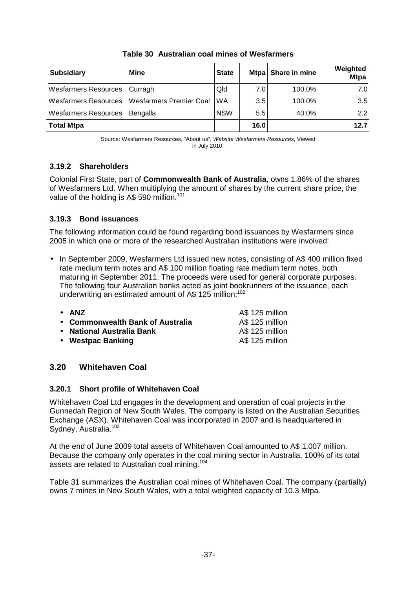| <b>Subsidiary</b>              | <b>Mine</b>                                    | <b>State</b> | <b>Mtpa</b>   | Share in mine | Weighted<br><b>Mtpa</b> |
|--------------------------------|------------------------------------------------|--------------|---------------|---------------|-------------------------|
| Wesfarmers Resources   Curragh |                                                | Qld          | 7.01          | $100.0\%$     | 7.0                     |
|                                | Wesfarmers Resources   Wesfarmers Premier Coal | <b>WA</b>    | 3.5           | 100.0%        | 3.5                     |
| <b>Wesfarmers Resources</b>    | Bengalla                                       | <b>NSW</b>   | $5.5^{\circ}$ | 40.0%         | $2.2^{\circ}$           |
| <b>Total Mtpa</b>              |                                                |              | 16.0          |               | 12.7                    |

**Table 30 Australian coal mines of Wesfarmers** 

Source: Wesfarmers Resources, "About us", Website Wesfarmers Resources, Viewed in July 2010.

#### **3.19.2 Shareholders**

Colonial First State, part of **Commonwealth Bank of Australia**, owns 1.86% of the shares of Wesfarmers Ltd. When multiplying the amount of shares by the current share price, the value of the holding is A\$ 590 million.<sup>101</sup>

## **3.19.3 Bond issuances**

The following information could be found regarding bond issuances by Wesfarmers since 2005 in which one or more of the researched Australian institutions were involved:

• In September 2009, Wesfarmers Ltd issued new notes, consisting of A\$ 400 million fixed rate medium term notes and A\$ 100 million floating rate medium term notes, both maturing in September 2011. The proceeds were used for general corporate purposes. The following four Australian banks acted as joint bookrunners of the issuance, each underwriting an estimated amount of A\$ 125 million:<sup>102</sup>

| $\bullet$ ANZ                    | A\$ 125 million |
|----------------------------------|-----------------|
| • Commonwealth Bank of Australia | A\$ 125 million |
| • National Australia Bank        | A\$ 125 million |
| • Westpac Banking                | A\$ 125 million |
|                                  |                 |

## **3.20 Whitehaven Coal**

## **3.20.1 Short profile of Whitehaven Coal**

Whitehaven Coal Ltd engages in the development and operation of coal projects in the Gunnedah Region of New South Wales. The company is listed on the Australian Securities Exchange (ASX). Whitehaven Coal was incorporated in 2007 and is headquartered in Sydney, Australia.<sup>103</sup>

At the end of June 2009 total assets of Whitehaven Coal amounted to A\$ 1,007 million. Because the company only operates in the coal mining sector in Australia, 100% of its total assets are related to Australian coal mining.<sup>104</sup>

Table 31 summarizes the Australian coal mines of Whitehaven Coal. The company (partially) owns 7 mines in New South Wales, with a total weighted capacity of 10.3 Mtpa.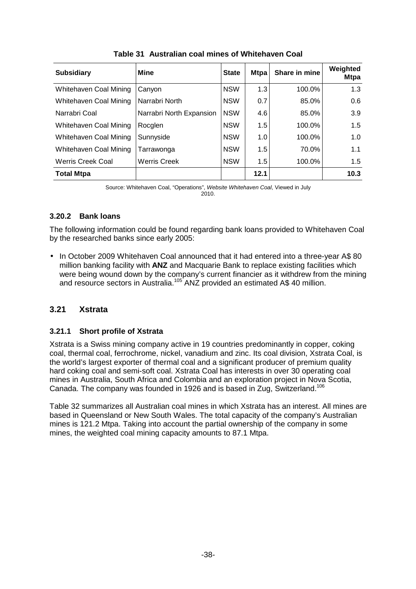| <b>Subsidiary</b>             | <b>Mine</b>              | <b>State</b> | <b>Mtpa</b> | Share in mine | Weighted<br><b>Mtpa</b> |
|-------------------------------|--------------------------|--------------|-------------|---------------|-------------------------|
| Whitehaven Coal Mining        | Canyon                   | <b>NSW</b>   | 1.3         | 100.0%        | 1.3                     |
| Whitehaven Coal Mining        | Narrabri North           | <b>NSW</b>   | 0.7         | 85.0%         | 0.6                     |
| Narrabri Coal                 | Narrabri North Expansion | <b>NSW</b>   | 4.6         | 85.0%         | 3.9                     |
| <b>Whitehaven Coal Mining</b> | Rocglen                  | <b>NSW</b>   | 1.5         | 100.0%        | 1.5                     |
| Whitehaven Coal Mining        | Sunnyside                | <b>NSW</b>   | 1.0         | 100.0%        | 1.0                     |
| Whitehaven Coal Mining        | Tarrawonga               | <b>NSW</b>   | 1.5         | 70.0%         | 1.1                     |
| <b>Werris Creek Coal</b>      | <b>Werris Creek</b>      | <b>NSW</b>   | 1.5         | 100.0%        | 1.5                     |
| <b>Total Mtpa</b>             |                          |              | 12.1        |               | 10.3                    |

**Table 31 Australian coal mines of Whitehaven Coal** 

Source: Whitehaven Coal, "Operations", Website Whitehaven Coal, Viewed in July 2010.

#### **3.20.2 Bank loans**

The following information could be found regarding bank loans provided to Whitehaven Coal by the researched banks since early 2005:

• In October 2009 Whitehaven Coal announced that it had entered into a three-year A\$ 80 million banking facility with **ANZ** and Macquarie Bank to replace existing facilities which were being wound down by the company's current financier as it withdrew from the mining and resource sectors in Australia.<sup>105</sup> ANZ provided an estimated A\$ 40 million.

#### **3.21 Xstrata**

#### **3.21.1 Short profile of Xstrata**

Xstrata is a Swiss mining company active in 19 countries predominantly in copper, coking coal, thermal coal, ferrochrome, nickel, vanadium and zinc. Its coal division, Xstrata Coal, is the world's largest exporter of thermal coal and a significant producer of premium quality hard coking coal and semi-soft coal. Xstrata Coal has interests in over 30 operating coal mines in Australia, South Africa and Colombia and an exploration project in Nova Scotia, Canada. The company was founded in 1926 and is based in Zug, Switzerland.<sup>106</sup>

Table 32 summarizes all Australian coal mines in which Xstrata has an interest. All mines are based in Queensland or New South Wales. The total capacity of the company's Australian mines is 121.2 Mtpa. Taking into account the partial ownership of the company in some mines, the weighted coal mining capacity amounts to 87.1 Mtpa.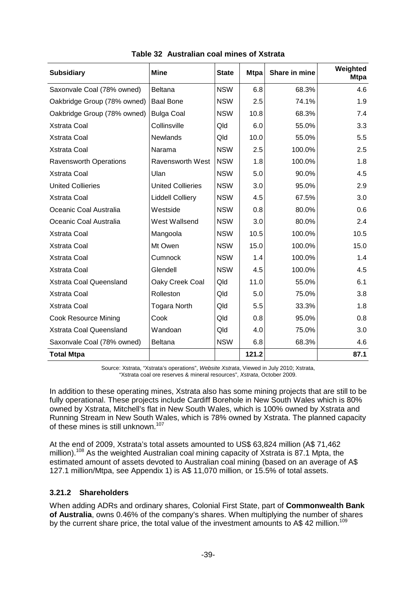| <b>Subsidiary</b>             | <b>Mine</b>              | <b>State</b> | <b>Mtpa</b> | Share in mine | Weighted<br><b>Mtpa</b> |
|-------------------------------|--------------------------|--------------|-------------|---------------|-------------------------|
| Saxonvale Coal (78% owned)    | <b>Beltana</b>           | <b>NSW</b>   | 6.8         | 68.3%         | 4.6                     |
| Oakbridge Group (78% owned)   | <b>Baal Bone</b>         | <b>NSW</b>   | 2.5         | 74.1%         | 1.9                     |
| Oakbridge Group (78% owned)   | <b>Bulga Coal</b>        | <b>NSW</b>   | 10.8        | 68.3%         | 7.4                     |
| <b>Xstrata Coal</b>           | Collinsville             | Qld          | 6.0         | 55.0%         | 3.3                     |
| <b>Xstrata Coal</b>           | <b>Newlands</b>          | Qld          | 10.0        | 55.0%         | 5.5                     |
| <b>Xstrata Coal</b>           | Narama                   | <b>NSW</b>   | 2.5         | 100.0%        | 2.5                     |
| <b>Ravensworth Operations</b> | <b>Ravensworth West</b>  | <b>NSW</b>   | 1.8         | 100.0%        | 1.8                     |
| Xstrata Coal                  | Ulan                     | <b>NSW</b>   | 5.0         | 90.0%         | 4.5                     |
| <b>United Collieries</b>      | <b>United Collieries</b> | <b>NSW</b>   | 3.0         | 95.0%         | 2.9                     |
| <b>Xstrata Coal</b>           | <b>Liddell Colliery</b>  | <b>NSW</b>   | 4.5         | 67.5%         | 3.0                     |
| Oceanic Coal Australia        | Westside                 | <b>NSW</b>   | 0.8         | 80.0%         | 0.6                     |
| Oceanic Coal Australia        | West Wallsend            | <b>NSW</b>   | 3.0         | 80.0%         | 2.4                     |
| <b>Xstrata Coal</b>           | Mangoola                 | <b>NSW</b>   | 10.5        | 100.0%        | 10.5                    |
| <b>Xstrata Coal</b>           | Mt Owen                  | <b>NSW</b>   | 15.0        | 100.0%        | 15.0                    |
| <b>Xstrata Coal</b>           | Cumnock                  | <b>NSW</b>   | 1.4         | 100.0%        | 1.4                     |
| <b>Xstrata Coal</b>           | Glendell                 | <b>NSW</b>   | 4.5         | 100.0%        | 4.5                     |
| Xstrata Coal Queensland       | Oaky Creek Coal          | Qld          | 11.0        | 55.0%         | 6.1                     |
| <b>Xstrata Coal</b>           | Rolleston                | Qld          | 5.0         | 75.0%         | 3.8                     |
| <b>Xstrata Coal</b>           | <b>Togara North</b>      | Qld          | 5.5         | 33.3%         | 1.8                     |
| Cook Resource Mining          | Cook                     | Qld          | 0.8         | 95.0%         | 0.8                     |
| Xstrata Coal Queensland       | Wandoan                  | Qld          | 4.0         | 75.0%         | 3.0                     |
| Saxonvale Coal (78% owned)    | <b>Beltana</b>           | <b>NSW</b>   | 6.8         | 68.3%         | 4.6                     |
| <b>Total Mtpa</b>             |                          |              | 121.2       |               | 87.1                    |

**Table 32 Australian coal mines of Xstrata** 

Source: Xstrata, "Xstrata's operations", Website Xstrata, Viewed in July 2010; Xstrata, "Xstrata coal ore reserves & mineral resources", Xstrata, October 2009.

In addition to these operating mines, Xstrata also has some mining projects that are still to be fully operational. These projects include Cardiff Borehole in New South Wales which is 80% owned by Xstrata, Mitchell's flat in New South Wales, which is 100% owned by Xstrata and Running Stream in New South Wales, which is 78% owned by Xstrata. The planned capacity of these mines is still unknown.<sup>107</sup>

At the end of 2009, Xstrata's total assets amounted to US\$ 63,824 million (A\$ 71,462 million).<sup>108</sup> As the weighted Australian coal mining capacity of Xstrata is 87.1 Mpta, the estimated amount of assets devoted to Australian coal mining (based on an average of A\$ 127.1 million/Mtpa, see Appendix 1) is A\$ 11,070 million, or 15.5% of total assets.

## **3.21.2 Shareholders**

When adding ADRs and ordinary shares, Colonial First State, part of **Commonwealth Bank of Australia**, owns 0.46% of the company's shares. When multiplying the number of shares by the current share price, the total value of the investment amounts to A\$ 42 million.<sup>109</sup>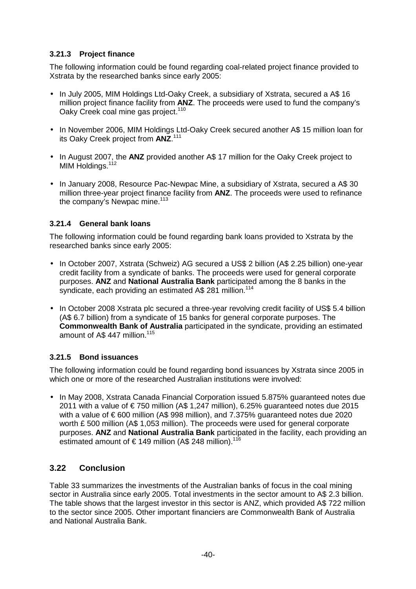### **3.21.3 Project finance**

The following information could be found regarding coal-related project finance provided to Xstrata by the researched banks since early 2005:

- In July 2005, MIM Holdings Ltd-Oaky Creek, a subsidiary of Xstrata, secured a A\$ 16 million project finance facility from **ANZ**. The proceeds were used to fund the company's Oaky Creek coal mine gas project.<sup>110</sup>
- In November 2006, MIM Holdings Ltd-Oaky Creek secured another A\$ 15 million loan for its Oaky Creek project from **ANZ**. 111
- In August 2007, the **ANZ** provided another A\$ 17 million for the Oaky Creek project to MIM Holdings.<sup>112</sup>
- In January 2008, Resource Pac-Newpac Mine, a subsidiary of Xstrata, secured a A\$ 30 million three-year project finance facility from **ANZ**. The proceeds were used to refinance the company's Newpac mine.<sup>113</sup>

#### **3.21.4 General bank loans**

The following information could be found regarding bank loans provided to Xstrata by the researched banks since early 2005:

- In October 2007, Xstrata (Schweiz) AG secured a US\$ 2 billion (A\$ 2.25 billion) one-year credit facility from a syndicate of banks. The proceeds were used for general corporate purposes. **ANZ** and **National Australia Bank** participated among the 8 banks in the syndicate, each providing an estimated A\$ 281 million.<sup>114</sup>
- In October 2008 Xstrata plc secured a three-year revolving credit facility of US\$ 5.4 billion (A\$ 6.7 billion) from a syndicate of 15 banks for general corporate purposes. The **Commonwealth Bank of Australia** participated in the syndicate, providing an estimated amount of A\$ 447 million.<sup>115</sup>

#### **3.21.5 Bond issuances**

The following information could be found regarding bond issuances by Xstrata since 2005 in which one or more of the researched Australian institutions were involved:

• In May 2008, Xstrata Canada Financial Corporation issued 5.875% guaranteed notes due 2011 with a value of € 750 million (A\$ 1,247 million), 6.25% quaranteed notes due 2015 with a value of  $\epsilon$  600 million (A\$ 998 million), and 7.375% guaranteed notes due 2020 worth £ 500 million (A\$ 1,053 million). The proceeds were used for general corporate purposes. **ANZ** and **National Australia Bank** participated in the facility, each providing an estimated amount of  $\epsilon$  149 million (A\$ 248 million).<sup>116</sup>

## **3.22 Conclusion**

Table 33 summarizes the investments of the Australian banks of focus in the coal mining sector in Australia since early 2005. Total investments in the sector amount to A\$ 2.3 billion. The table shows that the largest investor in this sector is ANZ, which provided A\$ 722 million to the sector since 2005. Other important financiers are Commonwealth Bank of Australia and National Australia Bank.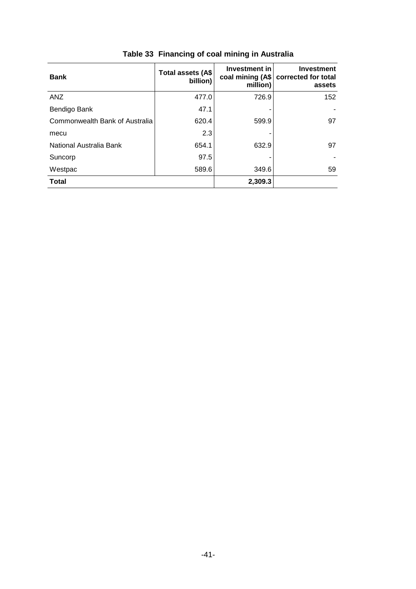| <b>Bank</b>                    | Total assets (A\$<br>billion) | Investment in<br>coal mining (A\$<br>million) | <b>Investment</b><br>corrected for total<br>assets |
|--------------------------------|-------------------------------|-----------------------------------------------|----------------------------------------------------|
| <b>ANZ</b>                     | 477.0                         | 726.9                                         | 152                                                |
| Bendigo Bank                   | 47.1                          |                                               |                                                    |
| Commonwealth Bank of Australia | 620.4                         | 599.9                                         | 97                                                 |
| mecu                           | 2.3                           |                                               |                                                    |
| National Australia Bank        | 654.1                         | 632.9                                         | 97                                                 |
| Suncorp                        | 97.5                          |                                               |                                                    |
| Westpac                        | 589.6                         | 349.6                                         | 59                                                 |
| <b>Total</b>                   |                               | 2,309.3                                       |                                                    |

# **Table 33 Financing of coal mining in Australia**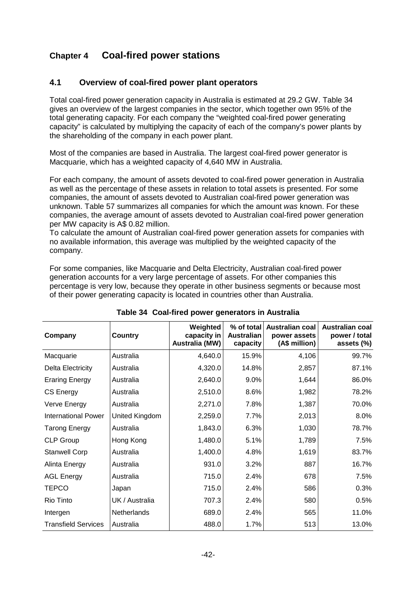## **Chapter 4 Coal-fired power stations**

#### **4.1 Overview of coal-fired power plant operators**

Total coal-fired power generation capacity in Australia is estimated at 29.2 GW. Table 34 gives an overview of the largest companies in the sector, which together own 95% of the total generating capacity. For each company the "weighted coal-fired power generating capacity" is calculated by multiplying the capacity of each of the company's power plants by the shareholding of the company in each power plant.

Most of the companies are based in Australia. The largest coal-fired power generator is Macquarie, which has a weighted capacity of 4,640 MW in Australia.

For each company, the amount of assets devoted to coal-fired power generation in Australia as well as the percentage of these assets in relation to total assets is presented. For some companies, the amount of assets devoted to Australian coal-fired power generation was unknown. Table 57 summarizes all companies for which the amount was known. For these companies, the average amount of assets devoted to Australian coal-fired power generation per MW capacity is A\$ 0.82 million.

To calculate the amount of Australian coal-fired power generation assets for companies with no available information, this average was multiplied by the weighted capacity of the company.

For some companies, like Macquarie and Delta Electricity, Australian coal-fired power generation accounts for a very large percentage of assets. For other companies this percentage is very low, because they operate in other business segments or because most of their power generating capacity is located in countries other than Australia.

| Company                    | <b>Country</b>     | Weighted<br>capacity in<br><b>Australia (MW)</b> | % of total<br>Australian<br>capacity | <b>Australian coal</b><br>power assets<br>(A\$ million) | <b>Australian coal</b><br>power / total<br>assets (%) |
|----------------------------|--------------------|--------------------------------------------------|--------------------------------------|---------------------------------------------------------|-------------------------------------------------------|
| Macquarie                  | Australia          | 4,640.0                                          | 15.9%                                | 4,106                                                   | 99.7%                                                 |
| <b>Delta Electricity</b>   | Australia          | 4,320.0                                          | 14.8%                                | 2,857                                                   | 87.1%                                                 |
| <b>Eraring Energy</b>      | Australia          | 2,640.0                                          | 9.0%                                 | 1,644                                                   | 86.0%                                                 |
| <b>CS Energy</b>           | Australia          | 2,510.0                                          | 8.6%                                 | 1,982                                                   | 78.2%                                                 |
| Verve Energy               | Australia          | 2,271.0                                          | 7.8%                                 | 1,387                                                   | 70.0%                                                 |
| International Power        | United Kingdom     | 2,259.0                                          | 7.7%                                 | 2,013                                                   | 8.0%                                                  |
| <b>Tarong Energy</b>       | Australia          | 1,843.0                                          | 6.3%                                 | 1,030                                                   | 78.7%                                                 |
| <b>CLP Group</b>           | Hong Kong          | 1,480.0                                          | 5.1%                                 | 1,789                                                   | 7.5%                                                  |
| <b>Stanwell Corp</b>       | Australia          | 1,400.0                                          | 4.8%                                 | 1,619                                                   | 83.7%                                                 |
| Alinta Energy              | Australia          | 931.0                                            | 3.2%                                 | 887                                                     | 16.7%                                                 |
| <b>AGL Energy</b>          | Australia          | 715.0                                            | 2.4%                                 | 678                                                     | 7.5%                                                  |
| <b>TEPCO</b>               | Japan              | 715.0                                            | 2.4%                                 | 586                                                     | 0.3%                                                  |
| Rio Tinto                  | UK / Australia     | 707.3                                            | 2.4%                                 | 580                                                     | 0.5%                                                  |
| Intergen                   | <b>Netherlands</b> | 689.0                                            | 2.4%                                 | 565                                                     | 11.0%                                                 |
| <b>Transfield Services</b> | Australia          | 488.0                                            | 1.7%                                 | 513                                                     | 13.0%                                                 |

#### **Table 34 Coal-fired power generators in Australia**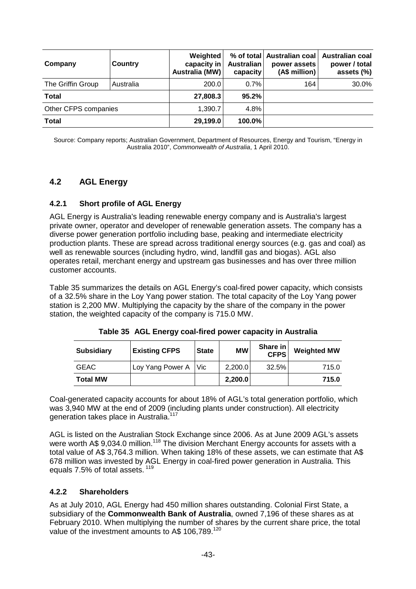| Company              | <b>Country</b> | Weighted<br>capacity in<br>Australia (MW) | Australian<br>capacity | % of total   Australian coal  <br>power assets<br>(A\$ million) | <b>Australian coal</b><br>power / total<br>assets (%) |
|----------------------|----------------|-------------------------------------------|------------------------|-----------------------------------------------------------------|-------------------------------------------------------|
| The Griffin Group    | Australia      | 200.0                                     | $0.7\%$                | 164                                                             | 30.0%                                                 |
| <b>Total</b>         |                | 27,808.3                                  | 95.2%                  |                                                                 |                                                       |
| Other CFPS companies |                | 1,390.7                                   | 4.8%                   |                                                                 |                                                       |
| <b>Total</b>         |                | 29,199.0                                  | 100.0%                 |                                                                 |                                                       |

Source: Company reports; Australian Government, Department of Resources, Energy and Tourism, "Energy in Australia 2010", Commonwealth of Australia, 1 April 2010.

## **4.2 AGL Energy**

#### **4.2.1 Short profile of AGL Energy**

AGL Energy is Australia's leading renewable energy company and is Australia's largest private owner, operator and developer of renewable generation assets. The company has a diverse power generation portfolio including base, peaking and intermediate electricity production plants. These are spread across traditional energy sources (e.g. gas and coal) as well as renewable sources (including hydro, wind, landfill gas and biogas). AGL also operates retail, merchant energy and upstream gas businesses and has over three million customer accounts.

Table 35 summarizes the details on AGL Energy's coal-fired power capacity, which consists of a 32.5% share in the Loy Yang power station. The total capacity of the Loy Yang power station is 2,200 MW. Multiplying the capacity by the share of the company in the power station, the weighted capacity of the company is 715.0 MW.

| <b>Subsidiary</b> | <b>Existing CFPS</b> | <b>State</b> | <b>MW</b> | Share in<br><b>CFPS</b> | <b>Weighted MW</b> |
|-------------------|----------------------|--------------|-----------|-------------------------|--------------------|
| <b>GEAC</b>       | Loy Yang Power A Vic |              | 2,200.0   | 32.5%                   | 715.0              |
| <b>Total MW</b>   |                      |              | 2,200.0   |                         | 715.0              |

**Table 35 AGL Energy coal-fired power capacity in Australia** 

Coal-generated capacity accounts for about 18% of AGL's total generation portfolio, which was 3,940 MW at the end of 2009 (including plants under construction). All electricity generation takes place in Australia.<sup>117</sup>

AGL is listed on the Australian Stock Exchange since 2006. As at June 2009 AGL's assets were worth A\$ 9,034.0 million.<sup>118</sup> The division Merchant Energy accounts for assets with a total value of A\$ 3,764.3 million. When taking 18% of these assets, we can estimate that A\$ 678 million was invested by AGL Energy in coal-fired power generation in Australia. This equals 7.5% of total assets.<sup>119</sup>

#### **4.2.2 Shareholders**

As at July 2010, AGL Energy had 450 million shares outstanding. Colonial First State, a subsidiary of the **Commonwealth Bank of Australia**, owned 7,196 of these shares as at February 2010. When multiplying the number of shares by the current share price, the total value of the investment amounts to A\$ 106,789.<sup>120</sup>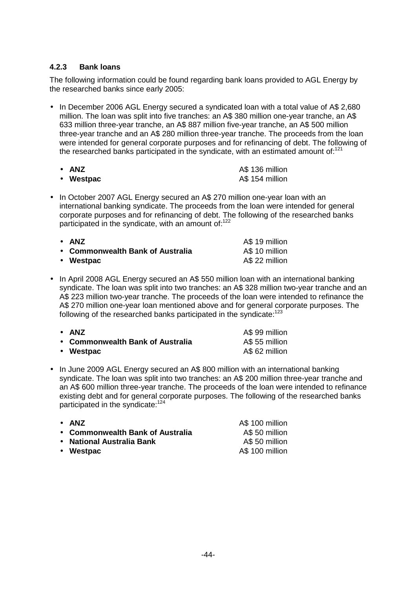#### **4.2.3 Bank loans**

The following information could be found regarding bank loans provided to AGL Energy by the researched banks since early 2005:

• In December 2006 AGL Energy secured a syndicated loan with a total value of A\$ 2,680 million. The loan was split into five tranches: an A\$ 380 million one-year tranche, an A\$ 633 million three-year tranche, an A\$ 887 million five-year tranche, an A\$ 500 million three-year tranche and an A\$ 280 million three-year tranche. The proceeds from the loan were intended for general corporate purposes and for refinancing of debt. The following of the researched banks participated in the syndicate, with an estimated amount of: $121$ 

| • ANZ     | A\$ 136 million |
|-----------|-----------------|
| • Westpac | A\$ 154 million |

• In October 2007 AGL Energy secured an A\$ 270 million one-year loan with an international banking syndicate. The proceeds from the loan were intended for general corporate purposes and for refinancing of debt. The following of the researched banks participated in the syndicate, with an amount of: $122$ 

| $\bullet$ ANZ                    | A\$ 19 million |
|----------------------------------|----------------|
| • Commonwealth Bank of Australia | A\$ 10 million |
| • Westpac                        | A\$ 22 million |

• In April 2008 AGL Energy secured an A\$ 550 million loan with an international banking syndicate. The loan was split into two tranches: an A\$ 328 million two-year tranche and an A\$ 223 million two-year tranche. The proceeds of the loan were intended to refinance the A\$ 270 million one-year loan mentioned above and for general corporate purposes. The following of the researched banks participated in the syndicate:<sup>123</sup>

| $\bullet$ ANZ                    | A\$ 99 million |
|----------------------------------|----------------|
| • Commonwealth Bank of Australia | A\$ 55 million |
| • Westpac                        | A\$ 62 million |

• In June 2009 AGL Energy secured an A\$ 800 million with an international banking syndicate. The loan was split into two tranches: an A\$ 200 million three-year tranche and an A\$ 600 million three-year tranche. The proceeds of the loan were intended to refinance existing debt and for general corporate purposes. The following of the researched banks participated in the syndicate:<sup>124</sup>

| $\bullet$ ANZ                    | A\$ 100 million |
|----------------------------------|-----------------|
| • Commonwealth Bank of Australia | A\$ 50 million  |
| • National Australia Bank        | A\$ 50 million  |
| • Westpac                        | A\$ 100 million |
|                                  |                 |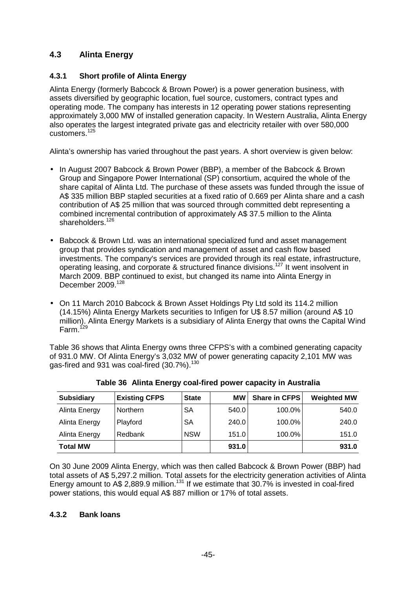## **4.3 Alinta Energy**

## **4.3.1 Short profile of Alinta Energy**

Alinta Energy (formerly Babcock & Brown Power) is a power generation business, with assets diversified by geographic location, fuel source, customers, contract types and operating mode. The company has interests in 12 operating power stations representing approximately 3,000 MW of installed generation capacity. In Western Australia, Alinta Energy also operates the largest integrated private gas and electricity retailer with over 580,000 customers.<sup>125</sup>

Alinta's ownership has varied throughout the past years. A short overview is given below:

- In August 2007 Babcock & Brown Power (BBP), a member of the Babcock & Brown Group and Singapore Power International (SP) consortium, acquired the whole of the share capital of Alinta Ltd. The purchase of these assets was funded through the issue of A\$ 335 million BBP stapled securities at a fixed ratio of 0.669 per Alinta share and a cash contribution of A\$ 25 million that was sourced through committed debt representing a combined incremental contribution of approximately A\$ 37.5 million to the Alinta shareholders.<sup>126</sup>
- Babcock & Brown Ltd. was an international specialized fund and asset management group that provides syndication and management of asset and cash flow based investments. The company's services are provided through its real estate, infrastructure, operating leasing, and corporate & structured finance divisions.<sup>127</sup> It went insolvent in March 2009. BBP continued to exist, but changed its name into Alinta Energy in December 2009.<sup>128</sup>
- On 11 March 2010 Babcock & Brown Asset Holdings Pty Ltd sold its 114.2 million (14.15%) Alinta Energy Markets securities to Infigen for U\$ 8.57 million (around A\$ 10 million). Alinta Energy Markets is a subsidiary of Alinta Energy that owns the Capital Wind Farm.<sup>129</sup>

Table 36 shows that Alinta Energy owns three CFPS's with a combined generating capacity of 931.0 MW. Of Alinta Energy's 3,032 MW of power generating capacity 2,101 MW was gas-fired and 931 was coal-fired (30.7%).<sup>130</sup>

| <b>Subsidiary</b> | <b>Existing CFPS</b> | <b>State</b> | <b>MW</b> | <b>Share in CFPS</b> | <b>Weighted MW</b> |
|-------------------|----------------------|--------------|-----------|----------------------|--------------------|
| Alinta Energy     | <b>Northern</b>      | <b>SA</b>    | 540.0     | $100.0\%$            | 540.0              |
| Alinta Energy     | Playford             | <b>SA</b>    | 240.0     | $100.0\%$            | 240.0              |
| Alinta Energy     | Redbank              | <b>NSW</b>   | 151.0     | 100.0%               | 151.0              |
| <b>Total MW</b>   |                      |              | 931.0     |                      | 931.0              |

**Table 36 Alinta Energy coal-fired power capacity in Australia** 

On 30 June 2009 Alinta Energy, which was then called Babcock & Brown Power (BBP) had total assets of A\$ 5,297.2 million. Total assets for the electricity generation activities of Alinta Energy amount to A\$ 2,889.9 million.<sup>131</sup> If we estimate that 30.7% is invested in coal-fired power stations, this would equal A\$ 887 million or 17% of total assets.

#### **4.3.2 Bank loans**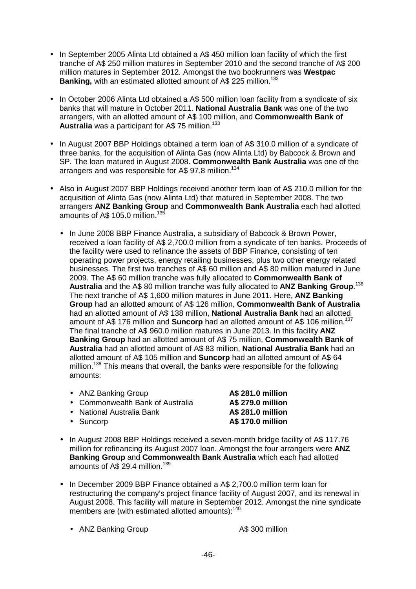- In September 2005 Alinta Ltd obtained a A\$ 450 million loan facility of which the first tranche of A\$ 250 million matures in September 2010 and the second tranche of A\$ 200 million matures in September 2012. Amongst the two bookrunners was **Westpac Banking, with an estimated allotted amount of A\$ 225 million.<sup>132</sup>**
- In October 2006 Alinta Ltd obtained a A\$ 500 million loan facility from a syndicate of six banks that will mature in October 2011. **National Australia Bank** was one of the two arrangers, with an allotted amount of A\$ 100 million, and **Commonwealth Bank of**  Australia was a participant for A\$ 75 million.<sup>133</sup>
- In August 2007 BBP Holdings obtained a term loan of A\$ 310.0 million of a syndicate of three banks, for the acquisition of Alinta Gas (now Alinta Ltd) by Babcock & Brown and SP. The loan matured in August 2008. **Commonwealth Bank Australia** was one of the arrangers and was responsible for A\$ 97.8 million.<sup>134</sup>
- Also in August 2007 BBP Holdings received another term loan of A\$ 210.0 million for the acquisition of Alinta Gas (now Alinta Ltd) that matured in September 2008. The two arrangers **ANZ Banking Group** and **Commonwealth Bank Australia** each had allotted amounts of A\$ 105.0 million.<sup>135</sup>
	- In June 2008 BBP Finance Australia, a subsidiary of Babcock & Brown Power, received a loan facility of A\$ 2,700.0 million from a syndicate of ten banks. Proceeds of the facility were used to refinance the assets of BBP Finance, consisting of ten operating power projects, energy retailing businesses, plus two other energy related businesses. The first two tranches of A\$ 60 million and A\$ 80 million matured in June 2009. The A\$ 60 million tranche was fully allocated to **Commonwealth Bank of Australia** and the A\$ 80 million tranche was fully allocated to **ANZ Banking Group**. 136 The next tranche of A\$ 1,600 million matures in June 2011. Here, **ANZ Banking Group** had an allotted amount of A\$ 126 million, **Commonwealth Bank of Australia** had an allotted amount of A\$ 138 million, **National Australia Bank** had an allotted amount of A\$ 176 million and **Suncorp** had an allotted amount of A\$ 106 million.<sup>137</sup> The final tranche of A\$ 960.0 million matures in June 2013. In this facility **ANZ Banking Group** had an allotted amount of A\$ 75 million, **Commonwealth Bank of Australia** had an allotted amount of A\$ 83 million, **National Australia Bank** had an allotted amount of A\$ 105 million and **Suncorp** had an allotted amount of A\$ 64 million.<sup>138</sup> This means that overall, the banks were responsible for the following amounts:

| • ANZ Banking Group              | <b>A\$ 281.0 million</b> |
|----------------------------------|--------------------------|
| • Commonwealth Bank of Australia | <b>A\$ 279.0 million</b> |
| • National Australia Bank        | A\$ 281.0 million        |

- Suncorp **A\$ 170.0 million**
- In August 2008 BBP Holdings received a seven-month bridge facility of A\$ 117.76 million for refinancing its August 2007 loan. Amongst the four arrangers were **ANZ Banking Group** and **Commonwealth Bank Australia** which each had allotted amounts of A\$ 29.4 million.<sup>139</sup>
- In December 2009 BBP Finance obtained a A\$ 2,700.0 million term loan for restructuring the company's project finance facility of August 2007, and its renewal in August 2008. This facility will mature in September 2012. Amongst the nine syndicate members are (with estimated allotted amounts):<sup>140</sup>
	- ANZ Banking Group A\$ 300 million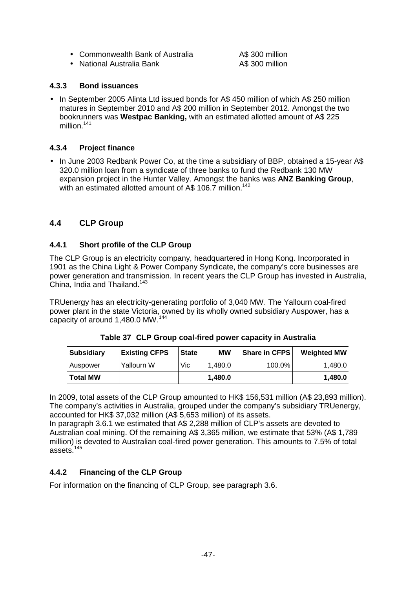• Commonwealth Bank of Australia A\$ 300 million

• National Australia Bank A\$ 300 million

#### **4.3.3 Bond issuances**

• In September 2005 Alinta Ltd issued bonds for A\$ 450 million of which A\$ 250 million matures in September 2010 and A\$ 200 million in September 2012. Amongst the two bookrunners was **Westpac Banking,** with an estimated allotted amount of A\$ 225 million.<sup>141</sup>

#### **4.3.4 Project finance**

• In June 2003 Redbank Power Co, at the time a subsidiary of BBP, obtained a 15-year A\$ 320.0 million loan from a syndicate of three banks to fund the Redbank 130 MW expansion project in the Hunter Valley. Amongst the banks was **ANZ Banking Group**, with an estimated allotted amount of A\$ 106.7 million.<sup>142</sup>

#### **4.4 CLP Group**

#### **4.4.1 Short profile of the CLP Group**

The CLP Group is an electricity company, headquartered in Hong Kong. Incorporated in 1901 as the China Light & Power Company Syndicate, the company's core businesses are power generation and transmission. In recent years the CLP Group has invested in Australia, China, India and Thailand.<sup>143</sup>

TRUenergy has an electricity-generating portfolio of 3,040 MW. The Yallourn coal-fired power plant in the state Victoria, owned by its wholly owned subsidiary Auspower, has a capacity of around 1,480.0 MW.<sup>144</sup>

| <b>Subsidiary</b> | <b>Existing CFPS</b> | <b>State</b> | МW      | <b>Share in CFPS</b> | <b>Weighted MW</b> |
|-------------------|----------------------|--------------|---------|----------------------|--------------------|
| Auspower          | Yallourn W           | Vic          | 1.480.0 | $100.0\%$            | 1.480.0            |
| <b>Total MW</b>   |                      |              | 1.480.0 |                      | 1.480.0            |

**Table 37 CLP Group coal-fired power capacity in Australia** 

In 2009, total assets of the CLP Group amounted to HK\$ 156,531 million (A\$ 23,893 million). The company's activities in Australia, grouped under the company's subsidiary TRUenergy, accounted for HK\$ 37,032 million (A\$ 5,653 million) of its assets.

In paragraph 3.6.1 we estimated that A\$ 2,288 million of CLP's assets are devoted to Australian coal mining. Of the remaining A\$ 3,365 million, we estimate that 53% (A\$ 1,789 million) is devoted to Australian coal-fired power generation. This amounts to 7.5% of total assets.<sup>145</sup>

#### **4.4.2 Financing of the CLP Group**

For information on the financing of CLP Group, see paragraph 3.6.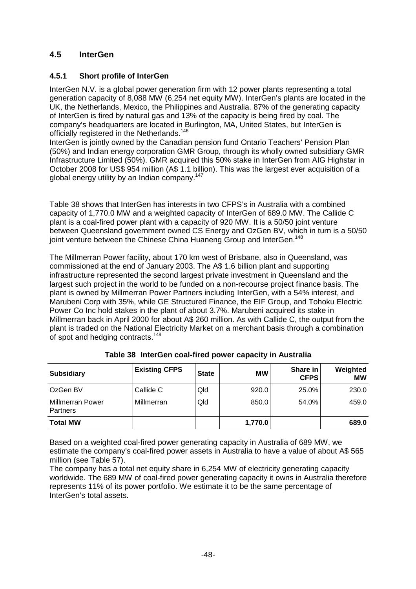## **4.5 InterGen**

### **4.5.1 Short profile of InterGen**

InterGen N.V. is a global power generation firm with 12 power plants representing a total generation capacity of 8,088 MW (6,254 net equity MW). InterGen's plants are located in the UK, the Netherlands, Mexico, the Philippines and Australia. 87% of the generating capacity of InterGen is fired by natural gas and 13% of the capacity is being fired by coal. The company's headquarters are located in Burlington, MA, United States, but InterGen is officially registered in the Netherlands.<sup>146</sup>

InterGen is jointly owned by the Canadian pension fund Ontario Teachers' Pension Plan (50%) and Indian energy corporation GMR Group, through its wholly owned subsidiary GMR Infrastructure Limited (50%). GMR acquired this 50% stake in InterGen from AIG Highstar in October 2008 for US\$ 954 million (A\$ 1.1 billion). This was the largest ever acquisition of a global energy utility by an Indian company.<sup>147</sup>

Table 38 shows that InterGen has interests in two CFPS's in Australia with a combined capacity of 1,770.0 MW and a weighted capacity of InterGen of 689.0 MW. The Callide C plant is a coal-fired power plant with a capacity of 920 MW. It is a 50/50 joint venture between Queensland government owned CS Energy and OzGen BV, which in turn is a 50/50 joint venture between the Chinese China Huaneng Group and InterGen.<sup>148</sup>

The Millmerran Power facility, about 170 km west of Brisbane, also in Queensland, was commissioned at the end of January 2003. The A\$ 1.6 billion plant and supporting infrastructure represented the second largest private investment in Queensland and the largest such project in the world to be funded on a non-recourse project finance basis. The plant is owned by Millmerran Power Partners including InterGen, with a 54% interest, and Marubeni Corp with 35%, while GE Structured Finance, the EIF Group, and Tohoku Electric Power Co Inc hold stakes in the plant of about 3.7%. Marubeni acquired its stake in Millmerran back in April 2000 for about A\$ 260 million. As with Callide C, the output from the plant is traded on the National Electricity Market on a merchant basis through a combination of spot and hedging contracts.<sup>149</sup>

| <b>Subsidiary</b>                          | <b>Existing CFPS</b> | <b>State</b> | МW      | Share in<br><b>CFPS</b> | Weighted<br>МW |
|--------------------------------------------|----------------------|--------------|---------|-------------------------|----------------|
| OzGen BV                                   | Callide C            | Qld          | 920.0   | 25.0%                   | 230.0          |
| <b>Millmerran Power</b><br><b>Partners</b> | Millmerran           | Qld          | 850.0   | 54.0%                   | 459.0          |
| <b>Total MW</b>                            |                      |              | 1,770.0 |                         | 689.0          |

|  |  |  |  | Table 38 InterGen coal-fired power capacity in Australia |  |
|--|--|--|--|----------------------------------------------------------|--|
|--|--|--|--|----------------------------------------------------------|--|

Based on a weighted coal-fired power generating capacity in Australia of 689 MW, we estimate the company's coal-fired power assets in Australia to have a value of about A\$ 565 million (see Table 57).

The company has a total net equity share in 6,254 MW of electricity generating capacity worldwide. The 689 MW of coal-fired power generating capacity it owns in Australia therefore represents 11% of its power portfolio. We estimate it to be the same percentage of InterGen's total assets.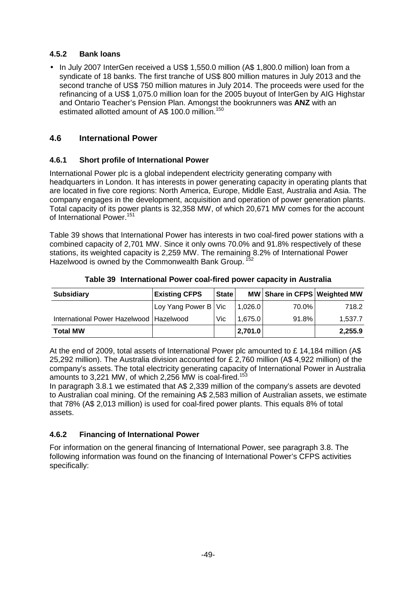#### **4.5.2 Bank loans**

• In July 2007 InterGen received a US\$ 1,550.0 million (A\$ 1,800.0 million) loan from a syndicate of 18 banks. The first tranche of US\$ 800 million matures in July 2013 and the second tranche of US\$ 750 million matures in July 2014. The proceeds were used for the refinancing of a US\$ 1,075.0 million loan for the 2005 buyout of InterGen by AIG Highstar and Ontario Teacher's Pension Plan. Amongst the bookrunners was **ANZ** with an estimated allotted amount of A\$ 100.0 million.<sup>150</sup>

## **4.6 International Power**

#### **4.6.1 Short profile of International Power**

International Power plc is a global independent electricity generating company with headquarters in London. It has interests in power generating capacity in operating plants that are located in five core regions: North America, Europe, Middle East, Australia and Asia. The company engages in the development, acquisition and operation of power generation plants. Total capacity of its power plants is 32,358 MW, of which 20,671 MW comes for the account of International Power<sup>151</sup>

Table 39 shows that International Power has interests in two coal-fired power stations with a combined capacity of 2,701 MW. Since it only owns 70.0% and 91.8% respectively of these stations, its weighted capacity is 2,259 MW. The remaining 8.2% of International Power Hazelwood is owned by the Commonwealth Bank Group.<sup>15</sup>

| <b>Subsidiary</b>                         | <b>Existing CFPS</b>   | <b>State</b> |         | MW   Share in CFPS   Weighted MW |         |
|-------------------------------------------|------------------------|--------------|---------|----------------------------------|---------|
|                                           | Loy Yang Power B   Vic |              | 1.026.0 | 70.0%                            | 718.2   |
| International Power Hazelwood   Hazelwood |                        | Vic          | 1,675.0 | 91.8% l                          | 1.537.7 |
| <b>Total MW</b>                           |                        |              | 2,701.0 |                                  | 2,255.9 |

#### **Table 39 International Power coal-fired power capacity in Australia**

At the end of 2009, total assets of International Power plc amounted to £ 14,184 million (A\$ 25,292 million). The Australia division accounted for £ 2,760 million (A\$ 4,922 million) of the company's assets. The total electricity generating capacity of International Power in Australia amounts to 3,221 MW, of which 2,256 MW is coal-fired.<sup>153</sup>

In paragraph 3.8.1 we estimated that A\$ 2,339 million of the company's assets are devoted to Australian coal mining. Of the remaining A\$ 2,583 million of Australian assets, we estimate that 78% (A\$ 2,013 million) is used for coal-fired power plants. This equals 8% of total assets.

## **4.6.2 Financing of International Power**

For information on the general financing of International Power, see paragraph 3.8. The following information was found on the financing of International Power's CFPS activities specifically: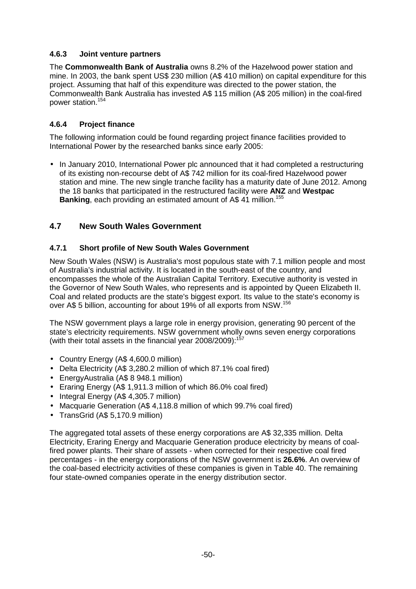#### **4.6.3 Joint venture partners**

The **Commonwealth Bank of Australia** owns 8.2% of the Hazelwood power station and mine. In 2003, the bank spent US\$ 230 million (A\$ 410 million) on capital expenditure for this project. Assuming that half of this expenditure was directed to the power station, the Commonwealth Bank Australia has invested A\$ 115 million (A\$ 205 million) in the coal-fired power station.<sup>154</sup>

### **4.6.4 Project finance**

The following information could be found regarding project finance facilities provided to International Power by the researched banks since early 2005:

• In January 2010, International Power plc announced that it had completed a restructuring of its existing non-recourse debt of A\$ 742 million for its coal-fired Hazelwood power station and mine. The new single tranche facility has a maturity date of June 2012. Among the 18 banks that participated in the restructured facility were **ANZ** and **Westpac Banking**, each providing an estimated amount of A\$ 41 million.<sup>155</sup>

## **4.7 New South Wales Government**

#### **4.7.1 Short profile of New South Wales Government**

New South Wales (NSW) is Australia's most populous state with 7.1 million people and most of Australia's industrial activity. It is located in the south-east of the country, and encompasses the whole of the Australian Capital Territory. Executive authority is vested in the Governor of New South Wales, who represents and is appointed by Queen Elizabeth II. Coal and related products are the state's biggest export. Its value to the state's economy is over A\$ 5 billion, accounting for about 19% of all exports from NSW.<sup>156</sup>

The NSW government plays a large role in energy provision, generating 90 percent of the state's electricity requirements. NSW government wholly owns seven energy corporations (with their total assets in the financial year 2008/2009):<sup>157</sup>

- Country Energy (A\$ 4,600.0 million)
- Delta Electricity (A\$ 3,280.2 million of which 87.1% coal fired)
- EnergyAustralia (A\$ 8 948.1 million)
- Eraring Energy (A\$ 1,911.3 million of which 86.0% coal fired)
- Integral Energy (A\$ 4,305.7 million)
- Macquarie Generation (A\$ 4,118.8 million of which 99.7% coal fired)
- TransGrid (A\$ 5,170.9 million)

The aggregated total assets of these energy corporations are A\$ 32,335 million. Delta Electricity, Eraring Energy and Macquarie Generation produce electricity by means of coalfired power plants. Their share of assets - when corrected for their respective coal fired percentages - in the energy corporations of the NSW government is **26.6%**. An overview of the coal-based electricity activities of these companies is given in Table 40. The remaining four state-owned companies operate in the energy distribution sector.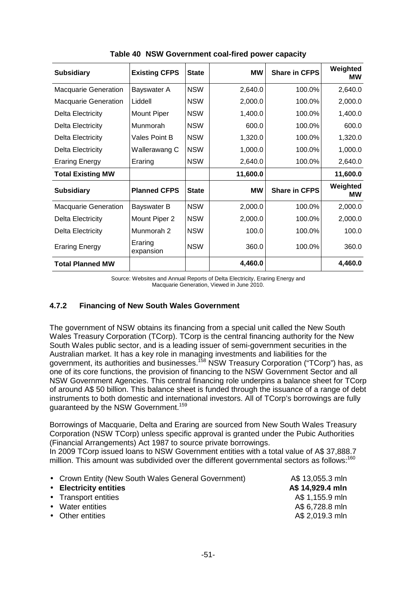| <b>Subsidiary</b>           | <b>Existing CFPS</b> | <b>State</b> | <b>MW</b> | <b>Share in CFPS</b> | Weighted<br>МW |
|-----------------------------|----------------------|--------------|-----------|----------------------|----------------|
| <b>Macquarie Generation</b> | Bayswater A          | <b>NSW</b>   | 2,640.0   | 100.0%               | 2,640.0        |
| <b>Macquarie Generation</b> | Liddell              | <b>NSW</b>   | 2,000.0   | 100.0%               | 2,000.0        |
| <b>Delta Electricity</b>    | Mount Piper          | <b>NSW</b>   | 1,400.0   | 100.0%               | 1,400.0        |
| <b>Delta Electricity</b>    | Munmorah             | <b>NSW</b>   | 600.0     | 100.0%               | 600.0          |
| <b>Delta Electricity</b>    | Vales Point B        | <b>NSW</b>   | 1,320.0   | 100.0%               | 1,320.0        |
| <b>Delta Electricity</b>    | Wallerawang C        | <b>NSW</b>   | 1,000.0   | 100.0%               | 1,000.0        |
| <b>Eraring Energy</b>       | Eraring              | <b>NSW</b>   | 2,640.0   | 100.0%               | 2,640.0        |
| <b>Total Existing MW</b>    |                      |              | 11,600.0  |                      | 11,600.0       |
| <b>Subsidiary</b>           | <b>Planned CFPS</b>  | <b>State</b> | <b>MW</b> | <b>Share in CFPS</b> | Weighted<br>МW |
| <b>Macquarie Generation</b> | Bayswater B          | <b>NSW</b>   | 2,000.0   | 100.0%               | 2,000.0        |
| <b>Delta Electricity</b>    | Mount Piper 2        | <b>NSW</b>   | 2,000.0   | 100.0%               | 2,000.0        |
| <b>Delta Electricity</b>    | Munmorah 2           | <b>NSW</b>   | 100.0     | 100.0%               | 100.0          |
| <b>Eraring Energy</b>       | Eraring<br>expansion | <b>NSW</b>   | 360.0     | 100.0%               | 360.0          |
| <b>Total Planned MW</b>     |                      |              | 4,460.0   |                      | 4,460.0        |

**Table 40 NSW Government coal-fired power capacity** 

Source: Websites and Annual Reports of Delta Electricity, Eraring Energy and Macquarie Generation, Viewed in June 2010.

#### **4.7.2 Financing of New South Wales Government**

The government of NSW obtains its financing from a special unit called the New South Wales Treasury Corporation (TCorp). TCorp is the central financing authority for the New South Wales public sector, and is a leading issuer of semi-government securities in the Australian market. It has a key role in managing investments and liabilities for the government, its authorities and businesses.<sup>158</sup> NSW Treasury Corporation ("TCorp") has, as one of its core functions, the provision of financing to the NSW Government Sector and all NSW Government Agencies. This central financing role underpins a balance sheet for TCorp of around A\$ 50 billion. This balance sheet is funded through the issuance of a range of debt instruments to both domestic and international investors. All of TCorp's borrowings are fully guaranteed by the NSW Government.<sup>159</sup>

Borrowings of Macquarie, Delta and Eraring are sourced from New South Wales Treasury Corporation (NSW TCorp) unless specific approval is granted under the Pubic Authorities (Financial Arrangements) Act 1987 to source private borrowings.

In 2009 TCorp issued loans to NSW Government entities with a total value of A\$ 37,888.7 million. This amount was subdivided over the different governmental sectors as follows:<sup>160</sup>

| • Crown Entity (New South Wales General Government) | A\$ 13,055.3 mln |
|-----------------------------------------------------|------------------|
| • Electricity entities                              | A\$ 14,929.4 mln |
| • Transport entities                                | A\$ 1,155.9 mln  |
| • Water entities                                    | A\$ 6,728.8 mln  |
| • Other entities                                    | A\$ 2,019.3 mln  |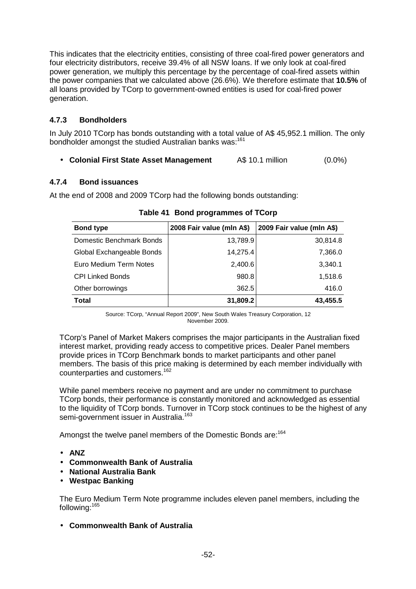This indicates that the electricity entities, consisting of three coal-fired power generators and four electricity distributors, receive 39.4% of all NSW loans. If we only look at coal-fired power generation, we multiply this percentage by the percentage of coal-fired assets within the power companies that we calculated above (26.6%). We therefore estimate that **10.5%** of all loans provided by TCorp to government-owned entities is used for coal-fired power generation.

## **4.7.3 Bondholders**

In July 2010 TCorp has bonds outstanding with a total value of A\$ 45,952.1 million. The only bondholder amongst the studied Australian banks was:<sup>161</sup>

• **Colonial First State Asset Management** A\$ 10.1 million (0.0%)

## **4.7.4 Bond issuances**

At the end of 2008 and 2009 TCorp had the following bonds outstanding:

| <b>Bond type</b>          | 2008 Fair value (mln A\$) | 2009 Fair value (mln A\$) |
|---------------------------|---------------------------|---------------------------|
| Domestic Benchmark Bonds  | 13,789.9                  | 30,814.8                  |
| Global Exchangeable Bonds | 14,275.4                  | 7,366.0                   |
| Euro Medium Term Notes    | 2,400.6                   | 3,340.1                   |
| <b>CPI Linked Bonds</b>   | 980.8                     | 1,518.6                   |
| Other borrowings          | 362.5                     | 416.0                     |
| <b>Total</b>              | 31,809.2                  | 43,455.5                  |

**Table 41 Bond programmes of TCorp** 

Source: TCorp, "Annual Report 2009", New South Wales Treasury Corporation, 12 November 2009.

TCorp's Panel of Market Makers comprises the major participants in the Australian fixed interest market, providing ready access to competitive prices. Dealer Panel members provide prices in TCorp Benchmark bonds to market participants and other panel members. The basis of this price making is determined by each member individually with counterparties and customers.<sup>162</sup>

While panel members receive no payment and are under no commitment to purchase TCorp bonds, their performance is constantly monitored and acknowledged as essential to the liquidity of TCorp bonds. Turnover in TCorp stock continues to be the highest of any semi-government issuer in Australia.<sup>163</sup>

Amongst the twelve panel members of the Domestic Bonds are:<sup>164</sup>

- **ANZ**
- **Commonwealth Bank of Australia**
- **National Australia Bank**
- **Westpac Banking**

The Euro Medium Term Note programme includes eleven panel members, including the following:<sup>165</sup>

• **Commonwealth Bank of Australia**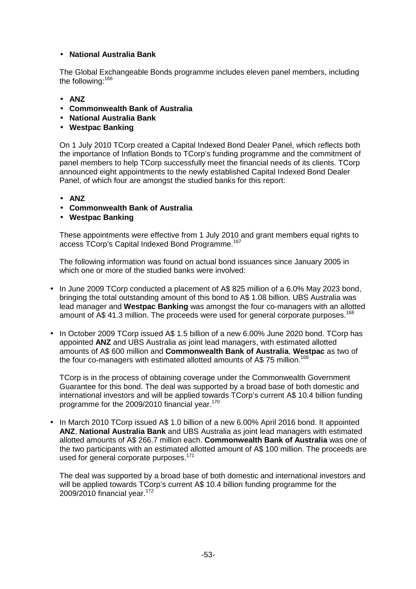#### • **National Australia Bank**

The Global Exchangeable Bonds programme includes eleven panel members, including the following:<sup>166</sup>

- **ANZ**
- **Commonwealth Bank of Australia**
- **National Australia Bank**
- **Westpac Banking**

On 1 July 2010 TCorp created a Capital Indexed Bond Dealer Panel, which reflects both the importance of Inflation Bonds to TCorp's funding programme and the commitment of panel members to help TCorp successfully meet the financial needs of its clients. TCorp announced eight appointments to the newly established Capital Indexed Bond Dealer Panel, of which four are amongst the studied banks for this report:

- **ANZ**
- **Commonwealth Bank of Australia**
- **Westpac Banking**

These appointments were effective from 1 July 2010 and grant members equal rights to access TCorp's Capital Indexed Bond Programme.<sup>167</sup>

The following information was found on actual bond issuances since January 2005 in which one or more of the studied banks were involved:

- In June 2009 TCorp conducted a placement of A\$ 825 million of a 6.0% May 2023 bond, bringing the total outstanding amount of this bond to A\$ 1.08 billion. UBS Australia was lead manager and **Westpac Banking** was amongst the four co-managers with an allotted amount of A\$ 41.3 million. The proceeds were used for general corporate purposes.<sup>168</sup>
- In October 2009 TCorp issued A\$ 1.5 billion of a new 6.00% June 2020 bond. TCorp has appointed **ANZ** and UBS Australia as joint lead managers, with estimated allotted amounts of A\$ 600 million and **Commonwealth Bank of Australia**, **Westpac** as two of the four co-managers with estimated allotted amounts of A\$ 75 million.<sup>169</sup>

TCorp is in the process of obtaining coverage under the Commonwealth Government Guarantee for this bond. The deal was supported by a broad base of both domestic and international investors and will be applied towards TCorp's current A\$ 10.4 billion funding programme for the 2009/2010 financial year.<sup>170</sup>

• In March 2010 TCorp issued A\$ 1.0 billion of a new 6.00% April 2016 bond. It appointed **ANZ**, **National Australia Bank** and UBS Australia as joint lead managers with estimated allotted amounts of A\$ 266.7 million each. **Commonwealth Bank of Australia** was one of the two participants with an estimated allotted amount of A\$ 100 million. The proceeds are used for general corporate purposes.<sup>171</sup>

The deal was supported by a broad base of both domestic and international investors and will be applied towards TCorp's current A\$ 10.4 billion funding programme for the 2009/2010 financial year.<sup>172</sup>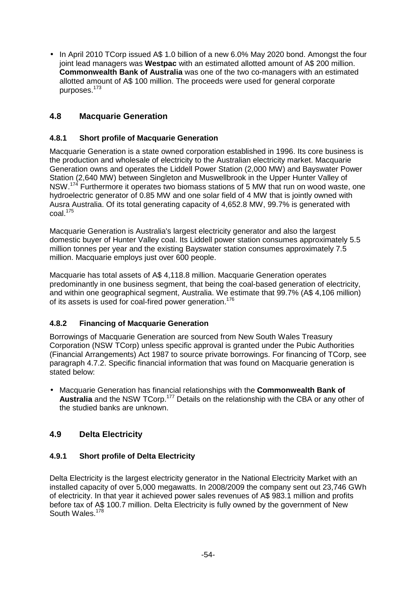• In April 2010 TCorp issued A\$ 1.0 billion of a new 6.0% May 2020 bond. Amongst the four joint lead managers was **Westpac** with an estimated allotted amount of A\$ 200 million. **Commonwealth Bank of Australia** was one of the two co-managers with an estimated allotted amount of A\$ 100 million. The proceeds were used for general corporate purposes.<sup>173</sup>

## **4.8 Macquarie Generation**

#### **4.8.1 Short profile of Macquarie Generation**

Macquarie Generation is a state owned corporation established in 1996. Its core business is the production and wholesale of electricity to the Australian electricity market. Macquarie Generation owns and operates the Liddell Power Station (2,000 MW) and Bayswater Power Station (2,640 MW) between Singleton and Muswellbrook in the Upper Hunter Valley of NSW.<sup>174</sup> Furthermore it operates two biomass stations of 5 MW that run on wood waste, one hydroelectric generator of 0.85 MW and one solar field of 4 MW that is jointly owned with Ausra Australia. Of its total generating capacity of 4,652.8 MW, 99.7% is generated with  $\text{coal.}^{175}$ 

Macquarie Generation is Australia's largest electricity generator and also the largest domestic buyer of Hunter Valley coal. Its Liddell power station consumes approximately 5.5 million tonnes per year and the existing Bayswater station consumes approximately 7.5 million. Macquarie employs just over 600 people.

Macquarie has total assets of A\$ 4,118.8 million. Macquarie Generation operates predominantly in one business segment, that being the coal-based generation of electricity, and within one geographical segment, Australia. We estimate that 99.7% (A\$ 4,106 million) of its assets is used for coal-fired power generation.<sup>176</sup>

## **4.8.2 Financing of Macquarie Generation**

Borrowings of Macquarie Generation are sourced from New South Wales Treasury Corporation (NSW TCorp) unless specific approval is granted under the Pubic Authorities (Financial Arrangements) Act 1987 to source private borrowings. For financing of TCorp, see paragraph 4.7.2. Specific financial information that was found on Macquarie generation is stated below:

• Macquarie Generation has financial relationships with the **Commonwealth Bank of Australia** and the NSW TCorp.<sup>177</sup> Details on the relationship with the CBA or any other of the studied banks are unknown.

## **4.9 Delta Electricity**

## **4.9.1 Short profile of Delta Electricity**

Delta Electricity is the largest electricity generator in the National Electricity Market with an installed capacity of over 5,000 megawatts. In 2008/2009 the company sent out 23,746 GWh of electricity. In that year it achieved power sales revenues of A\$ 983.1 million and profits before tax of A\$ 100.7 million. Delta Electricity is fully owned by the government of New South Wales.<sup>178</sup>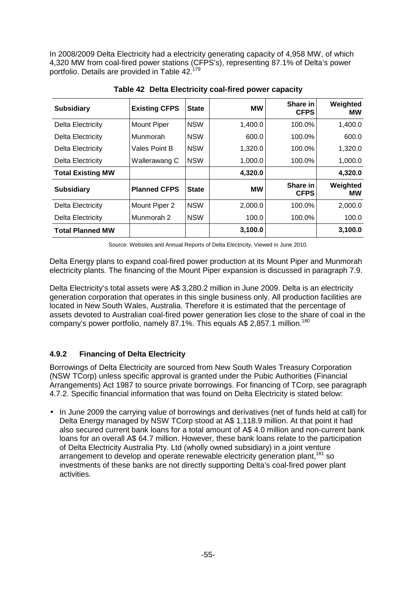In 2008/2009 Delta Electricity had a electricity generating capacity of 4,958 MW, of which 4,320 MW from coal-fired power stations (CFPS's), representing 87.1% of Delta's power portfolio. Details are provided in Table 42.<sup>1</sup>

| <b>Subsidiary</b>        | <b>Existing CFPS</b> | <b>State</b> | <b>MW</b> | Share in<br><b>CFPS</b> | Weighted<br>мw        |
|--------------------------|----------------------|--------------|-----------|-------------------------|-----------------------|
| <b>Delta Electricity</b> | <b>Mount Piper</b>   | <b>NSW</b>   | 1,400.0   | 100.0%                  | 1,400.0               |
| Delta Electricity        | Munmorah             | <b>NSW</b>   | 600.0     | 100.0%                  | 600.0                 |
| Delta Electricity        | Vales Point B        | <b>NSW</b>   | 1,320.0   | 100.0%                  | 1,320.0               |
| Delta Electricity        | Wallerawang C        | <b>NSW</b>   | 1,000.0   | 100.0%                  | 1,000.0               |
| <b>Total Existing MW</b> |                      |              | 4,320.0   |                         | 4,320.0               |
| <b>Subsidiary</b>        | <b>Planned CFPS</b>  | <b>State</b> | <b>MW</b> | Share in<br><b>CFPS</b> | Weighted<br><b>MW</b> |
| Delta Electricity        | Mount Piper 2        | <b>NSW</b>   | 2,000.0   | 100.0%                  | 2,000.0               |
| Delta Electricity        | Munmorah 2           | <b>NSW</b>   | 100.0     | 100.0%                  | 100.0                 |
| <b>Total Planned MW</b>  |                      |              | 3,100.0   |                         | 3,100.0               |

**Table 42 Delta Electricity coal-fired power capacity** 

Source: Websites and Annual Reports of Delta Electricity, Viewed in June 2010.

Delta Energy plans to expand coal-fired power production at its Mount Piper and Munmorah electricity plants. The financing of the Mount Piper expansion is discussed in paragraph 7.9.

Delta Electricity's total assets were A\$ 3,280.2 million in June 2009. Delta is an electricity generation corporation that operates in this single business only. All production facilities are located in New South Wales, Australia. Therefore it is estimated that the percentage of assets devoted to Australian coal-fired power generation lies close to the share of coal in the company's power portfolio, namely 87.1%. This equals A\$ 2,857.1 million.<sup>180</sup>

## **4.9.2 Financing of Delta Electricity**

Borrowings of Delta Electricity are sourced from New South Wales Treasury Corporation (NSW TCorp) unless specific approval is granted under the Pubic Authorities (Financial Arrangements) Act 1987 to source private borrowings. For financing of TCorp, see paragraph 4.7.2. Specific financial information that was found on Delta Electricity is stated below:

• In June 2009 the carrying value of borrowings and derivatives (net of funds held at call) for Delta Energy managed by NSW TCorp stood at A\$ 1,118.9 million. At that point it had also secured current bank loans for a total amount of A\$ 4.0 million and non-current bank loans for an overall A\$ 64.7 million. However, these bank loans relate to the participation of Delta Electricity Australia Pty. Ltd (wholly owned subsidiary) in a joint venture arrangement to develop and operate renewable electricity generation plant,<sup>181</sup> so investments of these banks are not directly supporting Delta's coal-fired power plant activities.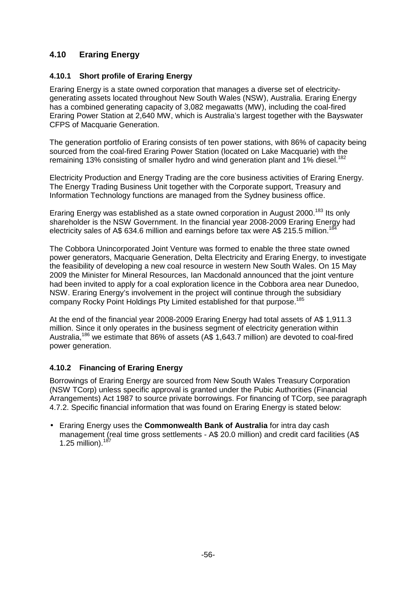## **4.10 Eraring Energy**

#### **4.10.1 Short profile of Eraring Energy**

Eraring Energy is a state owned corporation that manages a diverse set of electricitygenerating assets located throughout New South Wales (NSW), Australia. Eraring Energy has a combined generating capacity of 3,082 megawatts (MW), including the coal-fired Eraring Power Station at 2,640 MW, which is Australia's largest together with the Bayswater CFPS of Macquarie Generation.

The generation portfolio of Eraring consists of ten power stations, with 86% of capacity being sourced from the coal-fired Eraring Power Station (located on Lake Macquarie) with the remaining 13% consisting of smaller hydro and wind generation plant and 1% diesel.<sup>182</sup>

Electricity Production and Energy Trading are the core business activities of Eraring Energy. The Energy Trading Business Unit together with the Corporate support, Treasury and Information Technology functions are managed from the Sydney business office.

Eraring Energy was established as a state owned corporation in August 2000.<sup>183</sup> Its only shareholder is the NSW Government. In the financial year 2008-2009 Eraring Energy had electricity sales of A\$ 634.6 million and earnings before tax were A\$ 215.5 million.<sup>184</sup>

The Cobbora Unincorporated Joint Venture was formed to enable the three state owned power generators, Macquarie Generation, Delta Electricity and Eraring Energy, to investigate the feasibility of developing a new coal resource in western New South Wales. On 15 May 2009 the Minister for Mineral Resources, Ian Macdonald announced that the joint venture had been invited to apply for a coal exploration licence in the Cobbora area near Dunedoo, NSW. Eraring Energy's involvement in the project will continue through the subsidiary company Rocky Point Holdings Pty Limited established for that purpose.<sup>185</sup>

At the end of the financial year 2008-2009 Eraring Energy had total assets of A\$ 1,911.3 million. Since it only operates in the business segment of electricity generation within Australia,<sup>186</sup> we estimate that 86% of assets (A\$ 1,643.7 million) are devoted to coal-fired power generation.

## **4.10.2 Financing of Eraring Energy**

Borrowings of Eraring Energy are sourced from New South Wales Treasury Corporation (NSW TCorp) unless specific approval is granted under the Pubic Authorities (Financial Arrangements) Act 1987 to source private borrowings. For financing of TCorp, see paragraph 4.7.2. Specific financial information that was found on Eraring Energy is stated below:

• Eraring Energy uses the **Commonwealth Bank of Australia** for intra day cash management (real time gross settlements - A\$ 20.0 million) and credit card facilities (A\$ 1.25 million). $187$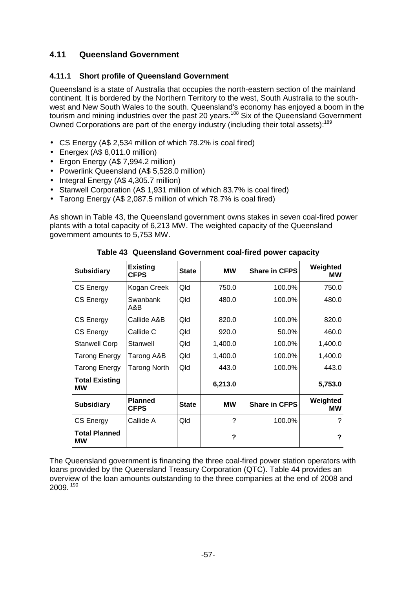## **4.11 Queensland Government**

#### **4.11.1 Short profile of Queensland Government**

Queensland is a state of Australia that occupies the north-eastern section of the mainland continent. It is bordered by the Northern Territory to the west, South Australia to the southwest and New South Wales to the south. Queensland's economy has enjoyed a boom in the tourism and mining industries over the past 20 years.<sup>188</sup> Six of the Queensland Government Owned Corporations are part of the energy industry (including their total assets):<sup>189</sup>

- CS Energy (A\$ 2,534 million of which 78.2% is coal fired)
- Energex (A\$ 8,011.0 million)
- Ergon Energy (A\$ 7,994.2 million)
- Powerlink Queensland (A\$ 5,528.0 million)
- Integral Energy (A\$ 4,305.7 million)
- Stanwell Corporation (A\$ 1,931 million of which 83.7% is coal fired)
- Tarong Energy (A\$ 2,087.5 million of which 78.7% is coal fired)

As shown in Table 43, the Queensland government owns stakes in seven coal-fired power plants with a total capacity of 6,213 MW. The weighted capacity of the Queensland government amounts to 5,753 MW.

| <b>Subsidiary</b>           | <b>Existing</b><br><b>CFPS</b> | <b>State</b> | <b>MW</b> | <b>Share in CFPS</b> | Weighted<br><b>MW</b> |
|-----------------------------|--------------------------------|--------------|-----------|----------------------|-----------------------|
| CS Energy                   | Kogan Creek                    | Qld          | 750.0     | 100.0%               | 750.0                 |
| CS Energy                   | Swanbank<br>A&B                | Qld          | 480.0     | 100.0%               | 480.0                 |
| <b>CS Energy</b>            | Callide A&B                    | Qld          | 820.0     | 100.0%               | 820.0                 |
| <b>CS Energy</b>            | Callide C                      | Qld          | 920.0     | 50.0%                | 460.0                 |
| <b>Stanwell Corp</b>        | Stanwell                       | Qld          | 1,400.0   | 100.0%               | 1,400.0               |
| <b>Tarong Energy</b>        | Tarong A&B                     | Qld          | 1,400.0   | 100.0%               | 1,400.0               |
| Tarong Energy               | Tarong North                   | Qld          | 443.0     | 100.0%               | 443.0                 |
| <b>Total Existing</b><br>МW |                                |              | 6,213.0   |                      | 5,753.0               |
| <b>Subsidiary</b>           | <b>Planned</b><br><b>CFPS</b>  | <b>State</b> | <b>MW</b> | <b>Share in CFPS</b> | Weighted<br>МW        |
| <b>CS Energy</b>            | Callide A                      | Qld          | $\gamma$  | 100.0%               | ?                     |
| <b>Total Planned</b><br>МW  |                                |              | ?         |                      | ?                     |

**Table 43 Queensland Government coal-fired power capacity** 

The Queensland government is financing the three coal-fired power station operators with loans provided by the Queensland Treasury Corporation (QTC). Table 44 provides an overview of the loan amounts outstanding to the three companies at the end of 2008 and 2009.<sup>190</sup>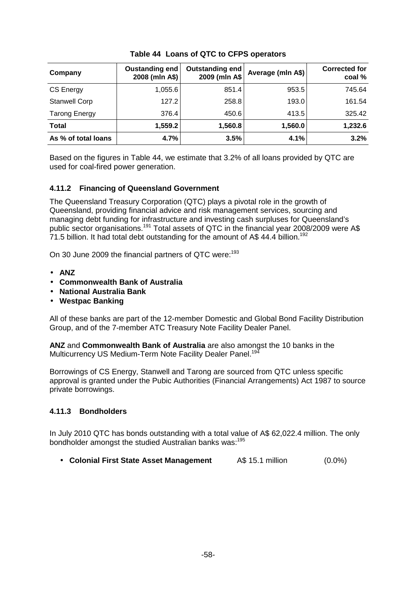| Company              | Oustanding end<br>2008 (mln A\$) | Outstanding end<br>2009 (mln A\$ | Average (mln A\$) | <b>Corrected for</b><br>coal % |
|----------------------|----------------------------------|----------------------------------|-------------------|--------------------------------|
| CS Energy            | 1,055.6                          | 851.4                            | 953.5             | 745.64                         |
| <b>Stanwell Corp</b> | 127.2                            | 258.8                            | 193.0             | 161.54                         |
| <b>Tarong Energy</b> | 376.4                            | 450.6                            | 413.5             | 325.42                         |
| <b>Total</b>         | 1,559.2                          | 1,560.8                          | 1,560.0           | 1,232.6                        |
| As % of total loans  | 4.7%                             | 3.5%                             | 4.1%              | 3.2%                           |

#### **Table 44 Loans of QTC to CFPS operators**

Based on the figures in Table 44, we estimate that 3.2% of all loans provided by QTC are used for coal-fired power generation.

#### **4.11.2 Financing of Queensland Government**

The Queensland Treasury Corporation (QTC) plays a pivotal role in the growth of Queensland, providing financial advice and risk management services, sourcing and managing debt funding for infrastructure and investing cash surpluses for Queensland's public sector organisations.<sup>191</sup> Total assets of QTC in the financial year 2008/2009 were A\$  $71.5$  billion. It had total debt outstanding for the amount of A\$ 44.4 billion.<sup>192</sup>

On 30 June 2009 the financial partners of QTC were:<sup>193</sup>

- **ANZ**
- **Commonwealth Bank of Australia**
- **National Australia Bank**
- **Westpac Banking**

All of these banks are part of the 12-member Domestic and Global Bond Facility Distribution Group, and of the 7-member ATC Treasury Note Facility Dealer Panel.

**ANZ** and **Commonwealth Bank of Australia** are also amongst the 10 banks in the Multicurrency US Medium-Term Note Facility Dealer Panel.<sup>194</sup>

Borrowings of CS Energy, Stanwell and Tarong are sourced from QTC unless specific approval is granted under the Pubic Authorities (Financial Arrangements) Act 1987 to source private borrowings.

#### **4.11.3 Bondholders**

In July 2010 QTC has bonds outstanding with a total value of A\$ 62,022.4 million. The only bondholder amongst the studied Australian banks was:<sup>195</sup>

• **Colonial First State Asset Management** A\$ 15.1 million (0.0%)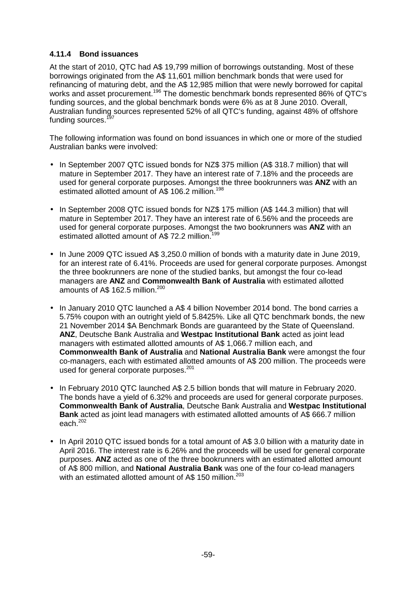#### **4.11.4 Bond issuances**

At the start of 2010, QTC had A\$ 19,799 million of borrowings outstanding. Most of these borrowings originated from the A\$ 11,601 million benchmark bonds that were used for refinancing of maturing debt, and the A\$ 12,985 million that were newly borrowed for capital works and asset procurement.<sup>196</sup> The domestic benchmark bonds represented 86% of QTC's funding sources, and the global benchmark bonds were 6% as at 8 June 2010. Overall, Australian funding sources represented 52% of all QTC's funding, against 48% of offshore funding sources.<sup>197</sup>

The following information was found on bond issuances in which one or more of the studied Australian banks were involved:

- In September 2007 QTC issued bonds for NZ\$ 375 million (A\$ 318.7 million) that will mature in September 2017. They have an interest rate of 7.18% and the proceeds are used for general corporate purposes. Amongst the three bookrunners was **ANZ** with an estimated allotted amount of A\$ 106.2 million.<sup>198</sup>
- In September 2008 QTC issued bonds for NZ\$ 175 million (A\$ 144.3 million) that will mature in September 2017. They have an interest rate of 6.56% and the proceeds are used for general corporate purposes. Amongst the two bookrunners was **ANZ** with an estimated allotted amount of A\$ 72.2 million.<sup>199</sup>
- In June 2009 QTC issued A\$ 3,250.0 million of bonds with a maturity date in June 2019, for an interest rate of 6.41%. Proceeds are used for general corporate purposes. Amongst the three bookrunners are none of the studied banks, but amongst the four co-lead managers are **ANZ** and **Commonwealth Bank of Australia** with estimated allotted amounts of A\$ 162.5 million.<sup>200</sup>
- In January 2010 QTC launched a A\$ 4 billion November 2014 bond. The bond carries a 5.75% coupon with an outright yield of 5.8425%. Like all QTC benchmark bonds, the new 21 November 2014 \$A Benchmark Bonds are guaranteed by the State of Queensland. **ANZ**, Deutsche Bank Australia and **Westpac Institutional Bank** acted as joint lead managers with estimated allotted amounts of A\$ 1,066.7 million each, and **Commonwealth Bank of Australia** and **National Australia Bank** were amongst the four co-managers, each with estimated allotted amounts of A\$ 200 million. The proceeds were used for general corporate purposes.<sup>201</sup>
- In February 2010 QTC launched A\$ 2.5 billion bonds that will mature in February 2020. The bonds have a yield of 6.32% and proceeds are used for general corporate purposes. **Commonwealth Bank of Australia**, Deutsche Bank Australia and **Westpac Institutional Bank** acted as joint lead managers with estimated allotted amounts of A\$ 666.7 million each.<sup>202</sup>
- In April 2010 QTC issued bonds for a total amount of A\$ 3.0 billion with a maturity date in April 2016. The interest rate is 6.26% and the proceeds will be used for general corporate purposes. **ANZ** acted as one of the three bookrunners with an estimated allotted amount of A\$ 800 million, and **National Australia Bank** was one of the four co-lead managers with an estimated allotted amount of A\$ 150 million.<sup>203</sup>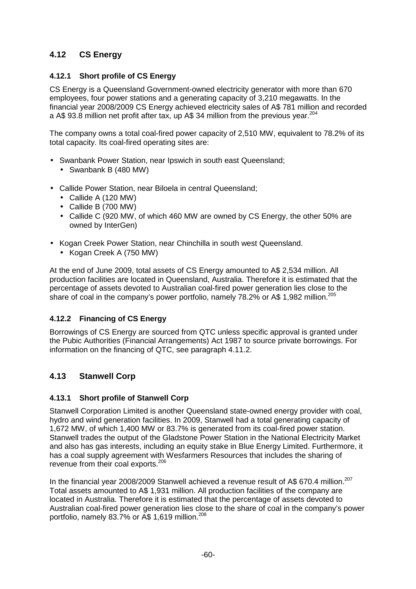## **4.12 CS Energy**

#### **4.12.1 Short profile of CS Energy**

CS Energy is a Queensland Government-owned electricity generator with more than 670 employees, four power stations and a generating capacity of 3,210 megawatts. In the financial year 2008/2009 CS Energy achieved electricity sales of A\$ 781 million and recorded a A\$ 93.8 million net profit after tax, up A\$ 34 million from the previous year.<sup>204</sup>

The company owns a total coal-fired power capacity of 2,510 MW, equivalent to 78.2% of its total capacity. Its coal-fired operating sites are:

- Swanbank Power Station, near Ipswich in south east Queensland;
	- Swanbank B (480 MW)
- Callide Power Station, near Biloela in central Queensland;
	- Callide A (120 MW)
	- Callide B (700 MW)
	- Callide C (920 MW, of which 460 MW are owned by CS Energy, the other 50% are owned by InterGen)
- Kogan Creek Power Station, near Chinchilla in south west Queensland.
	- Kogan Creek A (750 MW)

At the end of June 2009, total assets of CS Energy amounted to A\$ 2,534 million. All production facilities are located in Queensland, Australia. Therefore it is estimated that the percentage of assets devoted to Australian coal-fired power generation lies close to the share of coal in the company's power portfolio, namely 78.2% or A\$ 1,982 million.<sup>205</sup>

#### **4.12.2 Financing of CS Energy**

Borrowings of CS Energy are sourced from QTC unless specific approval is granted under the Pubic Authorities (Financial Arrangements) Act 1987 to source private borrowings. For information on the financing of QTC, see paragraph 4.11.2.

## **4.13 Stanwell Corp**

#### **4.13.1 Short profile of Stanwell Corp**

Stanwell Corporation Limited is another Queensland state-owned energy provider with coal, hydro and wind generation facilities. In 2009, Stanwell had a total generating capacity of 1,672 MW, of which 1,400 MW or 83.7% is generated from its coal-fired power station. Stanwell trades the output of the Gladstone Power Station in the National Electricity Market and also has gas interests, including an equity stake in Blue Energy Limited. Furthermore, it has a coal supply agreement with Wesfarmers Resources that includes the sharing of revenue from their coal exports.<sup>206</sup>

In the financial year 2008/2009 Stanwell achieved a revenue result of A\$ 670.4 million.<sup>207</sup> Total assets amounted to A\$ 1,931 million. All production facilities of the company are located in Australia. Therefore it is estimated that the percentage of assets devoted to Australian coal-fired power generation lies close to the share of coal in the company's power portfolio, namely 83.7% or A\$ 1,619 million.<sup>208</sup>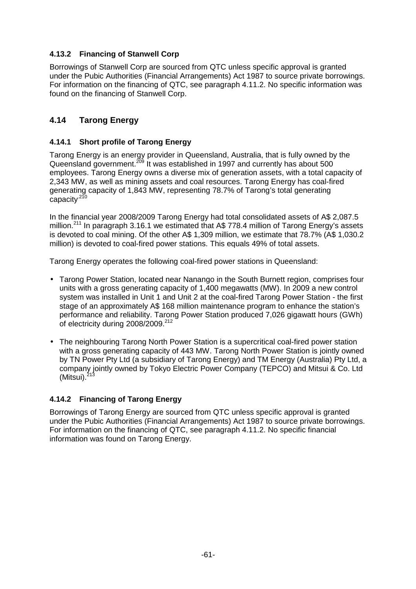## **4.13.2 Financing of Stanwell Corp**

Borrowings of Stanwell Corp are sourced from QTC unless specific approval is granted under the Pubic Authorities (Financial Arrangements) Act 1987 to source private borrowings. For information on the financing of QTC, see paragraph 4.11.2. No specific information was found on the financing of Stanwell Corp.

## **4.14 Tarong Energy**

#### **4.14.1 Short profile of Tarong Energy**

Tarong Energy is an energy provider in Queensland, Australia, that is fully owned by the Queensland government.<sup>209</sup> It was established in 1997 and currently has about 500 employees. Tarong Energy owns a diverse mix of generation assets, with a total capacity of 2,343 MW, as well as mining assets and coal resources. Tarong Energy has coal-fired generating capacity of 1,843 MW, representing 78.7% of Tarong's total generating capacity<sup>210</sup>

In the financial year 2008/2009 Tarong Energy had total consolidated assets of A\$ 2,087.5 million.<sup>211</sup> In paragraph 3.16.1 we estimated that A\$ 778.4 million of Tarong Energy's assets is devoted to coal mining. Of the other A\$ 1,309 million, we estimate that 78.7% (A\$ 1,030.2 million) is devoted to coal-fired power stations. This equals 49% of total assets.

Tarong Energy operates the following coal-fired power stations in Queensland:

- Tarong Power Station, located near Nanango in the South Burnett region, comprises four units with a gross generating capacity of 1,400 megawatts (MW). In 2009 a new control system was installed in Unit 1 and Unit 2 at the coal-fired Tarong Power Station - the first stage of an approximately A\$ 168 million maintenance program to enhance the station's performance and reliability. Tarong Power Station produced 7,026 gigawatt hours (GWh) of electricity during 2008/2009.<sup>212</sup>
- The neighbouring Tarong North Power Station is a supercritical coal-fired power station with a gross generating capacity of 443 MW. Tarong North Power Station is jointly owned by TN Power Pty Ltd (a subsidiary of Tarong Energy) and TM Energy (Australia) Pty Ltd, a company jointly owned by Tokyo Electric Power Company (TEPCO) and Mitsui & Co. Ltd (Mitsui). $<sup>2</sup>$ </sup>

## **4.14.2 Financing of Tarong Energy**

Borrowings of Tarong Energy are sourced from QTC unless specific approval is granted under the Pubic Authorities (Financial Arrangements) Act 1987 to source private borrowings. For information on the financing of QTC, see paragraph 4.11.2. No specific financial information was found on Tarong Energy.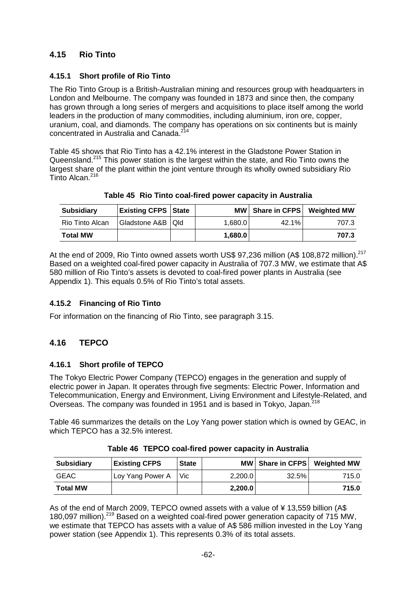## **4.15 Rio Tinto**

## **4.15.1 Short profile of Rio Tinto**

The Rio Tinto Group is a British-Australian mining and resources group with headquarters in London and Melbourne. The company was founded in 1873 and since then, the company has grown through a long series of mergers and acquisitions to place itself among the world leaders in the production of many commodities, including aluminium, iron ore, copper, uranium, coal, and diamonds. The company has operations on six continents but is mainly concentrated in Australia and Canada.<sup>214</sup>

Table 45 shows that Rio Tinto has a 42.1% interest in the Gladstone Power Station in Queensland.<sup>215</sup> This power station is the largest within the state, and Rio Tinto owns the largest share of the plant within the joint venture through its wholly owned subsidiary Rio Tinto Alcan.<sup>216</sup>

| <b>Subsidiary</b> | <b>Existing CFPS State</b> |         | MW   Share in CFPS   Weighted MW |       |
|-------------------|----------------------------|---------|----------------------------------|-------|
| Rio Tinto Alcan   | Gladstone A&B   Qld        | 1.680.0 | $42.1\%$                         | 707.3 |
| <b>Total MW</b>   |                            | 1,680.0 |                                  | 707.3 |

**Table 45 Rio Tinto coal-fired power capacity in Australia** 

At the end of 2009, Rio Tinto owned assets worth US\$ 97,236 million (A\$ 108,872 million).<sup>217</sup> Based on a weighted coal-fired power capacity in Australia of 707.3 MW, we estimate that A\$ 580 million of Rio Tinto's assets is devoted to coal-fired power plants in Australia (see Appendix 1). This equals 0.5% of Rio Tinto's total assets.

## **4.15.2 Financing of Rio Tinto**

For information on the financing of Rio Tinto, see paragraph 3.15.

## **4.16 TEPCO**

## **4.16.1 Short profile of TEPCO**

The Tokyo Electric Power Company (TEPCO) engages in the generation and supply of electric power in Japan. It operates through five segments: Electric Power, Information and Telecommunication, Energy and Environment, Living Environment and Lifestyle-Related, and Overseas. The company was founded in 1951 and is based in Tokyo, Japan.<sup>218</sup>

Table 46 summarizes the details on the Loy Yang power station which is owned by GEAC, in which TEPCO has a 32.5% interest.

| <b>Subsidiary</b> | <b>Existing CFPS</b> | <b>State</b> |         | MW   Share in CFPS | <b>Weighted MW</b> |
|-------------------|----------------------|--------------|---------|--------------------|--------------------|
| <b>GEAC</b>       | Loy Yang Power A     | Vic.         | 2,200.0 | 32.5%              | 715.0              |
| <b>Total MW</b>   |                      |              | 2,200.0 |                    | 715.0              |

| Table 46 TEPCO coal-fired power capacity in Australia |  |  |
|-------------------------------------------------------|--|--|
|                                                       |  |  |

As of the end of March 2009, TEPCO owned assets with a value of ¥ 13,559 billion (A\$ 180,097 million).<sup>219</sup> Based on a weighted coal-fired power generation capacity of 715 MW, we estimate that TEPCO has assets with a value of A\$ 586 million invested in the Loy Yang power station (see Appendix 1). This represents 0.3% of its total assets.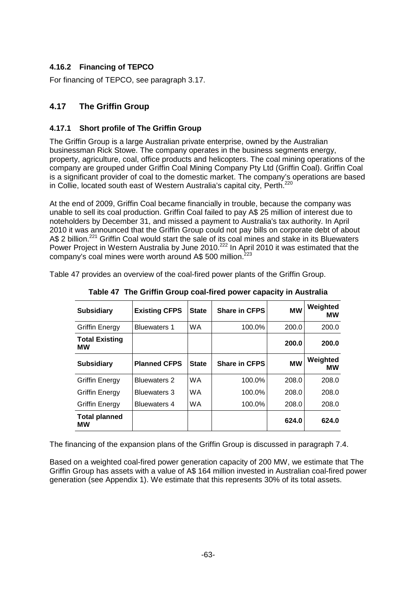## **4.16.2 Financing of TEPCO**

For financing of TEPCO, see paragraph 3.17.

## **4.17 The Griffin Group**

#### **4.17.1 Short profile of The Griffin Group**

The Griffin Group is a large Australian private enterprise, owned by the Australian businessman Rick Stowe. The company operates in the business segments energy, property, agriculture, coal, office products and helicopters. The coal mining operations of the company are grouped under Griffin Coal Mining Company Pty Ltd (Griffin Coal). Griffin Coal is a significant provider of coal to the domestic market. The company's operations are based in Collie, located south east of Western Australia's capital city, Perth.<sup>220</sup>

At the end of 2009, Griffin Coal became financially in trouble, because the company was unable to sell its coal production. Griffin Coal failed to pay A\$ 25 million of interest due to noteholders by December 31, and missed a payment to Australia's tax authority. In April 2010 it was announced that the Griffin Group could not pay bills on corporate debt of about A\$ 2 billion.<sup>221</sup> Griffin Coal would start the sale of its coal mines and stake in its Bluewaters Power Project in Western Australia by June 2010.<sup>222</sup> In April 2010 it was estimated that the company's coal mines were worth around A\$ 500 million.<sup>223</sup>

Table 47 provides an overview of the coal-fired power plants of the Griffin Group.

| <b>Subsidiary</b>           | <b>Existing CFPS</b> | <b>State</b> | <b>Share in CFPS</b> | <b>MW</b> | Weighted<br>МW |
|-----------------------------|----------------------|--------------|----------------------|-----------|----------------|
| <b>Griffin Energy</b>       | <b>Bluewaters 1</b>  | <b>WA</b>    | 100.0%               | 200.0     | 200.0          |
| <b>Total Existing</b><br>мw |                      |              |                      | 200.0     | 200.0          |
| <b>Subsidiary</b>           | <b>Planned CFPS</b>  | <b>State</b> | <b>Share in CFPS</b> | <b>MW</b> | Weighted<br>МW |
| Griffin Energy              | <b>Bluewaters 2</b>  | <b>WA</b>    | 100.0%               | 208.0     | 208.0          |
| Griffin Energy              | <b>Bluewaters 3</b>  | WA.          | 100.0%               | 208.0     | 208.0          |
| Griffin Energy              | Bluewaters 4         | WA.          | 100.0%               | 208.0     | 208.0          |
| <b>Total planned</b><br>МW  |                      |              |                      | 624.0     | 624.0          |

**Table 47 The Griffin Group coal-fired power capacity in Australia** 

The financing of the expansion plans of the Griffin Group is discussed in paragraph 7.4.

Based on a weighted coal-fired power generation capacity of 200 MW, we estimate that The Griffin Group has assets with a value of A\$ 164 million invested in Australian coal-fired power generation (see Appendix 1). We estimate that this represents 30% of its total assets.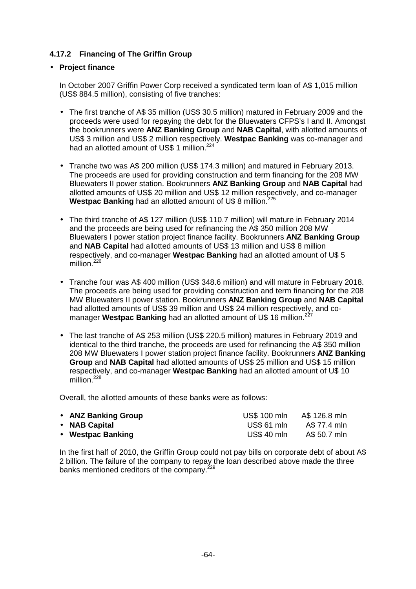### **4.17.2 Financing of The Griffin Group**

#### • **Project finance**

In October 2007 Griffin Power Corp received a syndicated term loan of A\$ 1,015 million (US\$ 884.5 million), consisting of five tranches:

- The first tranche of A\$ 35 million (US\$ 30.5 million) matured in February 2009 and the proceeds were used for repaying the debt for the Bluewaters CFPS's I and II. Amongst the bookrunners were **ANZ Banking Group** and **NAB Capital**, with allotted amounts of US\$ 3 million and US\$ 2 million respectively. **Westpac Banking** was co-manager and had an allotted amount of US\$ 1 million.<sup>224</sup>
- Tranche two was A\$ 200 million (US\$ 174.3 million) and matured in February 2013. The proceeds are used for providing construction and term financing for the 208 MW Bluewaters II power station. Bookrunners **ANZ Banking Group** and **NAB Capital** had allotted amounts of US\$ 20 million and US\$ 12 million respectively, and co-manager Westpac Banking had an allotted amount of U\$ 8 million.<sup>225</sup>
- The third tranche of A\$ 127 million (US\$ 110.7 million) will mature in February 2014 and the proceeds are being used for refinancing the A\$ 350 million 208 MW Bluewaters I power station project finance facility. Bookrunners **ANZ Banking Group** and **NAB Capital** had allotted amounts of US\$ 13 million and US\$ 8 million respectively, and co-manager **Westpac Banking** had an allotted amount of U\$ 5 million.<sup>226</sup>
- Tranche four was A\$ 400 million (US\$ 348.6 million) and will mature in February 2018. The proceeds are being used for providing construction and term financing for the 208 MW Bluewaters II power station. Bookrunners **ANZ Banking Group** and **NAB Capital**  had allotted amounts of US\$ 39 million and US\$ 24 million respectively, and comanager **Westpac Banking** had an allotted amount of U\$ 16 million.<sup>227</sup>
- The last tranche of A\$ 253 million (US\$ 220.5 million) matures in February 2019 and identical to the third tranche, the proceeds are used for refinancing the A\$ 350 million 208 MW Bluewaters I power station project finance facility. Bookrunners **ANZ Banking Group** and **NAB Capital** had allotted amounts of US\$ 25 million and US\$ 15 million respectively, and co-manager **Westpac Banking** had an allotted amount of U\$ 10 million $^{228}$

Overall, the allotted amounts of these banks were as follows:

| • ANZ Banking Group | <b>US\$ 100 mln</b> | A\$ 126.8 mln |
|---------------------|---------------------|---------------|
| • NAB Capital       | US\$ 61 mln         | A\$ 77.4 mln  |
| • Westpac Banking   | <b>US\$ 40 mln</b>  | A\$ 50.7 mln  |

In the first half of 2010, the Griffin Group could not pay bills on corporate debt of about A\$ 2 billion. The failure of the company to repay the loan described above made the three banks mentioned creditors of the company.<sup>229</sup>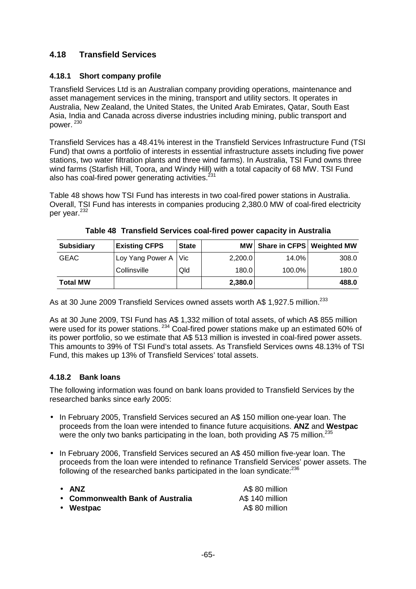## **4.18 Transfield Services**

#### **4.18.1 Short company profile**

Transfield Services Ltd is an Australian company providing operations, maintenance and asset management services in the mining, transport and utility sectors. It operates in Australia, New Zealand, the United States, the United Arab Emirates, Qatar, South East Asia, India and Canada across diverse industries including mining, public transport and power.<sup>230</sup>

Transfield Services has a 48.41% interest in the Transfield Services Infrastructure Fund (TSI Fund) that owns a portfolio of interests in essential infrastructure assets including five power stations, two water filtration plants and three wind farms). In Australia, TSI Fund owns three wind farms (Starfish Hill, Toora, and Windy Hill) with a total capacity of 68 MW. TSI Fund also has coal-fired power generating activities. $^{231}$ 

Table 48 shows how TSI Fund has interests in two coal-fired power stations in Australia. Overall, TSI Fund has interests in companies producing 2,380.0 MW of coal-fired electricity per year.<sup>232</sup>

| <b>Subsidiary</b> | <b>Existing CFPS</b> | <b>State</b> |         | MW   Share in CFPS   Weighted MW |       |
|-------------------|----------------------|--------------|---------|----------------------------------|-------|
| <b>GEAC</b>       | Loy Yang Power A Vic |              | 2,200.0 | 14.0%                            | 308.0 |
|                   | Collinsville         | Qld          | 180.0   | 100.0%                           | 180.0 |
| <b>Total MW</b>   |                      |              | 2,380.0 |                                  | 488.0 |

**Table 48 Transfield Services coal-fired power capacity in Australia** 

As at 30 June 2009 Transfield Services owned assets worth A\$ 1,927.5 million.<sup>233</sup>

As at 30 June 2009, TSI Fund has A\$ 1,332 million of total assets, of which A\$ 855 million were used for its power stations.<sup>234</sup> Coal-fired power stations make up an estimated 60% of its power portfolio, so we estimate that A\$ 513 million is invested in coal-fired power assets. This amounts to 39% of TSI Fund's total assets. As Transfield Services owns 48.13% of TSI Fund, this makes up 13% of Transfield Services' total assets.

## **4.18.2 Bank loans**

The following information was found on bank loans provided to Transfield Services by the researched banks since early 2005:

- In February 2005, Transfield Services secured an A\$ 150 million one-year loan. The proceeds from the loan were intended to finance future acquisitions. **ANZ** and **Westpac**  were the only two banks participating in the loan, both providing A\$ 75 million.<sup>235</sup>
- In February 2006, Transfield Services secured an A\$ 450 million five-year loan. The proceeds from the loan were intended to refinance Transfield Services' power assets. The following of the researched banks participated in the loan syndicate:<sup>236</sup>

| $\bullet$ ANZ                    | A\$ 80 million  |
|----------------------------------|-----------------|
| • Commonwealth Bank of Australia | A\$ 140 million |
| • Westpac                        | A\$ 80 million  |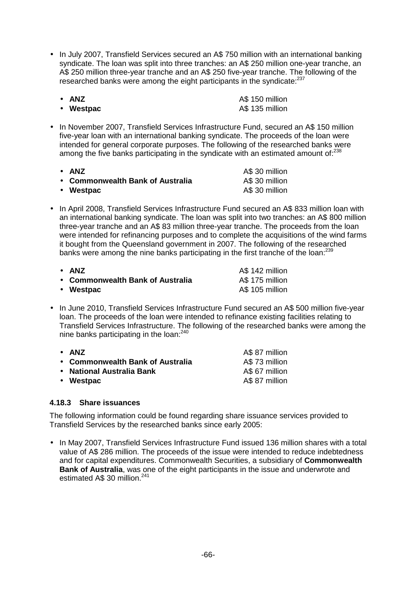• In July 2007, Transfield Services secured an A\$ 750 million with an international banking syndicate. The loan was split into three tranches: an A\$ 250 million one-year tranche, an A\$ 250 million three-year tranche and an A\$ 250 five-year tranche. The following of the researched banks were among the eight participants in the syndicate:<sup>237</sup>

| $\bullet$ ANZ | A\$ 150 million |
|---------------|-----------------|
| • Westpac     | A\$ 135 million |

• In November 2007, Transfield Services Infrastructure Fund, secured an A\$ 150 million five-year loan with an international banking syndicate. The proceeds of the loan were intended for general corporate purposes. The following of the researched banks were among the five banks participating in the syndicate with an estimated amount of: $238$ 

| • ANZ                            | A\$ 30 million |
|----------------------------------|----------------|
| • Commonwealth Bank of Australia | A\$ 30 million |
| • Westpac                        | A\$ 30 million |

• In April 2008, Transfield Services Infrastructure Fund secured an A\$ 833 million loan with an international banking syndicate. The loan was split into two tranches: an A\$ 800 million three-year tranche and an A\$ 83 million three-year tranche. The proceeds from the loan were intended for refinancing purposes and to complete the acquisitions of the wind farms it bought from the Queensland government in 2007. The following of the researched banks were among the nine banks participating in the first tranche of the loan:<sup>239</sup>

| • ANZ                            | A\$ 142 million |
|----------------------------------|-----------------|
| • Commonwealth Bank of Australia | A\$ 175 million |
| • Westpac                        | A\$ 105 million |

• In June 2010, Transfield Services Infrastructure Fund secured an A\$ 500 million five-year loan. The proceeds of the loan were intended to refinance existing facilities relating to Transfield Services Infrastructure. The following of the researched banks were among the nine banks participating in the loan:<sup>240</sup>

| $\bullet$ ANZ                    | A\$ 87 million |
|----------------------------------|----------------|
| • Commonwealth Bank of Australia | A\$73 million  |
| • National Australia Bank        | A\$ 67 million |
| • Westpac                        | A\$ 87 million |

#### **4.18.3 Share issuances**

The following information could be found regarding share issuance services provided to Transfield Services by the researched banks since early 2005:

• In May 2007, Transfield Services Infrastructure Fund issued 136 million shares with a total value of A\$ 286 million. The proceeds of the issue were intended to reduce indebtedness and for capital expenditures. Commonwealth Securities, a subsidiary of **Commonwealth Bank of Australia**, was one of the eight participants in the issue and underwrote and estimated A\$ 30 million.<sup>241</sup>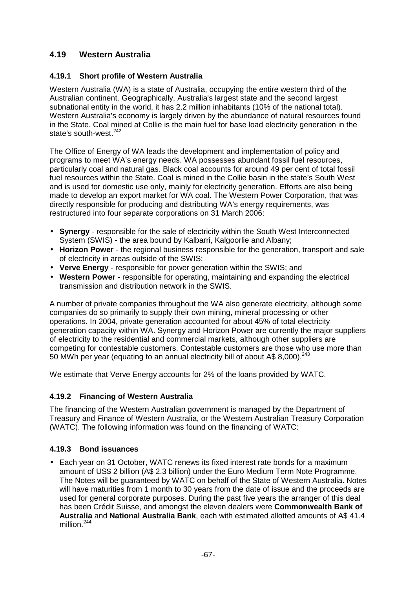## **4.19 Western Australia**

#### **4.19.1 Short profile of Western Australia**

Western Australia (WA) is a state of Australia, occupying the entire western third of the Australian continent. Geographically, Australia's largest state and the second largest subnational entity in the world, it has 2.2 million inhabitants (10% of the national total). Western Australia's economy is largely driven by the abundance of natural resources found in the State. Coal mined at Collie is the main fuel for base load electricity generation in the state's south-west.<sup>242</sup>

The Office of Energy of WA leads the development and implementation of policy and programs to meet WA's energy needs. WA possesses abundant fossil fuel resources, particularly coal and natural gas. Black coal accounts for around 49 per cent of total fossil fuel resources within the State. Coal is mined in the Collie basin in the state's South West and is used for domestic use only, mainly for electricity generation. Efforts are also being made to develop an export market for WA coal. The Western Power Corporation, that was directly responsible for producing and distributing WA's energy requirements, was restructured into four separate corporations on 31 March 2006:

- **Synergy**  responsible for the sale of electricity within the South West Interconnected System (SWIS) - the area bound by Kalbarri, Kalgoorlie and Albany;
- **Horizon Power**  the regional business responsible for the generation, transport and sale of electricity in areas outside of the SWIS;
- **Verve Energy**  responsible for power generation within the SWIS; and
- **Western Power**  responsible for operating, maintaining and expanding the electrical transmission and distribution network in the SWIS.

A number of private companies throughout the WA also generate electricity, although some companies do so primarily to supply their own mining, mineral processing or other operations. In 2004, private generation accounted for about 45% of total electricity generation capacity within WA. Synergy and Horizon Power are currently the major suppliers of electricity to the residential and commercial markets, although other suppliers are competing for contestable customers. Contestable customers are those who use more than 50 MWh per year (equating to an annual electricity bill of about A\$ 8,000).<sup>243</sup>

We estimate that Verve Energy accounts for 2% of the loans provided by WATC.

#### **4.19.2 Financing of Western Australia**

The financing of the Western Australian government is managed by the Department of Treasury and Finance of Western Australia, or the Western Australian Treasury Corporation (WATC). The following information was found on the financing of WATC:

#### **4.19.3 Bond issuances**

• Each year on 31 October, WATC renews its fixed interest rate bonds for a maximum amount of US\$ 2 billion (A\$ 2.3 billion) under the Euro Medium Term Note Programme. The Notes will be guaranteed by WATC on behalf of the State of Western Australia. Notes will have maturities from 1 month to 30 years from the date of issue and the proceeds are used for general corporate purposes. During the past five years the arranger of this deal has been Crédit Suisse, and amongst the eleven dealers were **Commonwealth Bank of Australia** and **National Australia Bank**, each with estimated allotted amounts of A\$ 41.4 million $244$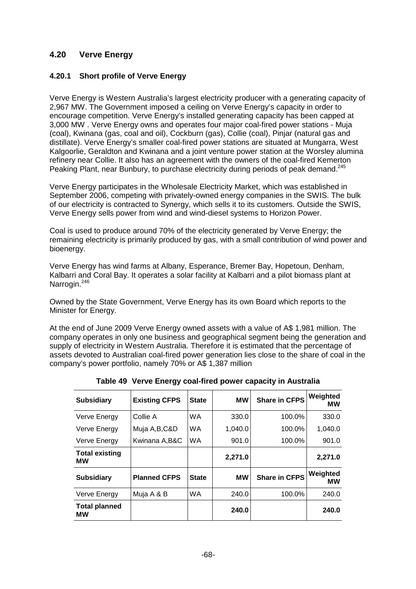## **4.20 Verve Energy**

### **4.20.1 Short profile of Verve Energy**

Verve Energy is Western Australia's largest electricity producer with a generating capacity of 2,967 MW. The Government imposed a ceiling on Verve Energy's capacity in order to encourage competition. Verve Energy's installed generating capacity has been capped at 3,000 MW . Verve Energy owns and operates four major coal-fired power stations - Muja (coal), Kwinana (gas, coal and oil), Cockburn (gas), Collie (coal), Pinjar (natural gas and distillate). Verve Energy's smaller coal-fired power stations are situated at Mungarra, West Kalgoorlie, Geraldton and Kwinana and a joint venture power station at the Worsley alumina refinery near Collie. It also has an agreement with the owners of the coal-fired Kemerton Peaking Plant, near Bunbury, to purchase electricity during periods of peak demand.<sup>245</sup>

Verve Energy participates in the Wholesale Electricity Market, which was established in September 2006, competing with privately-owned energy companies in the SWIS. The bulk of our electricity is contracted to Synergy, which sells it to its customers. Outside the SWIS, Verve Energy sells power from wind and wind-diesel systems to Horizon Power.

Coal is used to produce around 70% of the electricity generated by Verve Energy; the remaining electricity is primarily produced by gas, with a small contribution of wind power and bioenergy.

Verve Energy has wind farms at Albany, Esperance, Bremer Bay, Hopetoun, Denham, Kalbarri and Coral Bay. It operates a solar facility at Kalbarri and a pilot biomass plant at Narrogin.<sup>246</sup>

Owned by the State Government, Verve Energy has its own Board which reports to the Minister for Energy.

At the end of June 2009 Verve Energy owned assets with a value of A\$ 1,981 million. The company operates in only one business and geographical segment being the generation and supply of electricity in Western Australia. Therefore it is estimated that the percentage of assets devoted to Australian coal-fired power generation lies close to the share of coal in the company's power portfolio, namely 70% or A\$ 1,387 million

| <b>Subsidiary</b>           | <b>Existing CFPS</b> | <b>State</b> | МW        | <b>Share in CFPS</b> | Weighted<br>МW        |
|-----------------------------|----------------------|--------------|-----------|----------------------|-----------------------|
| Verve Energy                | Collie A             | <b>WA</b>    | 330.0     | 100.0%               | 330.0                 |
| Verve Energy                | Muja A,B,C&D         | <b>WA</b>    | 1,040.0   | 100.0%               | 1,040.0               |
| Verve Energy                | Kwinana A,B&C        | <b>WA</b>    | 901.0     | 100.0%               | 901.0                 |
| <b>Total existing</b><br>МW |                      |              | 2,271.0   |                      | 2,271.0               |
| <b>Subsidiary</b>           | <b>Planned CFPS</b>  | <b>State</b> | <b>MW</b> | <b>Share in CFPS</b> | Weighted<br><b>MW</b> |
| Verve Energy                | Muja A & B           | <b>WA</b>    | 240.0     | 100.0%               | 240.0                 |
| <b>Total planned</b><br>МW  |                      |              | 240.0     |                      | 240.0                 |

**Table 49 Verve Energy coal-fired power capacity in Australia**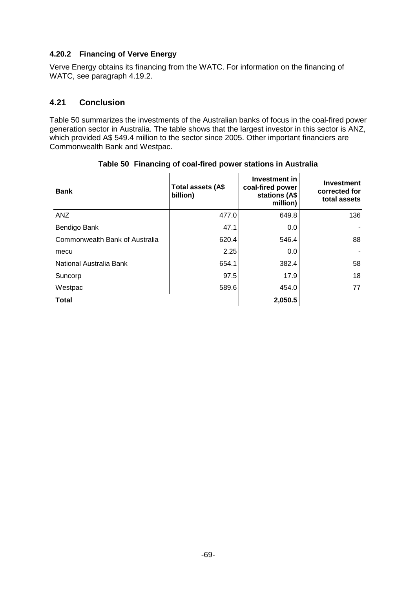#### **4.20.2 Financing of Verve Energy**

Verve Energy obtains its financing from the WATC. For information on the financing of WATC, see paragraph 4.19.2.

### **4.21 Conclusion**

Table 50 summarizes the investments of the Australian banks of focus in the coal-fired power generation sector in Australia. The table shows that the largest investor in this sector is ANZ, which provided A\$ 549.4 million to the sector since 2005. Other important financiers are Commonwealth Bank and Westpac.

| <b>Bank</b>                    | Total assets (A\$<br>billion) | Investment in<br>coal-fired power<br>stations (A\$<br>million) | <b>Investment</b><br>corrected for<br>total assets |
|--------------------------------|-------------------------------|----------------------------------------------------------------|----------------------------------------------------|
| ANZ                            | 477.0                         | 649.8                                                          | 136                                                |
| Bendigo Bank                   | 47.1                          | 0.0                                                            |                                                    |
| Commonwealth Bank of Australia | 620.4                         | 546.4                                                          | 88                                                 |
| mecu                           | 2.25                          | 0.0                                                            |                                                    |
| National Australia Bank        | 654.1                         | 382.4                                                          | 58                                                 |
| Suncorp                        | 97.5                          | 17.9                                                           | 18                                                 |
| Westpac                        | 589.6                         | 454.0                                                          | 77                                                 |
| <b>Total</b>                   |                               | 2,050.5                                                        |                                                    |

#### **Table 50 Financing of coal-fired power stations in Australia**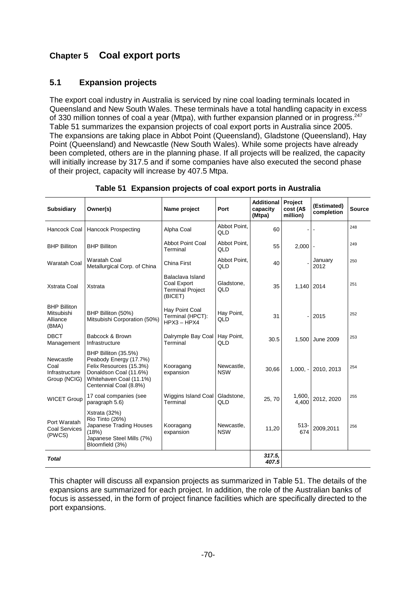# **Chapter 5 Coal export ports**

## **5.1 Expansion projects**

The export coal industry in Australia is serviced by nine coal loading terminals located in Queensland and New South Wales. These terminals have a total handling capacity in excess of 330 million tonnes of coal a year (Mtpa), with further expansion planned or in progress.<sup>247</sup> Table 51 summarizes the expansion projects of coal export ports in Australia since 2005. The expansions are taking place in Abbot Point (Queensland), Gladstone (Queensland), Hay Point (Queensland) and Newcastle (New South Wales). While some projects have already been completed, others are in the planning phase. If all projects will be realized, the capacity will initially increase by 317.5 and if some companies have also executed the second phase of their project, capacity will increase by 407.5 Mtpa.

| <b>Subsidiary</b>                                      | Owner(s)                                                                                                                                                 | Name project                                                          | Port                     | <b>Additional</b><br>capacity<br>(Mtpa) | Project<br>cost (A\$<br>million) | (Estimated)<br>completion | <b>Source</b> |
|--------------------------------------------------------|----------------------------------------------------------------------------------------------------------------------------------------------------------|-----------------------------------------------------------------------|--------------------------|-----------------------------------------|----------------------------------|---------------------------|---------------|
| Hancock Coal                                           | <b>Hancock Prospecting</b>                                                                                                                               | Alpha Coal                                                            | Abbot Point,<br>QLD      | 60                                      |                                  |                           | 248           |
| <b>BHP Billiton</b>                                    | <b>BHP Billiton</b>                                                                                                                                      | <b>Abbot Point Coal</b><br>Terminal                                   | Abbot Point.<br>QLD      | 55                                      | 2,000                            |                           | 249           |
| <b>Waratah Coal</b>                                    | <b>Waratah Coal</b><br>Metallurgical Corp. of China                                                                                                      | China First                                                           | Abbot Point.<br>QLD      | 40                                      |                                  | January<br>2012           | 250           |
| <b>Xstrata Coal</b>                                    | Xstrata                                                                                                                                                  | Balaclava Island<br>Coal Export<br><b>Terminal Project</b><br>(BICET) | Gladstone,<br>QLD        | 35                                      | 1,140 2014                       |                           | 251           |
| <b>BHP Billiton</b><br>Mitsubishi<br>Alliance<br>(BMA) | BHP Billiton (50%)<br>Mitsubishi Corporation (50%)                                                                                                       | Hay Point Coal<br>Terminal (HPCT):<br>$HPX3 - HPX4$                   | Hay Point,<br>QLD        | 31                                      |                                  | 2015                      | 252           |
| <b>DBCT</b><br>Management                              | Babcock & Brown<br>Infrastructure                                                                                                                        | Dalrymple Bay Coal<br>Terminal                                        | Hay Point,<br>QLD        | 30.5                                    | 1,500                            | <b>June 2009</b>          | 253           |
| Newcastle<br>Coal<br>Infrastructure<br>Group (NCIG)    | BHP Billiton (35.5%)<br>Peabody Energy (17.7%)<br>Felix Resources (15.3%)<br>Donaldson Coal (11.6%)<br>Whitehaven Coal (11.1%)<br>Centennial Coal (8.8%) | Kooragang<br>expansion                                                | Newcastle.<br><b>NSW</b> | 30,66                                   | $1,000. -$                       | 2010, 2013                | 254           |
| <b>WICET Group</b>                                     | 17 coal companies (see<br>paragraph 5.6)                                                                                                                 | Wiggins Island Coal<br>Terminal                                       | Gladstone,<br>QLD        | 25, 70                                  | 1,600,<br>4,400                  | 2012, 2020                | 255           |
| Port Waratah<br><b>Coal Services</b><br>(PWCS)         | Xstrata (32%)<br>Rio Tinto (26%)<br>Japanese Trading Houses<br>(18%)<br>Japanese Steel Mills (7%)<br>Bloomfield (3%)                                     | Kooragang<br>expansion                                                | Newcastle.<br><b>NSW</b> | 11,20                                   | $513 -$<br>674                   | 2009,2011                 | 256           |
| <b>Total</b>                                           |                                                                                                                                                          |                                                                       |                          | 317.5,<br>407.5                         |                                  |                           |               |

**Table 51 Expansion projects of coal export ports in Australia** 

This chapter will discuss all expansion projects as summarized in Table 51. The details of the expansions are summarized for each project. In addition, the role of the Australian banks of focus is assessed, in the form of project finance facilities which are specifically directed to the port expansions.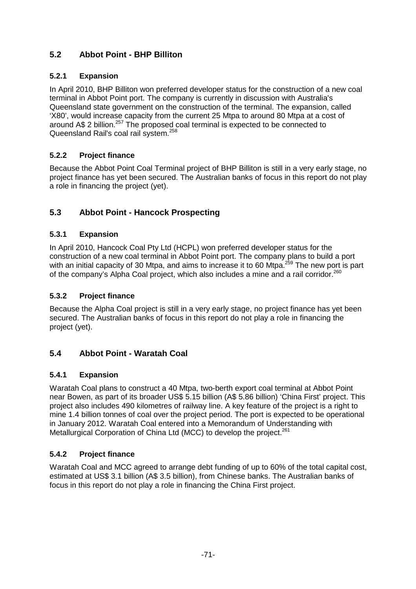## **5.2 Abbot Point - BHP Billiton**

## **5.2.1 Expansion**

In April 2010, BHP Billiton won preferred developer status for the construction of a new coal terminal in Abbot Point port. The company is currently in discussion with Australia's Queensland state government on the construction of the terminal. The expansion, called 'X80', would increase capacity from the current 25 Mtpa to around 80 Mtpa at a cost of around A\$ 2 billion.<sup>257</sup> The proposed coal terminal is expected to be connected to Queensland Rail's coal rail system.<sup>258</sup>

## **5.2.2 Project finance**

Because the Abbot Point Coal Terminal project of BHP Billiton is still in a very early stage, no project finance has yet been secured. The Australian banks of focus in this report do not play a role in financing the project (yet).

## **5.3 Abbot Point - Hancock Prospecting**

### **5.3.1 Expansion**

In April 2010, Hancock Coal Pty Ltd (HCPL) won preferred developer status for the construction of a new coal terminal in Abbot Point port. The company plans to build a port with an initial capacity of 30 Mtpa, and aims to increase it to 60 Mtpa.<sup>259</sup> The new port is part of the company's Alpha Coal project, which also includes a mine and a rail corridor.<sup>260</sup>

### **5.3.2 Project finance**

Because the Alpha Coal project is still in a very early stage, no project finance has yet been secured. The Australian banks of focus in this report do not play a role in financing the project (yet).

## **5.4 Abbot Point - Waratah Coal**

## **5.4.1 Expansion**

Waratah Coal plans to construct a 40 Mtpa, two-berth export coal terminal at Abbot Point near Bowen, as part of its broader US\$ 5.15 billion (A\$ 5.86 billion) 'China First' project. This project also includes 490 kilometres of railway line. A key feature of the project is a right to mine 1.4 billion tonnes of coal over the project period. The port is expected to be operational in January 2012. Waratah Coal entered into a Memorandum of Understanding with Metallurgical Corporation of China Ltd (MCC) to develop the project.<sup>261</sup>

## **5.4.2 Project finance**

Waratah Coal and MCC agreed to arrange debt funding of up to 60% of the total capital cost, estimated at US\$ 3.1 billion (A\$ 3.5 billion), from Chinese banks. The Australian banks of focus in this report do not play a role in financing the China First project.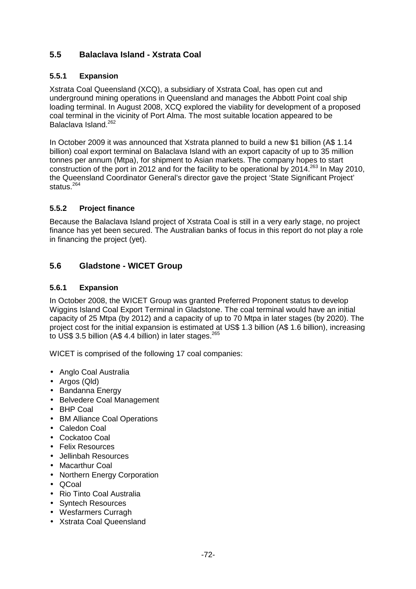## **5.5 Balaclava Island - Xstrata Coal**

### **5.5.1 Expansion**

Xstrata Coal Queensland (XCQ), a subsidiary of Xstrata Coal, has open cut and underground mining operations in Queensland and manages the Abbott Point coal ship loading terminal. In August 2008, XCQ explored the viability for development of a proposed coal terminal in the vicinity of Port Alma. The most suitable location appeared to be Balaclava Island.<sup>262</sup>

In October 2009 it was announced that Xstrata planned to build a new \$1 billion (A\$ 1.14 billion) coal export terminal on Balaclava Island with an export capacity of up to 35 million tonnes per annum (Mtpa), for shipment to Asian markets. The company hopes to start construction of the port in 2012 and for the facility to be operational by 2014.<sup>263</sup> In May 2010, the Queensland Coordinator General's director gave the project 'State Significant Project' status.<sup>264</sup>

#### **5.5.2 Project finance**

Because the Balaclava Island project of Xstrata Coal is still in a very early stage, no project finance has yet been secured. The Australian banks of focus in this report do not play a role in financing the project (yet).

## **5.6 Gladstone - WICET Group**

#### **5.6.1 Expansion**

In October 2008, the WICET Group was granted Preferred Proponent status to develop Wiggins Island Coal Export Terminal in Gladstone. The coal terminal would have an initial capacity of 25 Mtpa (by 2012) and a capacity of up to 70 Mtpa in later stages (by 2020). The project cost for the initial expansion is estimated at US\$ 1.3 billion (A\$ 1.6 billion), increasing to US\$ 3.5 billion (A\$ 4.4 billion) in later stages. $265$ 

WICET is comprised of the following 17 coal companies:

- Anglo Coal Australia
- Argos (Qld)
- Bandanna Energy
- Belvedere Coal Management
- BHP Coal
- BM Alliance Coal Operations
- Caledon Coal
- Cockatoo Coal
- Felix Resources
- Jellinbah Resources
- Macarthur Coal
- Northern Energy Corporation
- QCoal
- Rio Tinto Coal Australia
- Syntech Resources
- Wesfarmers Curragh
- Xstrata Coal Queensland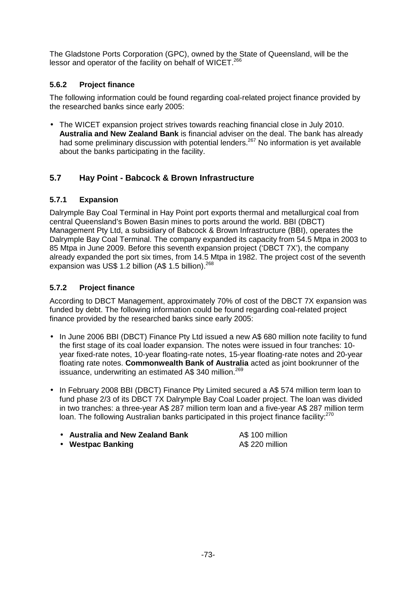The Gladstone Ports Corporation (GPC), owned by the State of Queensland, will be the lessor and operator of the facility on behalf of WICET.<sup>266</sup>

### **5.6.2 Project finance**

The following information could be found regarding coal-related project finance provided by the researched banks since early 2005:

• The WICET expansion project strives towards reaching financial close in July 2010. **Australia and New Zealand Bank** is financial adviser on the deal. The bank has already had some preliminary discussion with potential lenders.<sup>267</sup> No information is yet available about the banks participating in the facility.

## **5.7 Hay Point - Babcock & Brown Infrastructure**

## **5.7.1 Expansion**

Dalrymple Bay Coal Terminal in Hay Point port exports thermal and metallurgical coal from central Queensland's Bowen Basin mines to ports around the world. BBI (DBCT) Management Pty Ltd, a subsidiary of Babcock & Brown Infrastructure (BBI), operates the Dalrymple Bay Coal Terminal. The company expanded its capacity from 54.5 Mtpa in 2003 to 85 Mtpa in June 2009. Before this seventh expansion project ('DBCT 7X'), the company already expanded the port six times, from 14.5 Mtpa in 1982. The project cost of the seventh expansion was US\$ 1.2 billion (A\$ 1.5 billion).<sup>268</sup>

## **5.7.2 Project finance**

According to DBCT Management, approximately 70% of cost of the DBCT 7X expansion was funded by debt. The following information could be found regarding coal-related project finance provided by the researched banks since early 2005:

- In June 2006 BBI (DBCT) Finance Pty Ltd issued a new A\$ 680 million note facility to fund the first stage of its coal loader expansion. The notes were issued in four tranches: 10 year fixed-rate notes, 10-year floating-rate notes, 15-year floating-rate notes and 20-year floating rate notes. **Commonwealth Bank of Australia** acted as joint bookrunner of the issuance, underwriting an estimated A\$ 340 million.<sup>269</sup>
- In February 2008 BBI (DBCT) Finance Pty Limited secured a A\$ 574 million term loan to fund phase 2/3 of its DBCT 7X Dalrymple Bay Coal Loader project. The loan was divided in two tranches: a three-year A\$ 287 million term loan and a five-year A\$ 287 million term loan. The following Australian banks participated in this project finance facility:<sup>270</sup>
	- **Australia and New Zealand Bank A\$ 100 million**
	- Westpac Banking **AS 220 million**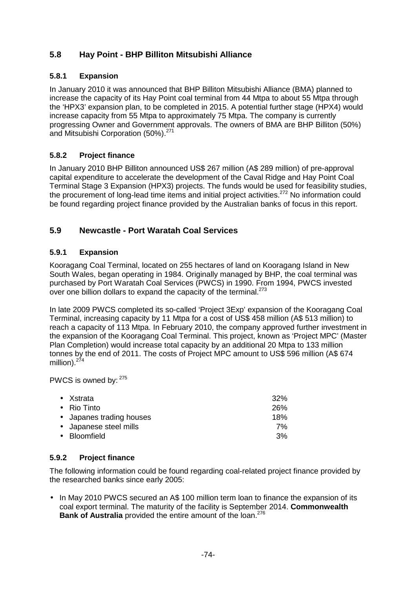## **5.8 Hay Point - BHP Billiton Mitsubishi Alliance**

### **5.8.1 Expansion**

In January 2010 it was announced that BHP Billiton Mitsubishi Alliance (BMA) planned to increase the capacity of its Hay Point coal terminal from 44 Mtpa to about 55 Mtpa through the 'HPX3' expansion plan, to be completed in 2015. A potential further stage (HPX4) would increase capacity from 55 Mtpa to approximately 75 Mtpa. The company is currently progressing Owner and Government approvals. The owners of BMA are BHP Billiton (50%) and Mitsubishi Corporation (50%).<sup>271</sup>

## **5.8.2 Project finance**

In January 2010 BHP Billiton announced US\$ 267 million (A\$ 289 million) of pre-approval capital expenditure to accelerate the development of the Caval Ridge and Hay Point Coal Terminal Stage 3 Expansion (HPX3) projects. The funds would be used for feasibility studies, the procurement of long-lead time items and initial project activities.<sup>272</sup> No information could be found regarding project finance provided by the Australian banks of focus in this report.

## **5.9 Newcastle - Port Waratah Coal Services**

#### **5.9.1 Expansion**

Kooragang Coal Terminal, located on 255 hectares of land on Kooragang Island in New South Wales, began operating in 1984. Originally managed by BHP, the coal terminal was purchased by Port Waratah Coal Services (PWCS) in 1990. From 1994, PWCS invested over one billion dollars to expand the capacity of the terminal.<sup>273</sup>

In late 2009 PWCS completed its so-called 'Project 3Exp' expansion of the Kooragang Coal Terminal, increasing capacity by 11 Mtpa for a cost of US\$ 458 million (A\$ 513 million) to reach a capacity of 113 Mtpa. In February 2010, the company approved further investment in the expansion of the Kooragang Coal Terminal. This project, known as 'Project MPC' (Master Plan Completion) would increase total capacity by an additional 20 Mtpa to 133 million tonnes by the end of 2011. The costs of Project MPC amount to US\$ 596 million (A\$ 674 million). $274$ 

PWCS is owned by:  $275$ 

| $\bullet$ Xstrata        | 32% |
|--------------------------|-----|
| $\bullet$ Rio Tinto      | 26% |
| • Japanes trading houses | 18% |
| • Japanese steel mills   | 7%  |
| • Bloomfield             | 3%  |

#### **5.9.2 Project finance**

The following information could be found regarding coal-related project finance provided by the researched banks since early 2005:

• In May 2010 PWCS secured an A\$ 100 million term loan to finance the expansion of its coal export terminal. The maturity of the facility is September 2014. **Commonwealth Bank of Australia** provided the entire amount of the loan.<sup>276</sup>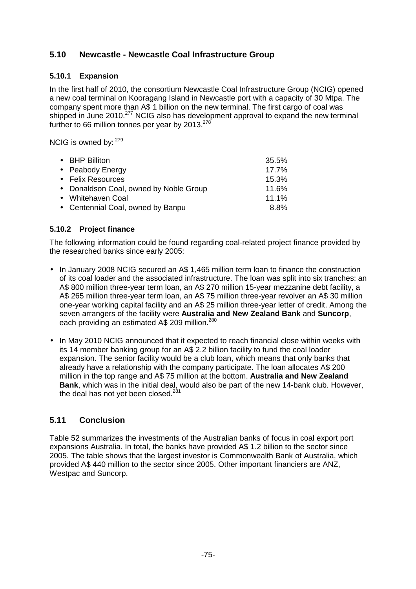## **5.10 Newcastle - Newcastle Coal Infrastructure Group**

### **5.10.1 Expansion**

In the first half of 2010, the consortium Newcastle Coal Infrastructure Group (NCIG) opened a new coal terminal on Kooragang Island in Newcastle port with a capacity of 30 Mtpa. The company spent more than A\$ 1 billion on the new terminal. The first cargo of coal was shipped in June 2010.<sup>277</sup> NCIG also has development approval to expand the new terminal further to 66 million tonnes per year by 2013. $^{278}$ 

NCIG is owned by: 279

| • BHP Billiton                         | 35.5%    |
|----------------------------------------|----------|
| • Peabody Energy                       | 17.7%    |
| • Felix Resources                      | 15.3%    |
| • Donaldson Coal, owned by Noble Group | 11.6%    |
| • Whitehaven Coal                      | $11.1\%$ |
| • Centennial Coal, owned by Banpu      | 8.8%     |
|                                        |          |

#### **5.10.2 Project finance**

The following information could be found regarding coal-related project finance provided by the researched banks since early 2005:

- In January 2008 NCIG secured an A\$ 1,465 million term loan to finance the construction of its coal loader and the associated infrastructure. The loan was split into six tranches: an A\$ 800 million three-year term loan, an A\$ 270 million 15-year mezzanine debt facility, a A\$ 265 million three-year term loan, an A\$ 75 million three-year revolver an A\$ 30 million one-year working capital facility and an A\$ 25 million three-year letter of credit. Among the seven arrangers of the facility were **Australia and New Zealand Bank** and **Suncorp**, each providing an estimated A\$ 209 million.<sup>280</sup>
- In May 2010 NCIG announced that it expected to reach financial close within weeks with its 14 member banking group for an A\$ 2.2 billion facility to fund the coal loader expansion. The senior facility would be a club loan, which means that only banks that already have a relationship with the company participate. The loan allocates A\$ 200 million in the top range and A\$ 75 million at the bottom. **Australia and New Zealand Bank**, which was in the initial deal, would also be part of the new 14-bank club. However, the deal has not yet been closed.<sup>281</sup>

## **5.11 Conclusion**

Table 52 summarizes the investments of the Australian banks of focus in coal export port expansions Australia. In total, the banks have provided A\$ 1.2 billion to the sector since 2005. The table shows that the largest investor is Commonwealth Bank of Australia, which provided A\$ 440 million to the sector since 2005. Other important financiers are ANZ, Westpac and Suncorp.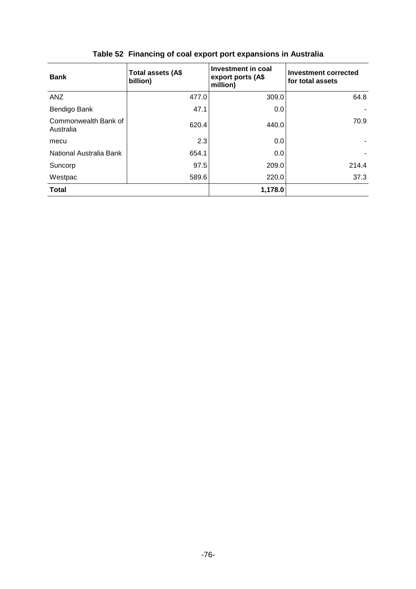| <b>Bank</b>                       | Total assets (A\$<br>billion) | Investment in coal<br>export ports (A\$<br>million) | <b>Investment corrected</b><br>for total assets |
|-----------------------------------|-------------------------------|-----------------------------------------------------|-------------------------------------------------|
| <b>ANZ</b>                        | 477.0                         | 309.0                                               | 64.8                                            |
| Bendigo Bank                      | 47.1                          | 0.0                                                 |                                                 |
| Commonwealth Bank of<br>Australia | 620.4                         | 440.0                                               | 70.9                                            |
| mecu                              | 2.3                           | 0.0                                                 |                                                 |
| National Australia Bank           | 654.1                         | 0.0                                                 |                                                 |
| Suncorp                           | 97.5                          | 209.0                                               | 214.4                                           |
| Westpac                           | 589.6                         | 220.0                                               | 37.3                                            |
| <b>Total</b>                      |                               | 1,178.0                                             |                                                 |

# **Table 52 Financing of coal export port expansions in Australia**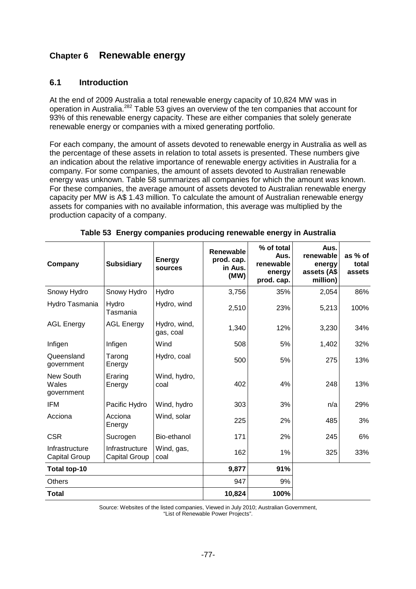# **Chapter 6 Renewable energy**

#### **6.1 Introduction**

At the end of 2009 Australia a total renewable energy capacity of 10,824 MW was in operation in Australia.<sup>282</sup> Table 53 gives an overview of the ten companies that account for 93% of this renewable energy capacity. These are either companies that solely generate renewable energy or companies with a mixed generating portfolio.

For each company, the amount of assets devoted to renewable energy in Australia as well as the percentage of these assets in relation to total assets is presented. These numbers give an indication about the relative importance of renewable energy activities in Australia for a company. For some companies, the amount of assets devoted to Australian renewable energy was unknown. Table 58 summarizes all companies for which the amount was known. For these companies, the average amount of assets devoted to Australian renewable energy capacity per MW is A\$ 1.43 million. To calculate the amount of Australian renewable energy assets for companies with no available information, this average was multiplied by the production capacity of a company.

| Company                                | <b>Subsidiary</b>                      | <b>Energy</b><br>sources  | Renewable<br>prod. cap.<br>in Aus.<br>(MW) | % of total<br>Aus.<br>renewable<br>energy<br>prod. cap. | Aus.<br>renewable<br>energy<br>assets (A\$<br>million) | as % of<br>total<br>assets |
|----------------------------------------|----------------------------------------|---------------------------|--------------------------------------------|---------------------------------------------------------|--------------------------------------------------------|----------------------------|
| Snowy Hydro                            | Snowy Hydro                            | Hydro                     | 3,756                                      | 35%                                                     | 2,054                                                  | 86%                        |
| Hydro Tasmania                         | Hydro<br>Tasmania                      | Hydro, wind               | 2,510                                      | 23%                                                     | 5,213                                                  | 100%                       |
| <b>AGL Energy</b>                      | <b>AGL Energy</b>                      | Hydro, wind,<br>gas, coal | 1,340                                      | 12%                                                     | 3,230                                                  | 34%                        |
| Infigen                                | Infigen                                | Wind                      | 508                                        | 5%                                                      | 1,402                                                  | 32%                        |
| Queensland<br>government               | Tarong<br>Energy                       | Hydro, coal               | 500                                        | 5%                                                      | 275                                                    | 13%                        |
| New South<br>Wales<br>government       | Eraring<br>Energy                      | Wind, hydro,<br>coal      | 402                                        | 4%                                                      | 248                                                    | 13%                        |
| <b>IFM</b>                             | Pacific Hydro                          | Wind, hydro               | 303                                        | 3%                                                      | n/a                                                    | 29%                        |
| Acciona                                | Acciona<br>Energy                      | Wind, solar               | 225                                        | 2%                                                      | 485                                                    | 3%                         |
| <b>CSR</b>                             | Sucrogen                               | Bio-ethanol               | 171                                        | 2%                                                      | 245                                                    | 6%                         |
| Infrastructure<br><b>Capital Group</b> | Infrastructure<br><b>Capital Group</b> | Wind, gas,<br>coal        | 162                                        | 1%                                                      | 325                                                    | 33%                        |
| Total top-10                           |                                        |                           | 9,877                                      | 91%                                                     |                                                        |                            |
| <b>Others</b>                          |                                        |                           | 947                                        | 9%                                                      |                                                        |                            |
| <b>Total</b>                           |                                        |                           | 10,824                                     | 100%                                                    |                                                        |                            |

|  | Table 53 Energy companies producing renewable energy in Australia |  |  |  |
|--|-------------------------------------------------------------------|--|--|--|
|--|-------------------------------------------------------------------|--|--|--|

Source: Websites of the listed companies, Viewed in July 2010; Australian Government, "List of Renewable Power Projects".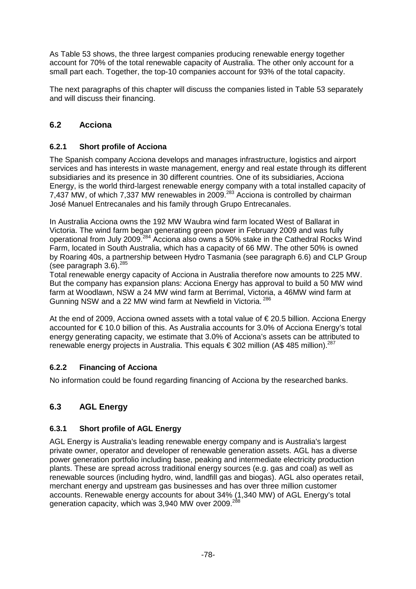As Table 53 shows, the three largest companies producing renewable energy together account for 70% of the total renewable capacity of Australia. The other only account for a small part each. Together, the top-10 companies account for 93% of the total capacity.

The next paragraphs of this chapter will discuss the companies listed in Table 53 separately and will discuss their financing.

## **6.2 Acciona**

## **6.2.1 Short profile of Acciona**

The Spanish company Acciona develops and manages infrastructure, logistics and airport services and has interests in waste management, energy and real estate through its different subsidiaries and its presence in 30 different countries. One of its subsidiaries, Acciona Energy, is the world third-largest renewable energy company with a total installed capacity of 7,437 MW, of which 7,337 MW renewables in 2009.<sup>283</sup> Acciona is controlled by chairman José Manuel Entrecanales and his family through Grupo Entrecanales.

In Australia Acciona owns the 192 MW Waubra wind farm located West of Ballarat in Victoria. The wind farm began generating green power in February 2009 and was fully operational from July 2009.<sup>284</sup> Acciona also owns a 50% stake in the Cathedral Rocks Wind Farm, located in South Australia, which has a capacity of 66 MW. The other 50% is owned by Roaring 40s, a partnership between Hydro Tasmania (see paragraph 6.6) and CLP Group (see paragraph 3.6).<sup>285</sup>

Total renewable energy capacity of Acciona in Australia therefore now amounts to 225 MW. But the company has expansion plans: Acciona Energy has approval to build a 50 MW wind farm at Woodlawn, NSW a 24 MW wind farm at Berrimal, Victoria, a 46MW wind farm at Gunning NSW and a 22 MW wind farm at Newfield in Victoria.<sup>286</sup>

At the end of 2009, Acciona owned assets with a total value of  $\epsilon$  20.5 billion. Acciona Energy accounted for € 10.0 billion of this. As Australia accounts for 3.0% of Acciona Energy's total energy generating capacity, we estimate that 3.0% of Acciona's assets can be attributed to renewable energy projects in Australia. This equals  $\epsilon$  302 million (A\$ 485 million).<sup>287</sup>

## **6.2.2 Financing of Acciona**

No information could be found regarding financing of Acciona by the researched banks.

## **6.3 AGL Energy**

#### **6.3.1 Short profile of AGL Energy**

AGL Energy is Australia's leading renewable energy company and is Australia's largest private owner, operator and developer of renewable generation assets. AGL has a diverse power generation portfolio including base, peaking and intermediate electricity production plants. These are spread across traditional energy sources (e.g. gas and coal) as well as renewable sources (including hydro, wind, landfill gas and biogas). AGL also operates retail, merchant energy and upstream gas businesses and has over three million customer accounts. Renewable energy accounts for about 34% (1,340 MW) of AGL Energy's total generation capacity, which was 3,940 MW over 2009.<sup>288</sup>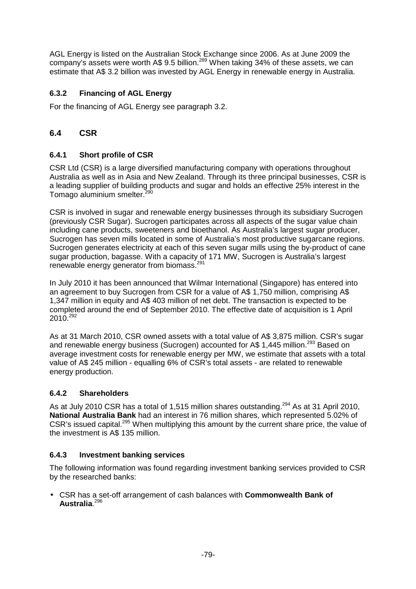AGL Energy is listed on the Australian Stock Exchange since 2006. As at June 2009 the company's assets were worth A\$ 9.5 billion.<sup>289</sup> When taking 34% of these assets, we can estimate that A\$ 3.2 billion was invested by AGL Energy in renewable energy in Australia.

## **6.3.2 Financing of AGL Energy**

For the financing of AGL Energy see paragraph 3.2.

## **6.4 CSR**

## **6.4.1 Short profile of CSR**

CSR Ltd (CSR) is a large diversified manufacturing company with operations throughout Australia as well as in Asia and New Zealand. Through its three principal businesses, CSR is a leading supplier of building products and sugar and holds an effective 25% interest in the Tomago aluminium smelter. $2^{2}$ 

CSR is involved in sugar and renewable energy businesses through its subsidiary Sucrogen (previously CSR Sugar). Sucrogen participates across all aspects of the sugar value chain including cane products, sweeteners and bioethanol. As Australia's largest sugar producer, Sucrogen has seven mills located in some of Australia's most productive sugarcane regions. Sucrogen generates electricity at each of this seven sugar mills using the by-product of cane sugar production, bagasse. With a capacity of 171 MW, Sucrogen is Australia's largest renewable energy generator from biomass.<sup>291</sup>

In July 2010 it has been announced that Wilmar International (Singapore) has entered into an agreement to buy Sucrogen from CSR for a value of A\$ 1,750 million, comprising A\$ 1,347 million in equity and A\$ 403 million of net debt. The transaction is expected to be completed around the end of September 2010. The effective date of acquisition is 1 April  $2010^{292}$ 

As at 31 March 2010, CSR owned assets with a total value of A\$ 3,875 million. CSR's sugar and renewable energy business (Sucrogen) accounted for A\$ 1,445 million.<sup>293</sup> Based on average investment costs for renewable energy per MW, we estimate that assets with a total value of A\$ 245 million - equalling 6% of CSR's total assets - are related to renewable energy production.

#### **6.4.2 Shareholders**

As at July 2010 CSR has a total of 1,515 million shares outstanding.<sup>294</sup> As at 31 April 2010, **National Australia Bank** had an interest in 76 million shares, which represented 5.02% of CSR's issued capital.<sup>295</sup> When multiplying this amount by the current share price, the value of the investment is A\$ 135 million.

#### **6.4.3 Investment banking services**

The following information was found regarding investment banking services provided to CSR by the researched banks:

• CSR has a set-off arrangement of cash balances with **Commonwealth Bank of Australia**. 296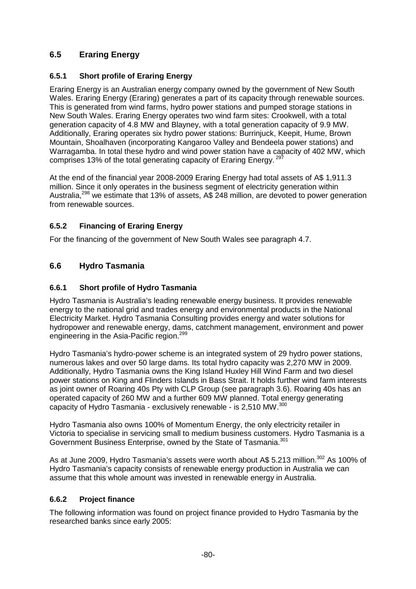## **6.5 Eraring Energy**

## **6.5.1 Short profile of Eraring Energy**

Eraring Energy is an Australian energy company owned by the government of New South Wales. Eraring Energy (Eraring) generates a part of its capacity through renewable sources. This is generated from wind farms, hydro power stations and pumped storage stations in New South Wales. Eraring Energy operates two wind farm sites: Crookwell, with a total generation capacity of 4.8 MW and Blayney, with a total generation capacity of 9.9 MW. Additionally, Eraring operates six hydro power stations: Burrinjuck, Keepit, Hume, Brown Mountain, Shoalhaven (incorporating Kangaroo Valley and Bendeela power stations) and Warragamba. In total these hydro and wind power station have a capacity of 402 MW, which comprises 13% of the total generating capacity of Eraring Energy.<sup>297</sup>

At the end of the financial year 2008-2009 Eraring Energy had total assets of A\$ 1,911.3 million. Since it only operates in the business segment of electricity generation within Australia,<sup>298</sup> we estimate that 13% of assets, A\$ 248 million, are devoted to power generation from renewable sources.

## **6.5.2 Financing of Eraring Energy**

For the financing of the government of New South Wales see paragraph 4.7.

## **6.6 Hydro Tasmania**

## **6.6.1 Short profile of Hydro Tasmania**

Hydro Tasmania is Australia's leading renewable energy business. It provides renewable energy to the national grid and trades energy and environmental products in the National Electricity Market. Hydro Tasmania Consulting provides energy and water solutions for hydropower and renewable energy, dams, catchment management, environment and power engineering in the Asia-Pacific region.<sup>299</sup>

Hydro Tasmania's hydro-power scheme is an integrated system of 29 hydro power stations, numerous lakes and over 50 large dams. Its total hydro capacity was 2,270 MW in 2009. Additionally, Hydro Tasmania owns the King Island Huxley Hill Wind Farm and two diesel power stations on King and Flinders Islands in Bass Strait. It holds further wind farm interests as joint owner of Roaring 40s Pty with CLP Group (see paragraph 3.6). Roaring 40s has an operated capacity of 260 MW and a further 609 MW planned. Total energy generating capacity of Hydro Tasmania - exclusively renewable - is 2,510 MW.<sup>300</sup>

Hydro Tasmania also owns 100% of Momentum Energy, the only electricity retailer in Victoria to specialise in servicing small to medium business customers. Hydro Tasmania is a Government Business Enterprise, owned by the State of Tasmania.<sup>301</sup>

As at June 2009, Hydro Tasmania's assets were worth about A\$ 5.213 million.<sup>302</sup> As 100% of Hydro Tasmania's capacity consists of renewable energy production in Australia we can assume that this whole amount was invested in renewable energy in Australia.

## **6.6.2 Project finance**

The following information was found on project finance provided to Hydro Tasmania by the researched banks since early 2005: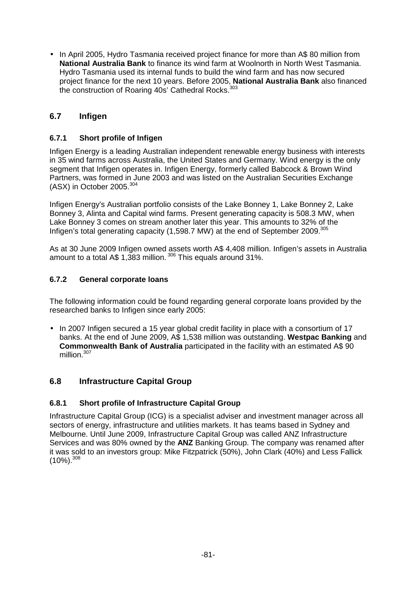• In April 2005, Hydro Tasmania received project finance for more than A\$ 80 million from **National Australia Bank** to finance its wind farm at Woolnorth in North West Tasmania. Hydro Tasmania used its internal funds to build the wind farm and has now secured project finance for the next 10 years. Before 2005, **National Australia Bank** also financed the construction of Roaring 40s' Cathedral Rocks.<sup>303</sup>

## **6.7 Infigen**

### **6.7.1 Short profile of Infigen**

Infigen Energy is a leading Australian independent renewable energy business with interests in 35 wind farms across Australia, the United States and Germany. Wind energy is the only segment that Infigen operates in. Infigen Energy, formerly called Babcock & Brown Wind Partners, was formed in June 2003 and was listed on the Australian Securities Exchange (ASX) in October 2005.<sup>304</sup>

Infigen Energy's Australian portfolio consists of the Lake Bonney 1, Lake Bonney 2, Lake Bonney 3, Alinta and Capital wind farms. Present generating capacity is 508.3 MW, when Lake Bonney 3 comes on stream another later this year. This amounts to 32% of the Infigen's total generating capacity (1,598.7 MW) at the end of September 2009.<sup>305</sup>

As at 30 June 2009 Infigen owned assets worth A\$ 4,408 million. Infigen's assets in Australia amount to a total A\$ 1.383 million.  $306$  This equals around 31%.

#### **6.7.2 General corporate loans**

The following information could be found regarding general corporate loans provided by the researched banks to Infigen since early 2005:

• In 2007 Infigen secured a 15 year global credit facility in place with a consortium of 17 banks. At the end of June 2009, A\$ 1,538 million was outstanding. **Westpac Banking** and **Commonwealth Bank of Australia** participated in the facility with an estimated A\$ 90 million.<sup>307</sup>

#### **6.8 Infrastructure Capital Group**

#### **6.8.1 Short profile of Infrastructure Capital Group**

Infrastructure Capital Group (ICG) is a specialist adviser and investment manager across all sectors of energy, infrastructure and utilities markets. It has teams based in Sydney and Melbourne. Until June 2009, Infrastructure Capital Group was called ANZ Infrastructure Services and was 80% owned by the **ANZ** Banking Group. The company was renamed after it was sold to an investors group: Mike Fitzpatrick (50%), John Clark (40%) and Less Fallick  $(10\%)$ .  $308$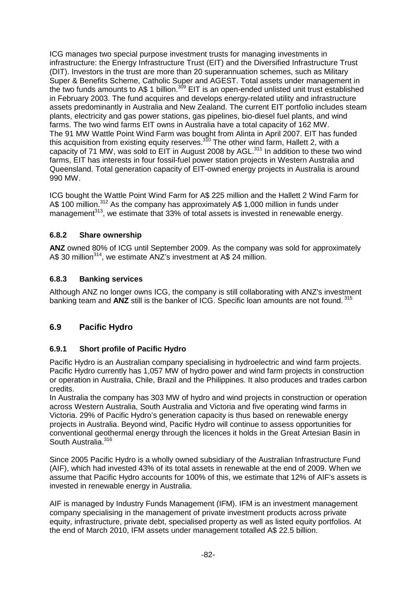ICG manages two special purpose investment trusts for managing investments in infrastructure: the Energy Infrastructure Trust (EIT) and the Diversified Infrastructure Trust (DIT). Investors in the trust are more than 20 superannuation schemes, such as Military Super & Benefits Scheme, Catholic Super and AGEST. Total assets under management in the two funds amounts to A\$ 1 billion.<sup>309</sup> EIT is an open-ended unlisted unit trust established in February 2003. The fund acquires and develops energy-related utility and infrastructure assets predominantly in Australia and New Zealand. The current EIT portfolio includes steam plants, electricity and gas power stations, gas pipelines, bio-diesel fuel plants, and wind farms. The two wind farms EIT owns in Australia have a total capacity of 162 MW. The 91 MW Wattle Point Wind Farm was bought from Alinta in April 2007. EIT has funded this acquisition from existing equity reserves.<sup>310</sup> The other wind farm, Hallett 2, with a capacity of 71 MW, was sold to  $EIT$  in August 2008 by AGL.<sup>311</sup> In addition to these two wind farms, EIT has interests in four fossil-fuel power station projects in Western Australia and Queensland. Total generation capacity of EIT-owned energy projects in Australia is around 990 MW.

ICG bought the Wattle Point Wind Farm for A\$ 225 million and the Hallett 2 Wind Farm for A\$ 100 million.<sup>312</sup> As the company has approximately A\$ 1,000 million in funds under management<sup>313</sup>, we estimate that 33% of total assets is invested in renewable energy.

## **6.8.2 Share ownership**

**ANZ** owned 80% of ICG until September 2009. As the company was sold for approximately A\$ 30 million<sup>314</sup>, we estimate ANZ's investment at A\$ 24 million.

## **6.8.3 Banking services**

Although ANZ no longer owns ICG, the company is still collaborating with ANZ's investment banking team and **ANZ** still is the banker of ICG. Specific loan amounts are not found.<sup>315</sup>

## **6.9 Pacific Hydro**

## **6.9.1 Short profile of Pacific Hydro**

Pacific Hydro is an Australian company specialising in hydroelectric and wind farm projects. Pacific Hydro currently has 1,057 MW of hydro power and wind farm projects in construction or operation in Australia, Chile, Brazil and the Philippines. It also produces and trades carbon credits.

In Australia the company has 303 MW of hydro and wind projects in construction or operation across Western Australia, South Australia and Victoria and five operating wind farms in Victoria. 29% of Pacific Hydro's generation capacity is thus based on renewable energy projects in Australia. Beyond wind, Pacific Hydro will continue to assess opportunities for conventional geothermal energy through the licences it holds in the Great Artesian Basin in South Australia.<sup>316</sup>

Since 2005 Pacific Hydro is a wholly owned subsidiary of the Australian Infrastructure Fund (AIF), which had invested 43% of its total assets in renewable at the end of 2009. When we assume that Pacific Hydro accounts for 100% of this, we estimate that 12% of AIF's assets is invested in renewable energy in Australia.

AIF is managed by Industry Funds Management (IFM). IFM is an investment management company specialising in the management of private investment products across private equity, infrastructure, private debt, specialised property as well as listed equity portfolios. At the end of March 2010, IFM assets under management totalled A\$ 22.5 billion.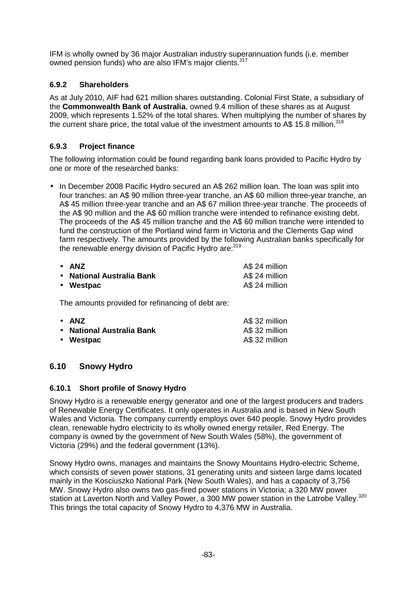IFM is wholly owned by 36 major Australian industry superannuation funds (i.e. member owned pension funds) who are also IFM's major clients.<sup>317</sup>

### **6.9.2 Shareholders**

As at July 2010, AIF had 621 million shares outstanding. Colonial First State, a subsidiary of the **Commonwealth Bank of Australia**, owned 9.4 million of these shares as at August 2009, which represents 1.52% of the total shares. When multiplying the number of shares by the current share price, the total value of the investment amounts to A\$ 15.8 million.<sup>318</sup>

### **6.9.3 Project finance**

The following information could be found regarding bank loans provided to Pacific Hydro by one or more of the researched banks:

• In December 2008 Pacific Hydro secured an A\$ 262 million loan. The loan was split into four tranches: an A\$ 90 million three-year tranche, an A\$ 60 million three-year tranche, an A\$ 45 million three-year tranche and an A\$ 67 million three-year tranche. The proceeds of the A\$ 90 million and the A\$ 60 million tranche were intended to refinance existing debt. The proceeds of the A\$ 45 million tranche and the A\$ 60 million tranche were intended to fund the construction of the Portland wind farm in Victoria and the Clements Gap wind farm respectively. The amounts provided by the following Australian banks specifically for the renewable energy division of Pacific Hydro are: 319

| $\bullet$ ANZ             | A\$ 24 million |
|---------------------------|----------------|
| • National Australia Bank | A\$ 24 million |
| • Westpac                 | A\$ 24 million |

The amounts provided for refinancing of debt are:

| $\bullet$ ANZ             | A\$ 32 million |
|---------------------------|----------------|
| • National Australia Bank | A\$ 32 million |
| • Westpac                 | A\$ 32 million |

## **6.10 Snowy Hydro**

#### **6.10.1 Short profile of Snowy Hydro**

Snowy Hydro is a renewable energy generator and one of the largest producers and traders of Renewable Energy Certificates. It only operates in Australia and is based in New South Wales and Victoria. The company currently employs over 640 people. Snowy Hydro provides clean, renewable hydro electricity to its wholly owned energy retailer, Red Energy. The company is owned by the government of New South Wales (58%), the government of Victoria (29%) and the federal government (13%).

Snowy Hydro owns, manages and maintains the Snowy Mountains Hydro-electric Scheme, which consists of seven power stations, 31 generating units and sixteen large dams located mainly in the Kosciuszko National Park (New South Wales), and has a capacity of 3,756 MW. Snowy Hydro also owns two gas-fired power stations in Victoria; a 320 MW power station at Laverton North and Valley Power, a 300 MW power station in the Latrobe Vallev.<sup>320</sup> This brings the total capacity of Snowy Hydro to 4,376 MW in Australia.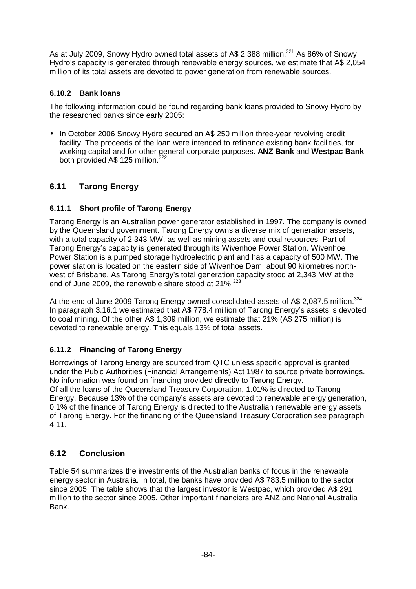As at July 2009, Snowy Hydro owned total assets of A\$ 2,388 million.<sup>321</sup> As 86% of Snowy Hydro's capacity is generated through renewable energy sources, we estimate that A\$ 2,054 million of its total assets are devoted to power generation from renewable sources.

### **6.10.2 Bank loans**

The following information could be found regarding bank loans provided to Snowy Hydro by the researched banks since early 2005:

• In October 2006 Snowy Hydro secured an A\$ 250 million three-year revolving credit facility. The proceeds of the loan were intended to refinance existing bank facilities, for working capital and for other general corporate purposes. **ANZ Bank** and **Westpac Bank**  both provided A\$ 125 million.<sup>322</sup>

## **6.11 Tarong Energy**

### **6.11.1 Short profile of Tarong Energy**

Tarong Energy is an Australian power generator established in 1997. The company is owned by the Queensland government. Tarong Energy owns a diverse mix of generation assets, with a total capacity of 2,343 MW, as well as mining assets and coal resources. Part of Tarong Energy's capacity is generated through its Wivenhoe Power Station. Wivenhoe Power Station is a pumped storage hydroelectric plant and has a capacity of 500 MW. The power station is located on the eastern side of Wivenhoe Dam, about 90 kilometres northwest of Brisbane. As Tarong Energy's total generation capacity stood at 2,343 MW at the end of June 2009, the renewable share stood at 21%.<sup>323</sup>

At the end of June 2009 Tarong Energy owned consolidated assets of A\$ 2,087.5 million. $^{324}$ In paragraph 3.16.1 we estimated that A\$ 778.4 million of Tarong Energy's assets is devoted to coal mining. Of the other A\$ 1,309 million, we estimate that 21% (A\$ 275 million) is devoted to renewable energy. This equals 13% of total assets.

## **6.11.2 Financing of Tarong Energy**

Borrowings of Tarong Energy are sourced from QTC unless specific approval is granted under the Pubic Authorities (Financial Arrangements) Act 1987 to source private borrowings. No information was found on financing provided directly to Tarong Energy. Of all the loans of the Queensland Treasury Corporation, 1.01% is directed to Tarong Energy. Because 13% of the company's assets are devoted to renewable energy generation, 0.1% of the finance of Tarong Energy is directed to the Australian renewable energy assets of Tarong Energy. For the financing of the Queensland Treasury Corporation see paragraph 4.11.

## **6.12 Conclusion**

Table 54 summarizes the investments of the Australian banks of focus in the renewable energy sector in Australia. In total, the banks have provided A\$ 783.5 million to the sector since 2005. The table shows that the largest investor is Westpac, which provided A\$ 291 million to the sector since 2005. Other important financiers are ANZ and National Australia Bank.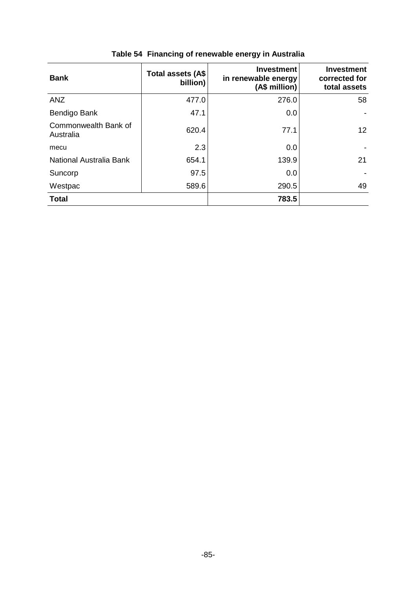| <b>Bank</b>                       | Total assets (A\$<br>billion) | <b>Investment</b><br>in renewable energy<br>(A\$ million) | <b>Investment</b><br>corrected for<br>total assets |
|-----------------------------------|-------------------------------|-----------------------------------------------------------|----------------------------------------------------|
| <b>ANZ</b>                        | 477.0                         | 276.0                                                     | 58                                                 |
| Bendigo Bank                      | 47.1                          | 0.0                                                       |                                                    |
| Commonwealth Bank of<br>Australia | 620.4                         | 77.1                                                      | 12                                                 |
| mecu                              | 2.3                           | 0.0                                                       |                                                    |
| National Australia Bank           | 654.1                         | 139.9                                                     | 21                                                 |
| Suncorp                           | 97.5                          | 0.0                                                       |                                                    |
| Westpac                           | 589.6                         | 290.5                                                     | 49                                                 |
| <b>Total</b>                      |                               | 783.5                                                     |                                                    |

# **Table 54 Financing of renewable energy in Australia**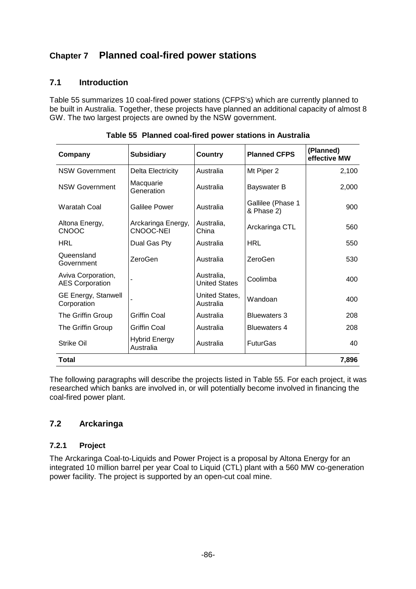# **Chapter 7 Planned coal-fired power stations**

### **7.1 Introduction**

Table 55 summarizes 10 coal-fired power stations (CFPS's) which are currently planned to be built in Australia. Together, these projects have planned an additional capacity of almost 8 GW. The two largest projects are owned by the NSW government.

| Company                                      | <b>Subsidiary</b>                 | Country                            | <b>Planned CFPS</b>             | (Planned)<br>effective MW |
|----------------------------------------------|-----------------------------------|------------------------------------|---------------------------------|---------------------------|
| <b>NSW Government</b>                        | Delta Electricity                 | Australia                          | Mt Piper 2                      | 2,100                     |
| <b>NSW Government</b>                        | Macquarie<br>Generation           | Australia                          | Bayswater B                     | 2,000                     |
| <b>Waratah Coal</b>                          | Galilee Power                     | Australia                          | Gallilee (Phase 1<br>& Phase 2) | 900                       |
| Altona Energy,<br><b>CNOOC</b>               | Arckaringa Energy,<br>CNOOC-NEI   | Australia,<br>China                | Arckaringa CTL                  | 560                       |
| <b>HRL</b>                                   | Dual Gas Pty                      | Australia                          | <b>HRL</b>                      | 550                       |
| Queensland<br>Government                     | ZeroGen                           | Australia                          | ZeroGen                         | 530                       |
| Aviva Corporation,<br><b>AES Corporation</b> |                                   | Australia.<br><b>United States</b> | Coolimba                        | 400                       |
| <b>GE Energy, Stanwell</b><br>Corporation    |                                   | United States,<br>Australia        | Wandoan                         | 400                       |
| The Griffin Group                            | <b>Griffin Coal</b>               | Australia                          | <b>Bluewaters 3</b>             | 208                       |
| The Griffin Group                            | <b>Griffin Coal</b>               | Australia                          | <b>Bluewaters 4</b>             | 208                       |
| Strike Oil                                   | <b>Hybrid Energy</b><br>Australia | Australia                          | <b>FuturGas</b>                 | 40                        |
| Total                                        | 7,896                             |                                    |                                 |                           |

|  |  | Table 55 Planned coal-fired power stations in Australia |
|--|--|---------------------------------------------------------|
|  |  |                                                         |

The following paragraphs will describe the projects listed in Table 55. For each project, it was researched which banks are involved in, or will potentially become involved in financing the coal-fired power plant.

## **7.2 Arckaringa**

#### **7.2.1 Project**

The Arckaringa Coal-to-Liquids and Power Project is a proposal by Altona Energy for an integrated 10 million barrel per year Coal to Liquid (CTL) plant with a 560 MW co-generation power facility. The project is supported by an open-cut coal mine.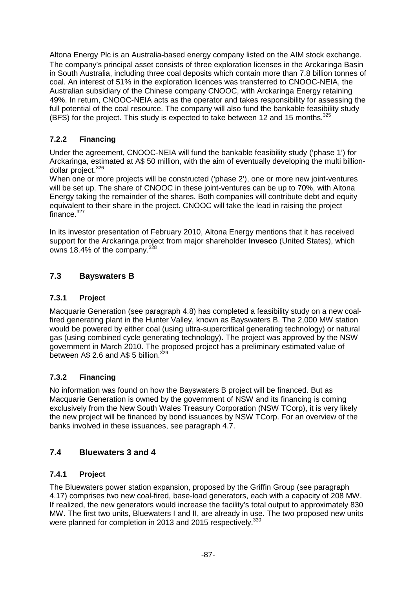Altona Energy Plc is an Australia‐based energy company listed on the AIM stock exchange. The company's principal asset consists of three exploration licenses in the Arckaringa Basin in South Australia, including three coal deposits which contain more than 7.8 billion tonnes of coal. An interest of 51% in the exploration licences was transferred to CNOOC-NEIA, the Australian subsidiary of the Chinese company CNOOC, with Arckaringa Energy retaining 49%. In return, CNOOC-NEIA acts as the operator and takes responsibility for assessing the full potential of the coal resource. The company will also fund the bankable feasibility study (BFS) for the project. This study is expected to take between 12 and 15 months.<sup>325</sup>

## **7.2.2 Financing**

Under the agreement, CNOOC-NEIA will fund the bankable feasibility study ('phase 1') for Arckaringa, estimated at A\$ 50 million, with the aim of eventually developing the multi billiondollar project.<sup>326</sup>

When one or more projects will be constructed ('phase 2'), one or more new joint-ventures will be set up. The share of CNOOC in these joint-ventures can be up to 70%, with Altona Energy taking the remainder of the shares. Both companies will contribute debt and equity equivalent to their share in the project. CNOOC will take the lead in raising the project finance.<sup>327</sup>

In its investor presentation of February 2010, Altona Energy mentions that it has received support for the Arckaringa project from major shareholder **Invesco** (United States), which owns 18.4% of the company.<sup>328</sup>

## **7.3 Bayswaters B**

### **7.3.1 Project**

Macquarie Generation (see paragraph 4.8) has completed a feasibility study on a new coalfired generating plant in the Hunter Valley, known as Bayswaters B. The 2,000 MW station would be powered by either coal (using ultra-supercritical generating technology) or natural gas (using combined cycle generating technology). The project was approved by the NSW government in March 2010. The proposed project has a preliminary estimated value of between  $A\$  2.6 and  $A\$  5 billion.<sup>329</sup>

## **7.3.2 Financing**

No information was found on how the Bayswaters B project will be financed. But as Macquarie Generation is owned by the government of NSW and its financing is coming exclusively from the New South Wales Treasury Corporation (NSW TCorp), it is very likely the new project will be financed by bond issuances by NSW TCorp. For an overview of the banks involved in these issuances, see paragraph 4.7.

## **7.4 Bluewaters 3 and 4**

#### **7.4.1 Project**

The Bluewaters power station expansion, proposed by the Griffin Group (see paragraph 4.17) comprises two new coal-fired, base-load generators, each with a capacity of 208 MW. If realized, the new generators would increase the facility's total output to approximately 830 MW. The first two units, Bluewaters I and II, are already in use. The two proposed new units were planned for completion in 2013 and 2015 respectively.<sup>330</sup>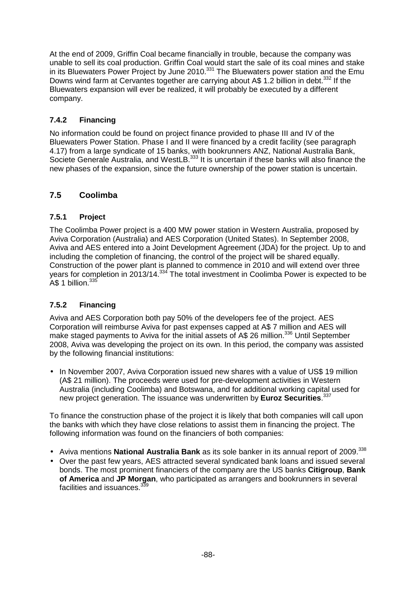At the end of 2009, Griffin Coal became financially in trouble, because the company was unable to sell its coal production. Griffin Coal would start the sale of its coal mines and stake in its Bluewaters Power Project by June  $2010$ .  $331$  The Bluewaters power station and the Emu Downs wind farm at Cervantes together are carrying about A\$ 1.2 billion in debt.<sup>332</sup> If the Bluewaters expansion will ever be realized, it will probably be executed by a different company.

## **7.4.2 Financing**

No information could be found on project finance provided to phase III and IV of the Bluewaters Power Station. Phase I and II were financed by a credit facility (see paragraph 4.17) from a large syndicate of 15 banks, with bookrunners ANZ, National Australia Bank, Societe Generale Australia, and WestLB.<sup>333</sup> It is uncertain if these banks will also finance the new phases of the expansion, since the future ownership of the power station is uncertain.

## **7.5 Coolimba**

## **7.5.1 Project**

The Coolimba Power project is a 400 MW power station in Western Australia, proposed by Aviva Corporation (Australia) and AES Corporation (United States). In September 2008, Aviva and AES entered into a Joint Development Agreement (JDA) for the project. Up to and including the completion of financing, the control of the project will be shared equally. Construction of the power plant is planned to commence in 2010 and will extend over three years for completion in 2013/14.<sup>334</sup> The total investment in Coolimba Power is expected to be A\$ 1 billion.<sup>335</sup>

## **7.5.2 Financing**

Aviva and AES Corporation both pay 50% of the developers fee of the project. AES Corporation will reimburse Aviva for past expenses capped at A\$ 7 million and AES will make staged payments to Aviva for the initial assets of A\$ 26 million.<sup>336</sup> Until September 2008, Aviva was developing the project on its own. In this period, the company was assisted by the following financial institutions:

• In November 2007, Aviva Corporation issued new shares with a value of US\$ 19 million (A\$ 21 million). The proceeds were used for pre-development activities in Western Australia (including Coolimba) and Botswana, and for additional working capital used for new project generation. The issuance was underwritten by **Euroz Securities**. 337

To finance the construction phase of the project it is likely that both companies will call upon the banks with which they have close relations to assist them in financing the project. The following information was found on the financiers of both companies:

- Aviva mentions **National Australia Bank** as its sole banker in its annual report of 2009.<sup>338</sup>
- Over the past few years, AES attracted several syndicated bank loans and issued several bonds. The most prominent financiers of the company are the US banks **Citigroup**, **Bank of America** and **JP Morgan**, who participated as arrangers and bookrunners in several facilities and issuances.<sup>3</sup>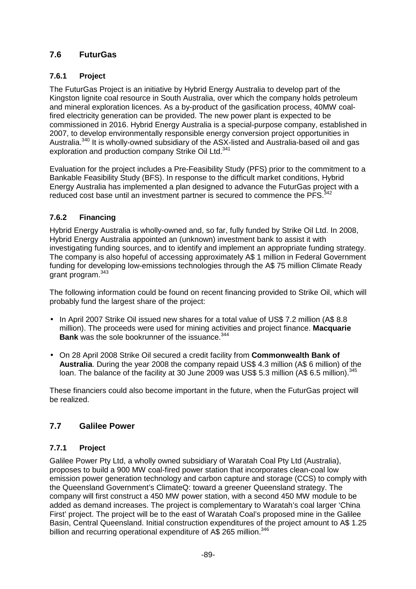## **7.6 FuturGas**

## **7.6.1 Project**

The FuturGas Project is an initiative by Hybrid Energy Australia to develop part of the Kingston lignite coal resource in South Australia, over which the company holds petroleum and mineral exploration licences. As a by-product of the gasification process, 40MW coalfired electricity generation can be provided. The new power plant is expected to be commissioned in 2016. Hybrid Energy Australia is a special-purpose company, established in 2007, to develop environmentally responsible energy conversion project opportunities in Australia.<sup>340</sup> It is wholly-owned subsidiary of the ASX-listed and Australia-based oil and gas exploration and production company Strike Oil Ltd.<sup>341</sup>

Evaluation for the project includes a Pre-Feasibility Study (PFS) prior to the commitment to a Bankable Feasibility Study (BFS). In response to the difficult market conditions, Hybrid Energy Australia has implemented a plan designed to advance the FuturGas project with a reduced cost base until an investment partner is secured to commence the PFS.<sup>342</sup>

## **7.6.2 Financing**

Hybrid Energy Australia is wholly-owned and, so far, fully funded by Strike Oil Ltd. In 2008, Hybrid Energy Australia appointed an (unknown) investment bank to assist it with investigating funding sources, and to identify and implement an appropriate funding strategy. The company is also hopeful of accessing approximately A\$ 1 million in Federal Government funding for developing low-emissions technologies through the A\$ 75 million Climate Ready grant program.<sup>343</sup>

The following information could be found on recent financing provided to Strike Oil, which will probably fund the largest share of the project:

- In April 2007 Strike Oil issued new shares for a total value of US\$ 7.2 million (A\$ 8.8 million). The proceeds were used for mining activities and project finance. **Macquarie Bank** was the sole bookrunner of the issuance.<sup>344</sup>
- On 28 April 2008 Strike Oil secured a credit facility from **Commonwealth Bank of Australia**. During the year 2008 the company repaid US\$ 4.3 million (A\$ 6 million) of the loan. The balance of the facility at 30 June 2009 was US\$ 5.3 million (A\$ 6.5 million). $345$

These financiers could also become important in the future, when the FuturGas project will be realized.

## **7.7 Galilee Power**

## **7.7.1 Project**

Galilee Power Pty Ltd, a wholly owned subsidiary of Waratah Coal Pty Ltd (Australia), proposes to build a 900 MW coal-fired power station that incorporates clean-coal low emission power generation technology and carbon capture and storage (CCS) to comply with the Queensland Government's ClimateQ: toward a greener Queensland strategy. The company will first construct a 450 MW power station, with a second 450 MW module to be added as demand increases. The project is complementary to Waratah's coal larger 'China First' project. The project will be to the east of Waratah Coal's proposed mine in the Galilee Basin, Central Queensland. Initial construction expenditures of the project amount to A\$ 1.25 billion and recurring operational expenditure of  $A\$  265 million.<sup>346</sup>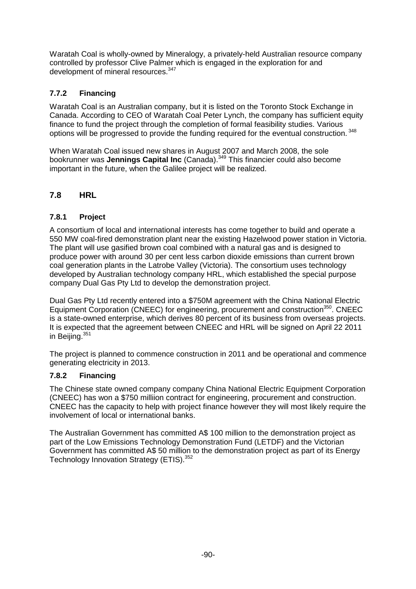Waratah Coal is wholly-owned by Mineralogy, a privately-held Australian resource company controlled by professor Clive Palmer which is engaged in the exploration for and development of mineral resources.<sup>347</sup>

### **7.7.2 Financing**

Waratah Coal is an Australian company, but it is listed on the Toronto Stock Exchange in Canada. According to CEO of Waratah Coal Peter Lynch, the company has sufficient equity finance to fund the project through the completion of formal feasibility studies. Various options will be progressed to provide the funding required for the eventual construction.<sup>348</sup>

When Waratah Coal issued new shares in August 2007 and March 2008, the sole bookrunner was **Jennings Capital Inc** (Canada).<sup>349</sup> This financier could also become important in the future, when the Galilee project will be realized.

### **7.8 HRL**

#### **7.8.1 Project**

A consortium of local and international interests has come together to build and operate a 550 MW coal-fired demonstration plant near the existing Hazelwood power station in Victoria. The plant will use gasified brown coal combined with a natural gas and is designed to produce power with around 30 per cent less carbon dioxide emissions than current brown coal generation plants in the Latrobe Valley (Victoria). The consortium uses technology developed by Australian technology company HRL, which established the special purpose company Dual Gas Pty Ltd to develop the demonstration project.

Dual Gas Pty Ltd recently entered into a \$750M agreement with the China National Electric Equipment Corporation (CNEEC) for engineering, procurement and construction<sup>350</sup>. CNEEC is a state-owned enterprise, which derives 80 percent of its business from overseas projects. It is expected that the agreement between CNEEC and HRL will be signed on April 22 2011 in Beijing. 351

The project is planned to commence construction in 2011 and be operational and commence generating electricity in 2013.

#### **7.8.2 Financing**

The Chinese state owned company company China National Electric Equipment Corporation (CNEEC) has won a \$750 milliion contract for engineering, procurement and construction. CNEEC has the capacity to help with project finance however they will most likely require the involvement of local or international banks.

The Australian Government has committed A\$ 100 million to the demonstration project as part of the Low Emissions Technology Demonstration Fund (LETDF) and the Victorian Government has committed A\$ 50 million to the demonstration project as part of its Energy Technology Innovation Strategy (ETIS).<sup>352</sup>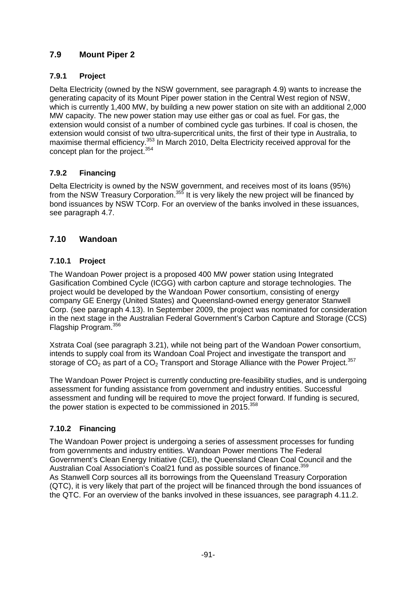## **7.9 Mount Piper 2**

## **7.9.1 Project**

Delta Electricity (owned by the NSW government, see paragraph 4.9) wants to increase the generating capacity of its Mount Piper power station in the Central West region of NSW, which is currently 1,400 MW, by building a new power station on site with an additional 2,000 MW capacity. The new power station may use either gas or coal as fuel. For gas, the extension would consist of a number of combined cycle gas turbines. If coal is chosen, the extension would consist of two ultra-supercritical units, the first of their type in Australia, to maximise thermal efficiency.<sup>353</sup> In March 2010, Delta Electricity received approval for the concept plan for the project.<sup>354</sup>

## **7.9.2 Financing**

Delta Electricity is owned by the NSW government, and receives most of its loans (95%) from the NSW Treasury Corporation.<sup>355</sup> It is very likely the new project will be financed by bond issuances by NSW TCorp. For an overview of the banks involved in these issuances, see paragraph 4.7.

## **7.10 Wandoan**

## **7.10.1 Project**

The Wandoan Power project is a proposed 400 MW power station using Integrated Gasification Combined Cycle (ICGG) with carbon capture and storage technologies. The project would be developed by the Wandoan Power consortium, consisting of energy company GE Energy (United States) and Queensland-owned energy generator Stanwell Corp. (see paragraph 4.13). In September 2009, the project was nominated for consideration in the next stage in the Australian Federal Government's Carbon Capture and Storage (CCS) Flagship Program.<sup>356</sup>

Xstrata Coal (see paragraph 3.21), while not being part of the Wandoan Power consortium, intends to supply coal from its Wandoan Coal Project and investigate the transport and storage of CO<sub>2</sub> as part of a CO<sub>2</sub> Transport and Storage Alliance with the Power Project.<sup>357</sup>

The Wandoan Power Project is currently conducting pre-feasibility studies, and is undergoing assessment for funding assistance from government and industry entities. Successful assessment and funding will be required to move the project forward. If funding is secured, the power station is expected to be commissioned in  $2015^{358}$ 

## **7.10.2 Financing**

The Wandoan Power project is undergoing a series of assessment processes for funding from governments and industry entities. Wandoan Power mentions The Federal Government's Clean Energy Initiative (CEI), the Queensland Clean Coal Council and the Australian Coal Association's Coal21 fund as possible sources of finance.<sup>359</sup> As Stanwell Corp sources all its borrowings from the Queensland Treasury Corporation (QTC), it is very likely that part of the project will be financed through the bond issuances of the QTC. For an overview of the banks involved in these issuances, see paragraph 4.11.2.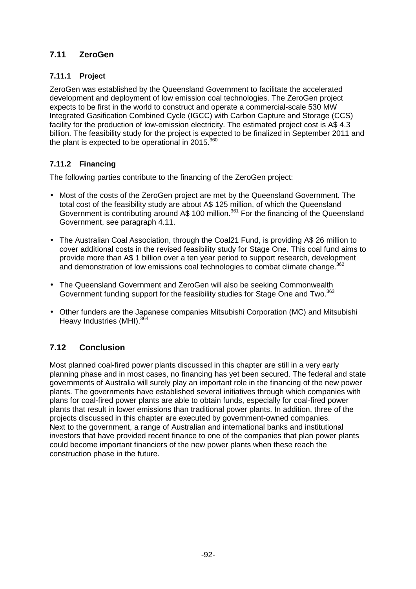## **7.11 ZeroGen**

### **7.11.1 Project**

ZeroGen was established by the Queensland Government to facilitate the accelerated development and deployment of low emission coal technologies. The ZeroGen project expects to be first in the world to construct and operate a commercial-scale 530 MW Integrated Gasification Combined Cycle (IGCC) with Carbon Capture and Storage (CCS) facility for the production of low-emission electricity. The estimated project cost is A\$ 4.3 billion. The feasibility study for the project is expected to be finalized in September 2011 and the plant is expected to be operational in  $2015^{360}$ 

### **7.11.2 Financing**

The following parties contribute to the financing of the ZeroGen project:

- Most of the costs of the ZeroGen project are met by the Queensland Government. The total cost of the feasibility study are about A\$ 125 million, of which the Queensland Government is contributing around A\$ 100 million.<sup>361</sup> For the financing of the Queensland Government, see paragraph 4.11.
- The Australian Coal Association, through the Coal21 Fund, is providing A\$ 26 million to cover additional costs in the revised feasibility study for Stage One. This coal fund aims to provide more than A\$ 1 billion over a ten year period to support research, development and demonstration of low emissions coal technologies to combat climate change.<sup>362</sup>
- The Queensland Government and ZeroGen will also be seeking Commonwealth Government funding support for the feasibility studies for Stage One and Two.<sup>363</sup>
- Other funders are the Japanese companies Mitsubishi Corporation (MC) and Mitsubishi Heavy Industries (MHI).<sup>364</sup>

## **7.12 Conclusion**

Most planned coal-fired power plants discussed in this chapter are still in a very early planning phase and in most cases, no financing has yet been secured. The federal and state governments of Australia will surely play an important role in the financing of the new power plants. The governments have established several initiatives through which companies with plans for coal-fired power plants are able to obtain funds, especially for coal-fired power plants that result in lower emissions than traditional power plants. In addition, three of the projects discussed in this chapter are executed by government-owned companies. Next to the government, a range of Australian and international banks and institutional investors that have provided recent finance to one of the companies that plan power plants could become important financiers of the new power plants when these reach the construction phase in the future.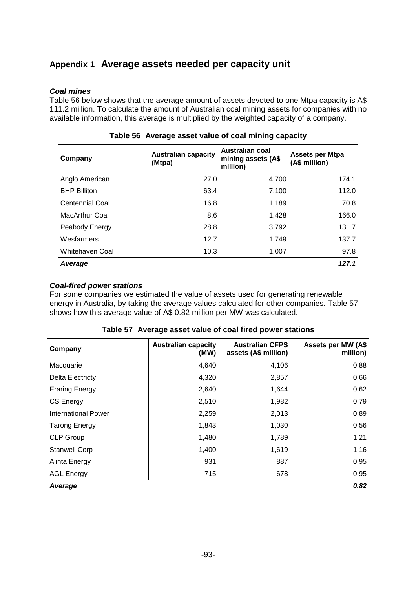# **Appendix 1 Average assets needed per capacity unit**

#### **Coal mines**

Table 56 below shows that the average amount of assets devoted to one Mtpa capacity is A\$ 111.2 million. To calculate the amount of Australian coal mining assets for companies with no available information, this average is multiplied by the weighted capacity of a company.

| Company             | <b>Australian capacity</b><br>(Mtpa) | <b>Australian coal</b><br>mining assets (A\$<br>million) | <b>Assets per Mtpa</b><br>(A\$ million) |
|---------------------|--------------------------------------|----------------------------------------------------------|-----------------------------------------|
| Anglo American      | 27.0                                 | 4,700                                                    | 174.1                                   |
| <b>BHP Billiton</b> | 63.4                                 | 7,100                                                    | 112.0                                   |
| Centennial Coal     | 16.8                                 | 1,189                                                    | 70.8                                    |
| MacArthur Coal      | 8.6                                  | 1,428                                                    | 166.0                                   |
| Peabody Energy      | 28.8                                 | 3,792                                                    | 131.7                                   |
| Wesfarmers          | 12.7                                 | 1,749                                                    | 137.7                                   |
| Whitehaven Coal     | 10.3                                 | 1,007                                                    | 97.8                                    |
| Average             |                                      |                                                          | 127.1                                   |

**Table 56 Average asset value of coal mining capacity** 

#### **Coal-fired power stations**

For some companies we estimated the value of assets used for generating renewable energy in Australia, by taking the average values calculated for other companies. Table 57 shows how this average value of A\$ 0.82 million per MW was calculated.

| Company               | <b>Australian capacity</b><br>(MW) | <b>Australian CFPS</b><br>assets (A\$ million) | <b>Assets per MW (A\$</b><br>million) |
|-----------------------|------------------------------------|------------------------------------------------|---------------------------------------|
| Macquarie             | 4,640                              | 4,106                                          | 0.88                                  |
| Delta Electricty      | 4,320                              | 2,857                                          | 0.66                                  |
| <b>Eraring Energy</b> | 2,640                              | 1,644                                          | 0.62                                  |
| <b>CS Energy</b>      | 2,510                              | 1,982                                          | 0.79                                  |
| International Power   | 2,259                              | 2,013                                          | 0.89                                  |
| <b>Tarong Energy</b>  | 1,843                              | 1,030                                          | 0.56                                  |
| <b>CLP Group</b>      | 1,480                              | 1,789                                          | 1.21                                  |
| <b>Stanwell Corp</b>  | 1,400                              | 1,619                                          | 1.16                                  |
| Alinta Energy         | 931                                | 887                                            | 0.95                                  |
| <b>AGL Energy</b>     | 715                                | 678                                            | 0.95                                  |
| Average               |                                    |                                                | 0.82                                  |

|  | Table 57 Average asset value of coal fired power stations |
|--|-----------------------------------------------------------|
|--|-----------------------------------------------------------|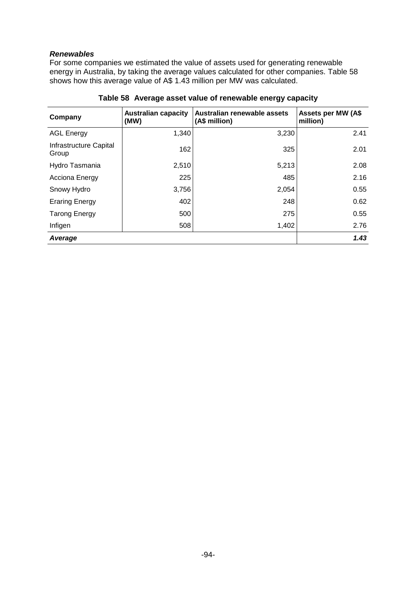#### **Renewables**

For some companies we estimated the value of assets used for generating renewable energy in Australia, by taking the average values calculated for other companies. Table 58 shows how this average value of A\$ 1.43 million per MW was calculated.

| Company                         | <b>Australian capacity</b><br>(MW) | Australian renewable assets<br>(A\$ million) | <b>Assets per MW (A\$</b><br>million) |
|---------------------------------|------------------------------------|----------------------------------------------|---------------------------------------|
| <b>AGL Energy</b>               | 1,340                              | 3,230                                        | 2.41                                  |
| Infrastructure Capital<br>Group | 162                                | 325                                          | 2.01                                  |
| Hydro Tasmania                  | 2,510                              | 5,213                                        | 2.08                                  |
| Acciona Energy                  | 225                                | 485                                          | 2.16                                  |
| Snowy Hydro                     | 3,756                              | 2,054                                        | 0.55                                  |
| <b>Eraring Energy</b>           | 402                                | 248                                          | 0.62                                  |
| <b>Tarong Energy</b>            | 500                                | 275                                          | 0.55                                  |
| Infigen                         | 508                                | 1,402                                        | 2.76                                  |
| Average                         |                                    |                                              | 1.43                                  |

**Table 58 Average asset value of renewable energy capacity**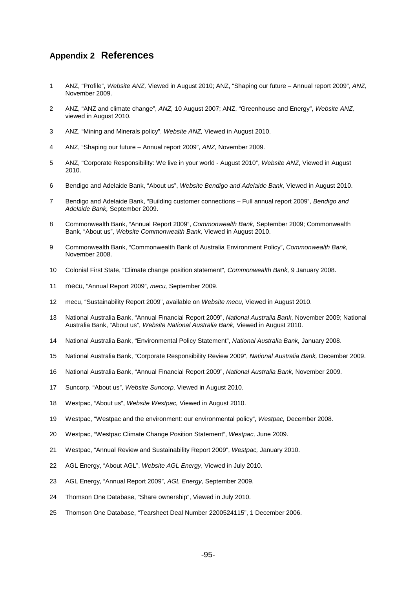### **Appendix 2 References**

- 1 ANZ, "Profile", Website ANZ, Viewed in August 2010; ANZ, "Shaping our future Annual report 2009", ANZ, November 2009.
- 2 ANZ, "ANZ and climate change", ANZ, 10 August 2007; ANZ, "Greenhouse and Energy", Website ANZ, viewed in August 2010.
- 3 ANZ, "Mining and Minerals policy", Website ANZ, Viewed in August 2010.
- 4 ANZ, "Shaping our future Annual report 2009", ANZ, November 2009.
- 5 ANZ, "Corporate Responsibility: We live in your world August 2010", Website ANZ, Viewed in August 2010.
- 6 Bendigo and Adelaide Bank, "About us", Website Bendigo and Adelaide Bank, Viewed in August 2010.
- 7 Bendigo and Adelaide Bank, "Building customer connections Full annual report 2009", Bendigo and Adelaide Bank, September 2009.
- 8 Commonwealth Bank, "Annual Report 2009", Commonwealth Bank, September 2009; Commonwealth Bank, "About us", Website Commonwealth Bank, Viewed in August 2010.
- 9 Commonwealth Bank, "Commonwealth Bank of Australia Environment Policy", Commonwealth Bank, November 2008.
- 10 Colonial First State, "Climate change position statement", Commonwealth Bank, 9 January 2008.
- 11 mecu, "Annual Report 2009", mecu, September 2009.
- 12 mecu, "Sustainability Report 2009", available on Website mecu, Viewed in August 2010.
- 13 National Australia Bank, "Annual Financial Report 2009", National Australia Bank, November 2009; National Australia Bank, "About us", Website National Australia Bank, Viewed in August 2010.
- 14 National Australia Bank, "Environmental Policy Statement", National Australia Bank, January 2008.
- 15 National Australia Bank, "Corporate Responsibility Review 2009", National Australia Bank, December 2009.
- 16 National Australia Bank, "Annual Financial Report 2009", National Australia Bank, November 2009.
- 17 Suncorp, "About us", Website Suncorp, Viewed in August 2010.
- 18 Westpac, "About us", Website Westpac, Viewed in August 2010.
- 19 Westpac, "Westpac and the environment: our environmental policy", Westpac, December 2008.
- 20 Westpac, "Westpac Climate Change Position Statement", Westpac, June 2009.
- 21 Westpac, "Annual Review and Sustainability Report 2009", Westpac, January 2010.
- 22 AGL Energy, "About AGL", Website AGL Energy, Viewed in July 2010.
- 23 AGL Energy, "Annual Report 2009", AGL Energy, September 2009.
- 24 Thomson One Database, "Share ownership", Viewed in July 2010.
- 25 Thomson One Database, "Tearsheet Deal Number 2200524115", 1 December 2006.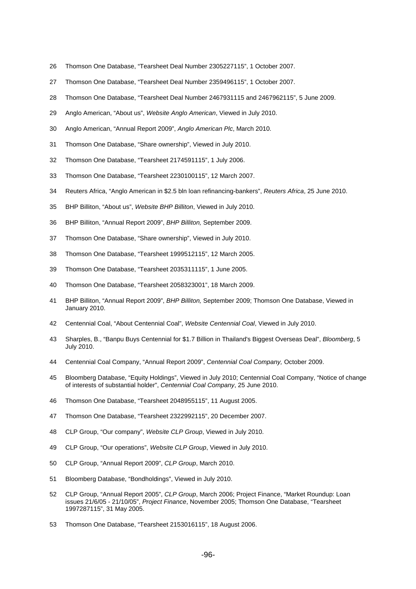- 26 Thomson One Database, "Tearsheet Deal Number 2305227115", 1 October 2007.
- 27 Thomson One Database, "Tearsheet Deal Number 2359496115", 1 October 2007.
- 28 Thomson One Database, "Tearsheet Deal Number 2467931115 and 2467962115", 5 June 2009.
- 29 Anglo American, "About us", Website Anglo American, Viewed in July 2010.
- 30 Anglo American, "Annual Report 2009", Anglo American Plc, March 2010.
- 31 Thomson One Database, "Share ownership", Viewed in July 2010.
- 32 Thomson One Database, "Tearsheet 2174591115", 1 July 2006.
- 33 Thomson One Database, "Tearsheet 2230100115", 12 March 2007.
- 34 Reuters Africa, "Anglo American in \$2.5 bln loan refinancing-bankers", Reuters Africa, 25 June 2010.
- 35 BHP Billiton, "About us", Website BHP Billiton, Viewed in July 2010.
- 36 BHP Billiton, "Annual Report 2009", BHP Billiton, September 2009.
- 37 Thomson One Database, "Share ownership", Viewed in July 2010.
- 38 Thomson One Database, "Tearsheet 1999512115", 12 March 2005.
- 39 Thomson One Database, "Tearsheet 2035311115", 1 June 2005.
- 40 Thomson One Database, "Tearsheet 2058323001", 18 March 2009.
- 41 BHP Billiton, "Annual Report 2009", BHP Billiton, September 2009; Thomson One Database, Viewed in January 2010.
- 42 Centennial Coal, "About Centennial Coal", Website Centennial Coal, Viewed in July 2010.
- 43 Sharples, B., "Banpu Buys Centennial for \$1.7 Billion in Thailand's Biggest Overseas Deal", Bloomberg, 5 July 2010.
- 44 Centennial Coal Company, "Annual Report 2009", Centennial Coal Company, October 2009.
- 45 Bloomberg Database, "Equity Holdings", Viewed in July 2010; Centennial Coal Company, "Notice of change of interests of substantial holder", Centennial Coal Company, 25 June 2010.
- 46 Thomson One Database, "Tearsheet 2048955115", 11 August 2005.
- 47 Thomson One Database, "Tearsheet 2322992115", 20 December 2007.
- 48 CLP Group, "Our company", Website CLP Group, Viewed in July 2010.
- 49 CLP Group, "Our operations", Website CLP Group, Viewed in July 2010.
- 50 CLP Group, "Annual Report 2009", CLP Group, March 2010.
- 51 Bloomberg Database, "Bondholdings", Viewed in July 2010.
- 52 CLP Group, "Annual Report 2005", CLP Group, March 2006; Project Finance, "Market Roundup: Loan issues 21/6/05 - 21/10/05", Project Finance, November 2005; Thomson One Database, "Tearsheet 1997287115", 31 May 2005.
- 53 Thomson One Database, "Tearsheet 2153016115", 18 August 2006.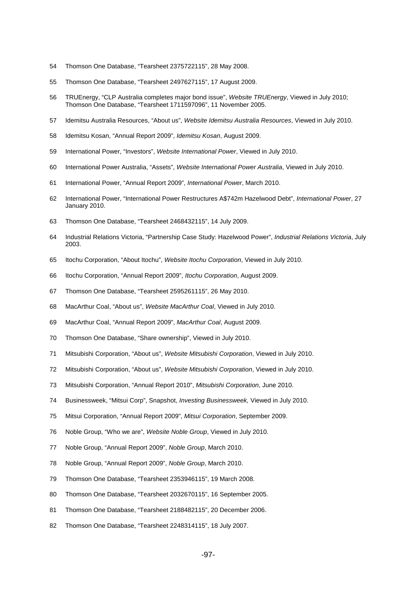- 54 Thomson One Database, "Tearsheet 2375722115", 28 May 2008.
- 55 Thomson One Database, "Tearsheet 2497627115", 17 August 2009.
- 56 TRUEnergy, "CLP Australia completes major bond issue", Website TRUEnergy, Viewed in July 2010; Thomson One Database, "Tearsheet 1711597096", 11 November 2005.
- 57 Idemitsu Australia Resources, "About us", Website Idemitsu Australia Resources, Viewed in July 2010.
- 58 Idemitsu Kosan, "Annual Report 2009", Idemitsu Kosan, August 2009.
- 59 International Power, "Investors", Website International Power, Viewed in July 2010.
- 60 International Power Australia, "Assets", Website International Power Australia, Viewed in July 2010.
- 61 International Power, "Annual Report 2009", International Power, March 2010.
- 62 International Power, "International Power Restructures A\$742m Hazelwood Debt", International Power, 27 January 2010.
- 63 Thomson One Database, "Tearsheet 2468432115", 14 July 2009.
- 64 Industrial Relations Victoria, "Partnership Case Study: Hazelwood Power", Industrial Relations Victoria, July 2003.
- 65 Itochu Corporation, "About Itochu", Website Itochu Corporation, Viewed in July 2010.
- 66 Itochu Corporation, "Annual Report 2009", Itochu Corporation, August 2009.
- 67 Thomson One Database, "Tearsheet 2595261115", 26 May 2010.
- 68 MacArthur Coal, "About us", Website MacArthur Coal, Viewed in July 2010.
- 69 MacArthur Coal, "Annual Report 2009", MacArthur Coal, August 2009.
- 70 Thomson One Database, "Share ownership", Viewed in July 2010.
- 71 Mitsubishi Corporation, "About us", Website Mitsubishi Corporation, Viewed in July 2010.
- 72 Mitsubishi Corporation, "About us", Website Mitsubishi Corporation, Viewed in July 2010.
- 73 Mitsubishi Corporation, "Annual Report 2010", Mitsubishi Corporation, June 2010.
- 74 Businessweek, "Mitsui Corp", Snapshot, Investing Businessweek, Viewed in July 2010.
- 75 Mitsui Corporation, "Annual Report 2009", Mitsui Corporation, September 2009.
- 76 Noble Group, "Who we are", Website Noble Group, Viewed in July 2010.
- 77 Noble Group, "Annual Report 2009", Noble Group, March 2010.
- 78 Noble Group, "Annual Report 2009", Noble Group, March 2010.
- 79 Thomson One Database, "Tearsheet 2353946115", 19 March 2008.
- 80 Thomson One Database, "Tearsheet 2032670115", 16 September 2005.
- 81 Thomson One Database, "Tearsheet 2188482115", 20 December 2006.
- 82 Thomson One Database, "Tearsheet 2248314115", 18 July 2007.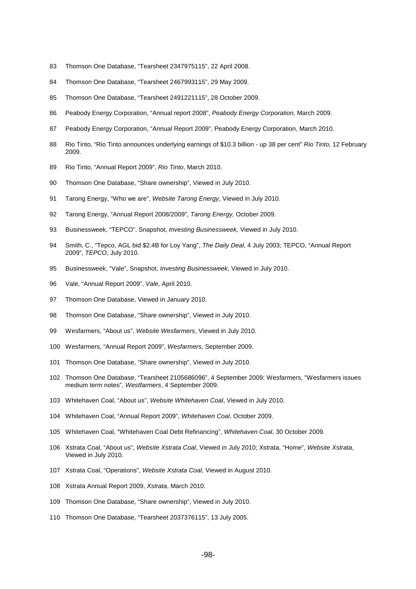- 83 Thomson One Database, "Tearsheet 2347975115", 22 April 2008.
- 84 Thomson One Database, "Tearsheet 2467993115", 29 May 2009.
- 85 Thomson One Database, "Tearsheet 2491221115", 28 October 2009.
- 86 Peabody Energy Corporation, "Annual report 2008", Peabody Energy Corporation, March 2009.
- 87 Peabody Energy Corporation, "Annual Report 2009", Peabody Energy Corporation, March 2010.
- 88 Rio Tinto, "Rio Tinto announces underlying earnings of \$10.3 billion up 38 per cent" Rio Tinto, 12 February 2009.
- 89 Rio Tinto, "Annual Report 2009", Rio Tinto, March 2010.
- 90 Thomson One Database, "Share ownership", Viewed in July 2010.
- 91 Tarong Energy, "Who we are", Website Tarong Energy, Viewed in July 2010.
- 92 Tarong Energy, "Annual Report 2008/2009", Tarong Energy, October 2009.
- 93 Businessweek, "TEPCO", Snapshot, *Investing Businessweek*, Viewed in July 2010.
- 94 Smith, C., "Tepco, AGL bid \$2.4B for Loy Yang", The Daily Deal, 4 July 2003; TEPCO, "Annual Report 2009", TEPCO, July 2010.
- 95 Businessweek, "Vale", Snapshot, Investing Businessweek, Viewed in July 2010.
- 96 Vale, "Annual Report 2009", Vale, April 2010.
- 97 Thomson One Database, Viewed in January 2010.
- 98 Thomson One Database, "Share ownership", Viewed in July 2010.
- 99 Wesfarmers, "About us", Website Wesfarmers, Viewed in July 2010.
- 100 Wesfarmers, "Annual Report 2009", Wesfarmers, September 2009.
- 101 Thomson One Database, "Share ownership", Viewed in July 2010.
- 102 Thomson One Database, "Tearsheet 2105686096", 4 September 2009; Wesfarmers, "Wesfarmers issues medium term notes", Westfarmers, 4 September 2009.
- 103 Whitehaven Coal, "About us", Website Whitehaven Coal, Viewed in July 2010.
- 104 Whitehaven Coal, "Annual Report 2009", Whitehaven Coal, October 2009.
- 105 Whitehaven Coal, "Whitehaven Coal Debt Refinancing", Whitehaven Coal, 30 October 2009.
- 106 Xstrata Coal, "About us", Website Xstrata Coal, Viewed in July 2010; Xstrata, "Home", Website Xstrata, Viewed in July 2010.
- 107 Xstrata Coal, "Operations", Website Xstrata Coal, Viewed in August 2010.
- 108 Xstrata Annual Report 2009, Xstrata, March 2010.
- 109 Thomson One Database, "Share ownership", Viewed in July 2010.
- 110 Thomson One Database, "Tearsheet 2037376115", 13 July 2005.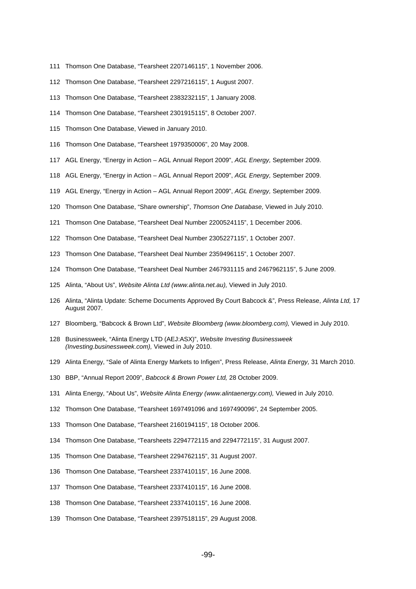- 111 Thomson One Database, "Tearsheet 2207146115", 1 November 2006.
- 112 Thomson One Database, "Tearsheet 2297216115", 1 August 2007.
- 113 Thomson One Database, "Tearsheet 2383232115", 1 January 2008.
- 114 Thomson One Database, "Tearsheet 2301915115", 8 October 2007.
- 115 Thomson One Database, Viewed in January 2010.
- 116 Thomson One Database, "Tearsheet 1979350006", 20 May 2008.
- 117 AGL Energy, "Energy in Action AGL Annual Report 2009", AGL Energy, September 2009.
- 118 AGL Energy, "Energy in Action AGL Annual Report 2009", AGL Energy, September 2009.
- 119 AGL Energy, "Energy in Action AGL Annual Report 2009", AGL Energy, September 2009.
- 120 Thomson One Database, "Share ownership", Thomson One Database, Viewed in July 2010.
- 121 Thomson One Database, "Tearsheet Deal Number 2200524115", 1 December 2006.
- 122 Thomson One Database, "Tearsheet Deal Number 2305227115", 1 October 2007.
- 123 Thomson One Database, "Tearsheet Deal Number 2359496115", 1 October 2007.
- 124 Thomson One Database, "Tearsheet Deal Number 2467931115 and 2467962115", 5 June 2009.
- 125 Alinta, "About Us", Website Alinta Ltd (www.alinta.net.au), Viewed in July 2010.
- 126 Alinta, "Alinta Update: Scheme Documents Approved By Court Babcock &", Press Release, Alinta Ltd, 17 August 2007.
- 127 Bloomberg, "Babcock & Brown Ltd", Website Bloomberg (www.bloomberg.com), Viewed in July 2010.
- 128 Businessweek, "Alinta Energy LTD (AEJ:ASX)", Website Investing Businessweek (Investing.businessweek.com), Viewed in July 2010.
- 129 Alinta Energy, "Sale of Alinta Energy Markets to Infigen", Press Release, Alinta Energy, 31 March 2010.
- 130 BBP, "Annual Report 2009", Babcock & Brown Power Ltd, 28 October 2009.
- 131 Alinta Energy, "About Us", Website Alinta Energy (www.alintaenergy.com), Viewed in July 2010.
- 132 Thomson One Database, "Tearsheet 1697491096 and 1697490096", 24 September 2005.
- 133 Thomson One Database, "Tearsheet 2160194115", 18 October 2006.
- 134 Thomson One Database, "Tearsheets 2294772115 and 2294772115", 31 August 2007.
- 135 Thomson One Database, "Tearsheet 2294762115", 31 August 2007.
- 136 Thomson One Database, "Tearsheet 2337410115", 16 June 2008.
- 137 Thomson One Database, "Tearsheet 2337410115", 16 June 2008.
- 138 Thomson One Database, "Tearsheet 2337410115", 16 June 2008.
- 139 Thomson One Database, "Tearsheet 2397518115", 29 August 2008.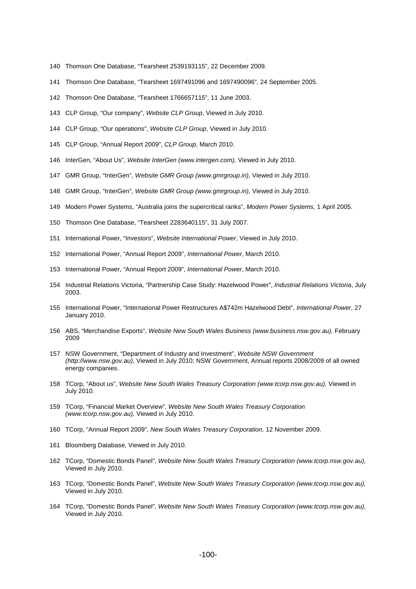- 140 Thomson One Database, "Tearsheet 2539193115", 22 December 2009.
- 141 Thomson One Database, "Tearsheet 1697491096 and 1697490096", 24 September 2005.
- 142 Thomson One Database, "Tearsheet 1766657115", 11 June 2003.
- 143 CLP Group, "Our company", Website CLP Group, Viewed in July 2010.
- 144 CLP Group, "Our operations", Website CLP Group, Viewed in July 2010.
- 145 CLP Group, "Annual Report 2009", CLP Group, March 2010.
- 146 InterGen, "About Us", Website InterGen (www.intergen.com), Viewed in July 2010.
- 147 GMR Group, "InterGen", Website GMR Group (www.gmrgroup.in), Viewed in July 2010.
- 148 GMR Group, "InterGen", Website GMR Group (www.gmrgroup.in), Viewed in July 2010.
- 149 Modern Power Systems, "Australia joins the supercritical ranks", Modern Power Systems, 1 April 2005.
- 150 Thomson One Database, "Tearsheet 2283640115", 31 July 2007.
- 151 International Power, "Investors", Website International Power, Viewed in July 2010.
- 152 International Power, "Annual Report 2009", International Power, March 2010.
- 153 International Power, "Annual Report 2009", International Power, March 2010.
- 154 Industrial Relations Victoria, "Partnership Case Study: Hazelwood Power", Industrial Relations Victoria, July 2003.
- 155 International Power, "International Power Restructures A\$742m Hazelwood Debt", International Power, 27 January 2010.
- 156 ABS, "Merchandise Exports", Website New South Wales Business (www.business.nsw.gov.au), February 2009
- 157 NSW Government, "Department of Industry and Investment", Website NSW Government (http://www.nsw.gov.au), Viewed in July 2010; NSW Government, Annual reports 2008/2009 of all owned energy companies.
- 158 TCorp, "About us", Website New South Wales Treasury Corporation (www.tcorp.nsw.gov.au), Viewed in July 2010.
- 159 TCorp, "Financial Market Overview", Website New South Wales Treasury Corporation (www.tcorp.nsw.gov.au), Viewed in July 2010.
- 160 TCorp, "Annual Report 2009", New South Wales Treasury Corporation, 12 November 2009.
- 161 Bloomberg Database, Viewed in July 2010.
- 162 TCorp, "Domestic Bonds Panel", Website New South Wales Treasury Corporation (www.tcorp.nsw.gov.au), Viewed in July 2010.
- 163 TCorp, "Domestic Bonds Panel", Website New South Wales Treasury Corporation (www.tcorp.nsw.gov.au), Viewed in July 2010.
- 164 TCorp, "Domestic Bonds Panel", Website New South Wales Treasury Corporation (www.tcorp.nsw.gov.au), Viewed in July 2010.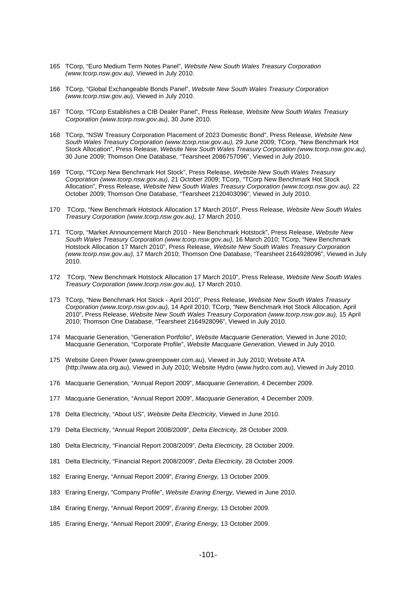- 165 TCorp, "Euro Medium Term Notes Panel", Website New South Wales Treasury Corporation (www.tcorp.nsw.gov.au), Viewed in July 2010.
- 166 TCorp, "Global Exchangeable Bonds Panel", Website New South Wales Treasury Corporation (www.tcorp.nsw.gov.au), Viewed in July 2010.
- 167 TCorp, "TCorp Establishes a CIB Dealer Panel", Press Release, Website New South Wales Treasury Corporation (www.tcorp.nsw.gov.au), 30 June 2010.
- 168 TCorp, "NSW Treasury Corporation Placement of 2023 Domestic Bond", Press Release, Website New South Wales Treasury Corporation (www.tcorp.nsw.gov.au), 29 June 2009; TCorp, "New Benchmark Hot Stock Allocation", Press Release, Website New South Wales Treasury Corporation (www.tcorp.nsw.gov.au), 30 June 2009; Thomson One Database, "Tearsheet 2086757096", Viewed in July 2010.
- 169 TCorp, "TCorp New Benchmark Hot Stock", Press Release, Website New South Wales Treasury Corporation (www.tcorp.nsw.gov.au), 21 October 2009; TCorp, "TCorp New Benchmark Hot Stock Allocation", Press Release, Website New South Wales Treasury Corporation (www.tcorp.nsw.gov.au), 22 October 2009; Thomson One Database, "Tearsheet 2120403096", Viewed in July 2010.
- 170 TCorp, "New Benchmark Hotstock Allocation 17 March 2010", Press Release, Website New South Wales Treasury Corporation (www.tcorp.nsw.gov.au), 17 March 2010.
- 171 TCorp, "Market Announcement March 2010 New Benchmark Hotstock", Press Release, Website New South Wales Treasury Corporation (www.tcorp.nsw.gov.au), 16 March 2010; TCorp, "New Benchmark Hotstock Allocation 17 March 2010", Press Release, Website New South Wales Treasury Corporation (www.tcorp.nsw.gov.au), 17 March 2010; Thomson One Database, "Tearsheet 2164928096", Viewed in July 2010.
- 172 TCorp, "New Benchmark Hotstock Allocation 17 March 2010", Press Release, Website New South Wales Treasury Corporation (www.tcorp.nsw.gov.au), 17 March 2010.
- 173 TCorp, "New Benchmark Hot Stock April 2010", Press Release, Website New South Wales Treasury Corporation (www.tcorp.nsw.gov.au), 14 April 2010; TCorp, "New Benchmark Hot Stock Allocation, April 2010", Press Release, Website New South Wales Treasury Corporation (www.tcorp.nsw.gov.au), 15 April 2010; Thomson One Database, "Tearsheet 2164928096", Viewed in July 2010.
- 174 Macquarie Generation, "Generation Portfolio", Website Macquarie Generation, Viewed in June 2010; Macquarie Generation, "Corporate Profile", Website Macquarie Generation, Viewed in July 2010.
- 175 Website Green Power (www.greenpower.com.au), Viewed in July 2010; Website ATA (http://www.ata.org.au), Viewed in July 2010; Website Hydro (www.hydro.com.au), Viewed in July 2010.
- 176 Macquarie Generation, "Annual Report 2009", Macquarie Generation, 4 December 2009.
- 177 Macquarie Generation, "Annual Report 2009", Macquarie Generation, 4 December 2009.
- 178 Delta Electricity, "About US", Website Delta Electricity, Viewed in June 2010.
- 179 Delta Electricity, "Annual Report 2008/2009", Delta Electricity, 28 October 2009.
- 180 Delta Electricity, "Financial Report 2008/2009", Delta Electricity, 28 October 2009.
- 181 Delta Electricity, "Financial Report 2008/2009", Delta Electricity, 28 October 2009.
- 182 Eraring Energy, "Annual Report 2009", Eraring Energy, 13 October 2009.
- 183 Eraring Energy, "Company Profile", Website Eraring Energy, Viewed in June 2010.
- 184 Eraring Energy, "Annual Report 2009", Eraring Energy, 13 October 2009.
- 185 Eraring Energy, "Annual Report 2009", Eraring Energy, 13 October 2009.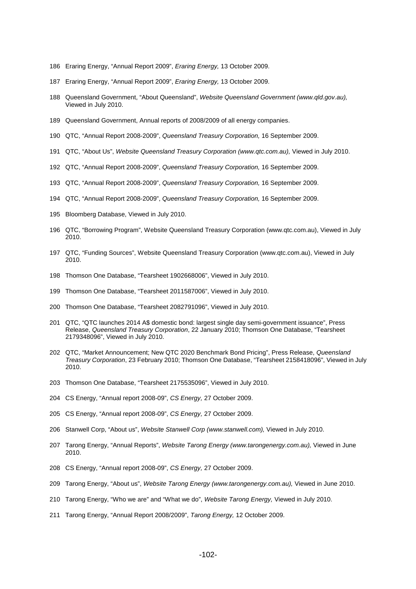- 186 Eraring Energy, "Annual Report 2009", Eraring Energy, 13 October 2009.
- 187 Eraring Energy, "Annual Report 2009", Eraring Energy, 13 October 2009.
- 188 Queensland Government, "About Queensland", Website Queensland Government (www.qld.gov.au), Viewed in July 2010.
- 189 Queensland Government, Annual reports of 2008/2009 of all energy companies.
- 190 QTC, "Annual Report 2008-2009", Queensland Treasury Corporation, 16 September 2009.
- 191 QTC, "About Us", Website Queensland Treasury Corporation (www.qtc.com.au), Viewed in July 2010.
- 192 QTC, "Annual Report 2008-2009", Queensland Treasury Corporation, 16 September 2009.
- 193 QTC, "Annual Report 2008-2009", Queensland Treasury Corporation, 16 September 2009.
- 194 QTC, "Annual Report 2008-2009", Queensland Treasury Corporation, 16 September 2009.
- 195 Bloomberg Database, Viewed in July 2010.
- 196 QTC, "Borrowing Program", Website Queensland Treasury Corporation (www.qtc.com.au), Viewed in July 2010.
- 197 QTC, "Funding Sources", Website Queensland Treasury Corporation (www.qtc.com.au), Viewed in July 2010.
- 198 Thomson One Database, "Tearsheet 1902668006", Viewed in July 2010.
- 199 Thomson One Database, "Tearsheet 2011587006", Viewed in July 2010.
- 200 Thomson One Database, "Tearsheet 2082791096", Viewed in July 2010.
- 201 QTC, "QTC launches 2014 A\$ domestic bond: largest single day semi-government issuance", Press Release, Queensland Treasury Corporation, 22 January 2010; Thomson One Database, "Tearsheet 2179348096", Viewed in July 2010.
- 202 QTC, "Market Announcement; New QTC 2020 Benchmark Bond Pricing", Press Release, Queensland Treasury Corporation, 23 February 2010; Thomson One Database, "Tearsheet 2158418096", Viewed in July 2010.
- 203 Thomson One Database, "Tearsheet 2175535096", Viewed in July 2010.
- 204 CS Energy, "Annual report 2008-09", CS Energy, 27 October 2009.
- 205 CS Energy, "Annual report 2008-09", CS Energy, 27 October 2009.
- 206 Stanwell Corp, "About us", Website Stanwell Corp (www.stanwell.com), Viewed in July 2010.
- 207 Tarong Energy, "Annual Reports", Website Tarong Energy (www.tarongenergy.com.au), Viewed in June 2010.
- 208 CS Energy, "Annual report 2008-09", CS Energy, 27 October 2009.
- 209 Tarong Energy, "About us", Website Tarong Energy (www.tarongenergy.com.au), Viewed in June 2010.
- 210 Tarong Energy, "Who we are" and "What we do", Website Tarong Energy, Viewed in July 2010.
- 211 Tarong Energy, "Annual Report 2008/2009", Tarong Energy, 12 October 2009.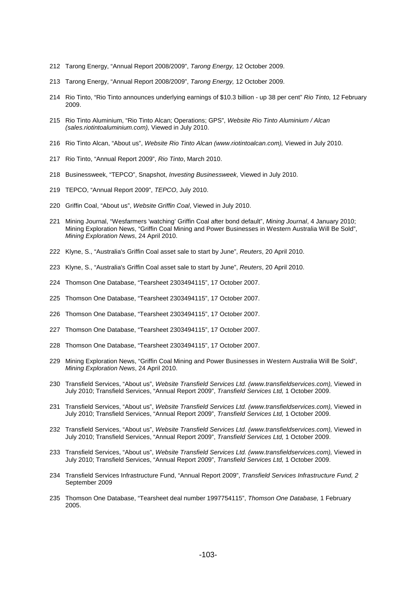- 212 Tarong Energy, "Annual Report 2008/2009", Tarong Energy, 12 October 2009.
- 213 Tarong Energy, "Annual Report 2008/2009", Tarong Energy, 12 October 2009.
- 214 Rio Tinto, "Rio Tinto announces underlying earnings of \$10.3 billion up 38 per cent" Rio Tinto, 12 February 2009.
- 215 Rio Tinto Aluminium, "Rio Tinto Alcan; Operations; GPS", Website Rio Tinto Aluminium / Alcan (sales.riotintoaluminium.com), Viewed in July 2010.
- 216 Rio Tinto Alcan, "About us", Website Rio Tinto Alcan (www.riotintoalcan.com), Viewed in July 2010.
- 217 Rio Tinto, "Annual Report 2009", Rio Tinto, March 2010.
- 218 Businessweek, "TEPCO", Snapshot, Investing Businessweek, Viewed in July 2010.
- 219 TEPCO, "Annual Report 2009", TEPCO, July 2010.
- 220 Griffin Coal, "About us", Website Griffin Coal, Viewed in July 2010.
- 221 Mining Journal, "Wesfarmers 'watching' Griffin Coal after bond default", Mining Journal, 4 January 2010; Mining Exploration News, "Griffin Coal Mining and Power Businesses in Western Australia Will Be Sold", Mining Exploration News, 24 April 2010.
- 222 Klyne, S., "Australia's Griffin Coal asset sale to start by June", Reuters, 20 April 2010.
- 223 Klyne, S., "Australia's Griffin Coal asset sale to start by June", Reuters, 20 April 2010.
- 224 Thomson One Database, "Tearsheet 2303494115", 17 October 2007.
- 225 Thomson One Database, "Tearsheet 2303494115", 17 October 2007.
- 226 Thomson One Database, "Tearsheet 2303494115", 17 October 2007.
- 227 Thomson One Database, "Tearsheet 2303494115", 17 October 2007.
- 228 Thomson One Database, "Tearsheet 2303494115", 17 October 2007.
- 229 Mining Exploration News, "Griffin Coal Mining and Power Businesses in Western Australia Will Be Sold", Mining Exploration News, 24 April 2010.
- 230 Transfield Services, "About us", Website Transfield Services Ltd. (www.transfieldservices.com), Viewed in July 2010; Transfield Services, "Annual Report 2009", Transfield Services Ltd, 1 October 2009.
- 231 Transfield Services, "About us", Website Transfield Services Ltd. (www.transfieldservices.com), Viewed in July 2010; Transfield Services, "Annual Report 2009", Transfield Services Ltd, 1 October 2009.
- 232 Transfield Services, "About us", Website Transfield Services Ltd. (www.transfieldservices.com), Viewed in July 2010; Transfield Services, "Annual Report 2009", Transfield Services Ltd, 1 October 2009.
- 233 Transfield Services, "About us", Website Transfield Services Ltd. (www.transfieldservices.com), Viewed in July 2010; Transfield Services, "Annual Report 2009", Transfield Services Ltd, 1 October 2009.
- 234 Transfield Services Infrastructure Fund, "Annual Report 2009", Transfield Services Infrastructure Fund, 2 September 2009
- 235 Thomson One Database, "Tearsheet deal number 1997754115", Thomson One Database, 1 February 2005.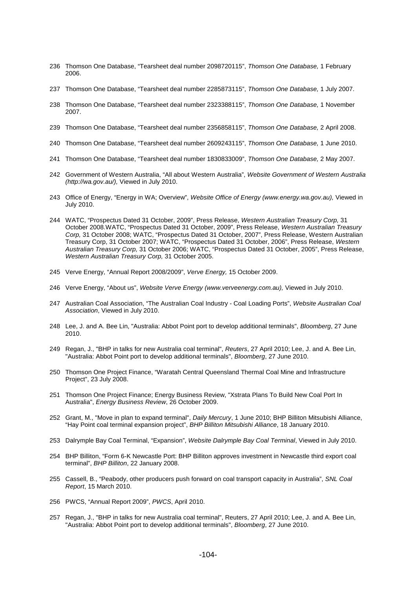- 236 Thomson One Database, "Tearsheet deal number 2098720115", Thomson One Database, 1 February 2006.
- 237 Thomson One Database, "Tearsheet deal number 2285873115", Thomson One Database, 1 July 2007.
- 238 Thomson One Database, "Tearsheet deal number 2323388115", Thomson One Database, 1 November 2007.
- 239 Thomson One Database, "Tearsheet deal number 2356858115", Thomson One Database, 2 April 2008.
- 240 Thomson One Database, "Tearsheet deal number 2609243115", Thomson One Database, 1 June 2010.
- 241 Thomson One Database, "Tearsheet deal number 1830833009", Thomson One Database, 2 May 2007.
- 242 Government of Western Australia, "All about Western Australia", Website Government of Western Australia (http://wa.gov.au/), Viewed in July 2010.
- 243 Office of Energy, "Energy in WA; Overview", Website Office of Energy (www.energy.wa.gov.au), Viewed in July 2010.
- 244 WATC, "Prospectus Dated 31 October, 2009", Press Release, Western Australian Treasury Corp, 31 October 2008.WATC, "Prospectus Dated 31 October, 2009", Press Release, Western Australian Treasury Corp, 31 October 2008; WATC, "Prospectus Dated 31 October, 2007", Press Release, Western Australian Treasury Corp, 31 October 2007; WATC, "Prospectus Dated 31 October, 2006", Press Release, Western Australian Treasury Corp, 31 October 2006; WATC, "Prospectus Dated 31 October, 2005", Press Release, Western Australian Treasury Corp, 31 October 2005.
- 245 Verve Energy, "Annual Report 2008/2009", Verve Energy, 15 October 2009.
- 246 Verve Energy, "About us", Website Verve Energy (www.verveenergy.com.au), Viewed in July 2010.
- 247 Australian Coal Association, "The Australian Coal Industry Coal Loading Ports", Website Australian Coal Association, Viewed in July 2010.
- 248 Lee, J. and A. Bee Lin, "Australia: Abbot Point port to develop additional terminals", *Bloomberg*, 27 June 2010.
- 249 Regan, J., "BHP in talks for new Australia coal terminal", Reuters, 27 April 2010; Lee, J. and A. Bee Lin, "Australia: Abbot Point port to develop additional terminals", Bloomberg, 27 June 2010.
- 250 Thomson One Project Finance, "Waratah Central Queensland Thermal Coal Mine and Infrastructure Project", 23 July 2008.
- 251 Thomson One Project Finance; Energy Business Review, "Xstrata Plans To Build New Coal Port In Australia", Energy Business Review, 26 October 2009.
- 252 Grant, M., "Move in plan to expand terminal", Daily Mercury, 1 June 2010; BHP Billiton Mitsubishi Alliance, "Hay Point coal terminal expansion project", BHP Billiton Mitsubishi Alliance, 18 January 2010.
- 253 Dalrymple Bay Coal Terminal, "Expansion", Website Dalrymple Bay Coal Terminal, Viewed in July 2010.
- 254 BHP Billiton, "Form 6-K Newcastle Port: BHP Billiton approves investment in Newcastle third export coal terminal", BHP Billiton, 22 January 2008.
- 255 Cassell, B., "Peabody, other producers push forward on coal transport capacity in Australia", SNL Coal Report, 15 March 2010.
- 256 PWCS, "Annual Report 2009", PWCS, April 2010.
- 257 Regan, J., "BHP in talks for new Australia coal terminal", Reuters, 27 April 2010; Lee, J. and A. Bee Lin, "Australia: Abbot Point port to develop additional terminals", Bloomberg, 27 June 2010.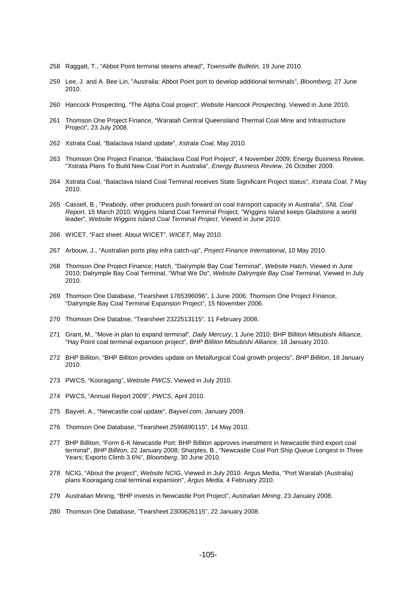- 258 Raggatt, T., "Abbot Point terminal steams ahead", Townsville Bulletin, 19 June 2010.
- 259 Lee, J. and A. Bee Lin, "Australia: Abbot Point port to develop additional terminals", Bloomberg, 27 June 2010.
- 260 Hancock Prospecting, "The Alpha Coal project", Website Hancock Prospecting, Viewed in June 2010.
- 261 Thomson One Project Finance, "Waratah Central Queensland Thermal Coal Mine and Infrastructure Project", 23 July 2008.
- 262 Xstrata Coal, "Balaclava Island update", Xstrata Coal, May 2010.
- 263 Thomson One Project Finance, "Balaclava Coal Port Project", 4 November 2009; Energy Business Review, "Xstrata Plans To Build New Coal Port In Australia", Energy Business Review, 26 October 2009.
- 264 Xstrata Coal, "Balaclava Island Coal Terminal receives State Significant Project status", Xstrata Coal, 7 May 2010.
- 265 Cassell, B., "Peabody, other producers push forward on coal transport capacity in Australia", SNL Coal Report, 15 March 2010; Wiggins Island Coal Terminal Project, "Wiggins Island keeps Gladstone a world leader", Website Wiggins Island Coal Terminal Project, Viewed in June 2010.
- 266 WICET, "Fact sheet: About WICET", WICET, May 2010.
- 267 Arbouw, J., "Australian ports play infra catch-up", Project Finance International, 10 May 2010.
- 268 Thomson One Project Finance: Hatch, "Dalrymple Bay Coal Terminal", Website Hatch, Viewed in June 2010; Dalrymple Bay Coal Terminal, "What We Do", Website Dalrymple Bay Coal Terminal, Viewed in July 2010.
- 269 Thomson One Database, "Tearsheet 1765396096", 1 June 2006; Thomson One Project Finance, "Dalrymple Bay Coal Terminal Expansion Project", 15 November 2006.
- 270 Thomson One Databse, "Tearsheet 2322513115", 11 February 2008.
- 271 Grant, M., "Move in plan to expand terminal", Daily Mercury, 1 June 2010; BHP Billiton Mitsubishi Alliance, "Hay Point coal terminal expansion project", BHP Billiton Mitsubishi Alliance, 18 January 2010.
- 272 BHP Billiton, "BHP Billiton provides update on Metallurgical Coal growth projects", BHP Billiton, 18 January 2010.
- 273 PWCS, "Kooragang", Website PWCS, Viewed in July 2010.
- 274 PWCS, "Annual Report 2009", PWCS, April 2010.
- 275 Bayvel, A., "Newcastle coal update", Bayvel.com, January 2009.
- 276 Thomson One Database, "Tearsheet 2596890115", 14 May 2010.
- 277 BHP Billiton, "Form 6-K Newcastle Port: BHP Billiton approves investment in Newcastle third export coal terminal", BHP Billiton, 22 January 2008; Sharples, B., "Newcastle Coal Port Ship Queue Longest in Three Years; Exports Climb 3.6%", Bloomberg, 30 June 2010.
- 278 NCIG, "About the project", Website NCIG, Viewed in July 2010. Argus Media, "Port Waratah (Australia) plans Kooragang coal terminal expansion", Argus Media, 4 February 2010.
- 279 Australian Mining, "BHP invests in Newcastle Port Project", Australian Mining, 23 January 2008.
- 280 Thomson One Database, "Tearsheet 2300626115", 22 January 2008.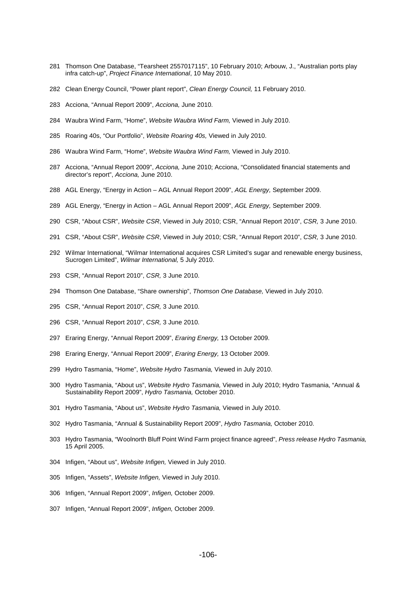- 281 Thomson One Database, "Tearsheet 2557017115", 10 February 2010; Arbouw, J., "Australian ports play infra catch-up", Project Finance International, 10 May 2010.
- 282 Clean Energy Council, "Power plant report", Clean Energy Council, 11 February 2010.
- 283 Acciona, "Annual Report 2009", Acciona, June 2010.
- 284 Waubra Wind Farm, "Home", Website Waubra Wind Farm, Viewed in July 2010.
- 285 Roaring 40s, "Our Portfolio", Website Roaring 40s, Viewed in July 2010.
- 286 Waubra Wind Farm, "Home", Website Waubra Wind Farm, Viewed in July 2010.
- 287 Acciona, "Annual Report 2009", Acciona, June 2010; Acciona, "Consolidated financial statements and director's report", Acciona, June 2010.
- 288 AGL Energy, "Energy in Action AGL Annual Report 2009", AGL Energy, September 2009.
- 289 AGL Energy, "Energy in Action AGL Annual Report 2009", AGL Energy, September 2009.
- 290 CSR, "About CSR", Website CSR, Viewed in July 2010; CSR, "Annual Report 2010", CSR, 3 June 2010.
- 291 CSR, "About CSR", Website CSR, Viewed in July 2010; CSR, "Annual Report 2010", CSR, 3 June 2010.
- 292 Wilmar International, "Wilmar International acquires CSR Limited's sugar and renewable energy business, Sucrogen Limited", Wilmar International, 5 July 2010.
- 293 CSR, "Annual Report 2010", CSR, 3 June 2010.
- 294 Thomson One Database, "Share ownership", Thomson One Database, Viewed in July 2010.
- 295 CSR, "Annual Report 2010", CSR, 3 June 2010.
- 296 CSR, "Annual Report 2010", CSR, 3 June 2010.
- 297 Eraring Energy, "Annual Report 2009", Eraring Energy, 13 October 2009.
- 298 Eraring Energy, "Annual Report 2009", Eraring Energy, 13 October 2009.
- 299 Hydro Tasmania, "Home", Website Hydro Tasmania, Viewed in July 2010.
- 300 Hydro Tasmania, "About us", Website Hydro Tasmania, Viewed in July 2010; Hydro Tasmania, "Annual & Sustainability Report 2009", Hydro Tasmania, October 2010.
- 301 Hydro Tasmania, "About us", Website Hydro Tasmania, Viewed in July 2010.
- 302 Hydro Tasmania, "Annual & Sustainability Report 2009", Hydro Tasmania, October 2010.
- 303 Hydro Tasmania, "Woolnorth Bluff Point Wind Farm project finance agreed", Press release Hydro Tasmania, 15 April 2005.
- 304 Infigen, "About us", Website Infigen, Viewed in July 2010.
- 305 Infigen, "Assets", Website Infigen, Viewed in July 2010.
- 306 Infigen, "Annual Report 2009", Infigen, October 2009.
- 307 Infigen, "Annual Report 2009", Infigen, October 2009.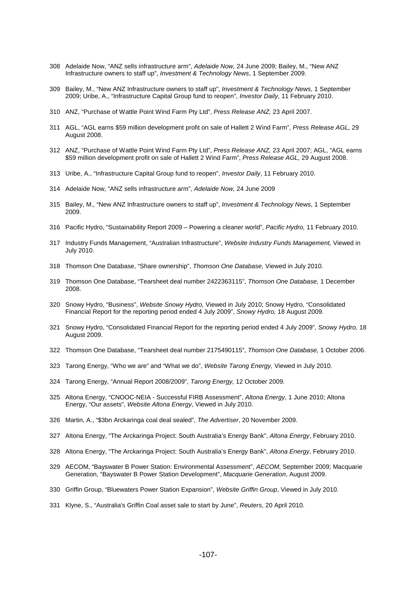- 308 Adelaide Now, "ANZ sells infrastructure arm", Adelaide Now, 24 June 2009; Bailey, M., "New ANZ Infrastructure owners to staff up", Investment & Technology News, 1 September 2009.
- 309 Bailey, M., "New ANZ Infrastructure owners to staff up", Investment & Technology News, 1 September 2009; Uribe, A., "Infrastructure Capital Group fund to reopen", Investor Daily, 11 February 2010.
- 310 ANZ, "Purchase of Wattle Point Wind Farm Pty Ltd", Press Release ANZ, 23 April 2007.
- 311 AGL, "AGL earns \$59 million development profit on sale of Hallett 2 Wind Farm", Press Release AGL, 29 August 2008.
- 312 ANZ, "Purchase of Wattle Point Wind Farm Pty Ltd", Press Release ANZ, 23 April 2007; AGL, "AGL earns \$59 million development profit on sale of Hallett 2 Wind Farm", Press Release AGL, 29 August 2008.
- 313 Uribe, A., "Infrastructure Capital Group fund to reopen", Investor Daily, 11 February 2010.
- 314 Adelaide Now, "ANZ sells infrastructure arm", Adelaide Now, 24 June 2009
- 315 Bailey, M., "New ANZ Infrastructure owners to staff up", Investment & Technology News, 1 September 2009.
- 316 Pacific Hydro, "Sustainability Report 2009 Powering a cleaner world", Pacific Hydro, 11 February 2010.
- 317 Industry Funds Management, "Australian Infrastructure", Website Industry Funds Management, Viewed in July 2010.
- 318 Thomson One Database, "Share ownership", Thomson One Database, Viewed in July 2010.
- 319 Thomson One Database, "Tearsheet deal number 2422363115", Thomson One Database, 1 December 2008.
- 320 Snowy Hydro, "Business", Website Snowy Hydro, Viewed in July 2010; Snowy Hydro, "Consolidated Financial Report for the reporting period ended 4 July 2009", Snowy Hydro, 18 August 2009.
- 321 Snowy Hydro, "Consolidated Financial Report for the reporting period ended 4 July 2009", Snowy Hydro, 18 August 2009.
- 322 Thomson One Database, "Tearsheet deal number 2175490115", Thomson One Database, 1 October 2006.
- 323 Tarong Energy, "Who we are" and "What we do", Website Tarong Energy, Viewed in July 2010.
- 324 Tarong Energy, "Annual Report 2008/2009", Tarong Energy, 12 October 2009.
- 325 Altona Energy, "CNOOC-NEIA Successful FIRB Assessment", Altona Energy, 1 June 2010; Altona Energy, "Our assets", Website Altona Energy, Viewed in July 2010.
- 326 Martin, A., "\$3bn Arckaringa coal deal sealed", The Advertiser, 20 November 2009.
- 327 Altona Energy, "The Arckaringa Project: South Australia's Energy Bank", Altona Energy, February 2010.
- 328 Altona Energy, "The Arckaringa Project: South Australia's Energy Bank", Altona Energy, February 2010.
- 329 AECOM, "Bayswater B Power Station: Environmental Assessment", AECOM, September 2009; Macquarie Generation, "Bayswater B Power Station Development", Macquarie Generation, August 2009.
- 330 Griffin Group, "Bluewaters Power Station Expansion", Website Griffin Group, Viewed in July 2010.
- 331 Klyne, S., "Australia's Griffin Coal asset sale to start by June", Reuters, 20 April 2010.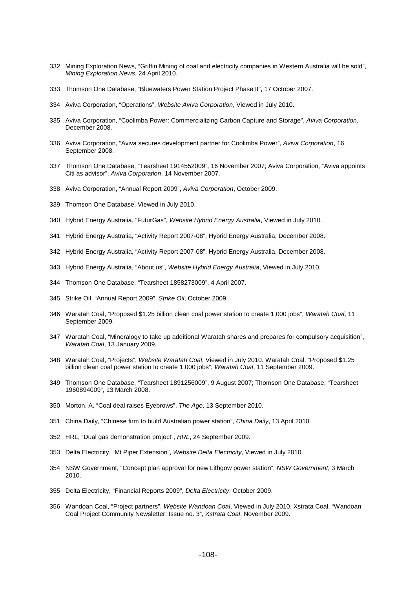- 332 Mining Exploration News, "Griffin Mining of coal and electricity companies in Western Australia will be sold", Mining Exploration News, 24 April 2010.
- 333 Thomson One Database, "Bluewaters Power Station Project Phase II", 17 October 2007.
- 334 Aviva Corporation, "Operations", Website Aviva Corporation, Viewed in July 2010.
- 335 Aviva Corporation, "Coolimba Power: Commercializing Carbon Capture and Storage", Aviva Corporation, December 2008.
- 336 Aviva Corporation, "Aviva secures development partner for Coolimba Power", Aviva Corporation, 16 September 2008.
- 337 Thomson One Database, "Tearsheet 1914552009", 16 November 2007; Aviva Corporation, "Aviva appoints Citi as advisor", Aviva Corporation, 14 November 2007.
- 338 Aviva Corporation, "Annual Report 2009", Aviva Corporation, October 2009.
- 339 Thomson One Database, Viewed in July 2010.
- 340 Hybrid Energy Australia, "FuturGas", Website Hybrid Energy Australia, Viewed in July 2010.
- 341 Hybrid Energy Australia, "Activity Report 2007-08", Hybrid Energy Australia, December 2008.
- 342 Hybrid Energy Australia, "Activity Report 2007-08", Hybrid Energy Australia, December 2008.
- 343 Hybrid Energy Australia, "About us", Website Hybrid Energy Australia, Viewed in July 2010.
- 344 Thomson One Database, "Tearsheet 1858273009", 4 April 2007.
- 345 Strike Oil, "Annual Report 2009", Strike Oil, October 2009.
- 346 Waratah Coal, "Proposed \$1.25 billion clean coal power station to create 1,000 jobs", Waratah Coal, 11 September 2009.
- 347 Waratah Coal, "Mineralogy to take up additional Waratah shares and prepares for compulsory acquisition", Waratah Coal, 13 January 2009.
- 348 Waratah Coal, "Projects", Website Waratah Coal, Viewed in July 2010. Waratah Coal, "Proposed \$1.25 billion clean coal power station to create 1,000 jobs", Waratah Coal, 11 September 2009.
- 349 Thomson One Database, "Tearsheet 1891256009", 9 August 2007; Thomson One Database, "Tearsheet 1960894009", 13 March 2008.
- 350 Morton, A. "Coal deal raises Eyebrows", The Age, 13 September 2010.
- 351 China Daily, "Chinese firm to build Australian power station", China Daily, 13 April 2010.
- 352 HRL, "Dual gas demonstration project", HRL, 24 September 2009.
- 353 Delta Electricity, "Mt Piper Extension", Website Delta Electricity, Viewed in July 2010.
- 354 NSW Government, "Concept plan approval for new Lithgow power station", NSW Government, 3 March 2010.
- 355 Delta Electricity, "Financial Reports 2009", Delta Electricity, October 2009.
- 356 Wandoan Coal, "Project partners", Website Wandoan Coal, Viewed in July 2010. Xstrata Coal, "Wandoan Coal Project Community Newsletter: Issue no. 3", Xstrata Coal, November 2009.